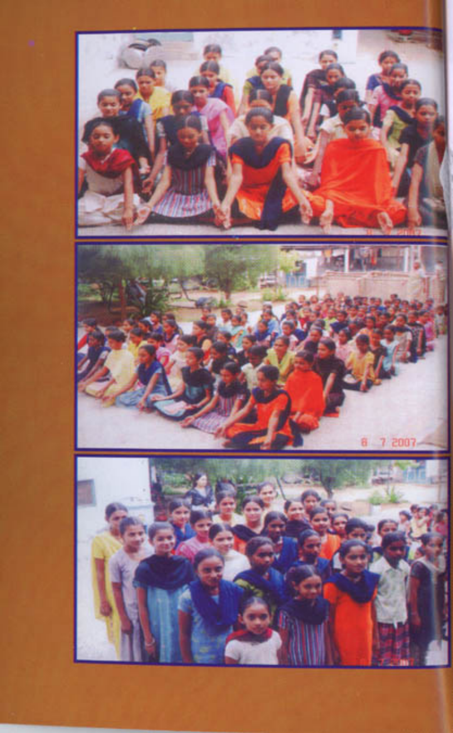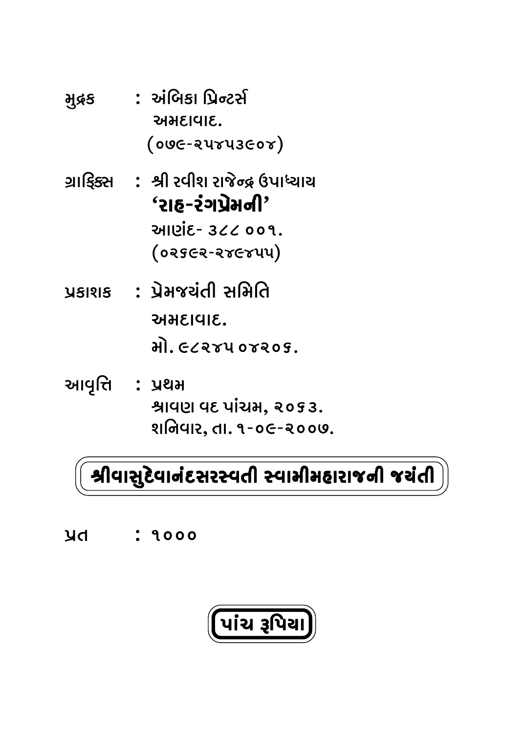

้งส  $:9000$ film : 1000 film : 1000<br>The 1000 film : 1000 film : 1000 film : 1000 film : 1000 film : 1000 film : 1000 film : 1000 film : 1000 film<br>The 1000 film : 1000 film : 1000 film : 1000 film : 1000 film : 1000 film : 1000 film :

### <u>શ્રીવાસુદેવાનંદસરસ્વતી સ્વામીમહારાજની જચંતી</u>

આવૃત્તિ : પ્રથમ<br>શ્રાવણ વદ પાંચમ, ૨૦૬૩. o o e -ə o film<br>Romanız (d. 9-o e-ə o ov Bw…\_Û∑, EÛ. 1-09-2007.

 $(0996 - 3861)$ 

 $\sqrt{2}$ પ્રકાશક : પ્રેમજચંતી સમિતિ  $EEMBENQSE$  $di.$  ELETY OTROS.

**: પ્રથમ** 

 $(00C-24843C08)$  $\sqrt{25454539}$ <u>ગ્રાફિક્સ : શ્રી રવીશ રાજેન્દ્ર ઉપાધ્યાચ</u> **'રાહ-રંગપ્રેમની'**<br>આણંદ- ૩૮૮ ૦૦૧.

: અંબિકા પિન્ટર્સ i⁄Q 8&& : અંબિકા પ્રિ<br>.અમદાવાદ.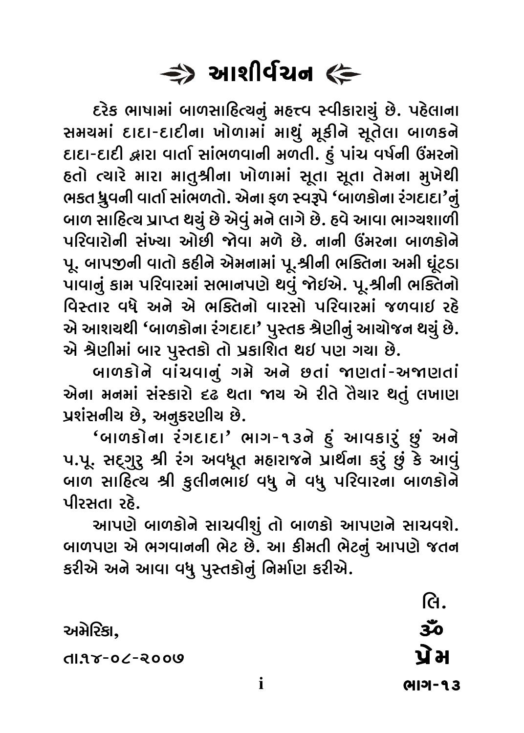

#ÛB—\_™{… #ÛB—\_™{… সમચમાં દાદા-દાદીના ખોળામાં માથું મૂકીને સૂતેલા બાળકને દાદા-દાદી દ્વારા વાર્તા સાંભળવાની મળતી. હું પાંચ વર્ષની ઉંમરનો odો ત્યારે મારા માતુશ્રીના ખોળામાં સૂતા સૂતા તેમના મુખેથી —<br>ભકત ધ્રુવની વાર્તા સાંભળતો. એના ફળ સ્વરૂપે 'બાળકોના રંગદાદા'નું<br>બાળ સાહિત્ય પાપ્ત થયં છે એવં મને લાગે છે. હવે આવા ભાગ્યશાળી બાળ સાહિત્ય પ્રાપ્ત થયું છે એવું મને લાગે છે. હવે આવા ભાગ્યશાળી<br>પરિવારોની સંખ્યા ઓછી જોવા મળે છે. નાની ઉંમરના બાળકોને પૂ. બાપજીની વાતો કહીને એમનામાં પૂ.શ્રીની ભક્તિના અમી ઘૂંટડા પાવાનું કામ પરિવારમાં સભાનપણે થવું જોઈએ. પૂ.શ્રીની ભક્તિનો ,<br>વિસ્તાર વધે અને એ ભક્તિનો વારસો પરિવારમાં જળવાઈ રહે<br>એ આશચથી 'બાળકોના રંગદાદા' પસ્તક શ્રેાગીનં આચોજન થચં છે. એ આશચથી 'બાળકોના રંગદાદા' પુસ્તક શ્રેણીનું આચોજન થયું છે.<br>એ શ્રેણીમાં બાર પુસ્તકો તો પ્રકાશિત થઈ પણ ગયા છે.

લાળકોને વાંચવાનું ગમે અને છતાં જાણતાં-અજાણતાં એના મનમાં સંસ્કારો દઢ થતા જાય એ રીતે તૈયાર થતું લખાણ પ્રશંસનીચ છે, અનુકરણીચ છે.

.<br>'બાળકોના રંગદાદા' ભાગ-૧૩ને હું આવકારું છું અને<br>પ.પ. સદગર શ્રી રંગ અવધત મહારાજને પાર્થના કરં છું કે આવં પ.પૂ. સદ્ગુરુ શ્રી રંગ અવધૂત મહારાજને પ્રાર્થના કરું છું કે આવું બાળ સાહિત્ચ શ્રી કુલીનભાઈ વધુ ને વધુ પરિવારના બાળકોને<br>પીરસતા રહે.

આપણે બાળકોને સાચવીશું તો બાળકો આપણને સાચવશે. બાળપણ એ ભગવાનની ભેટ છે. આ કીમતી ભેટનું આપણે જતન µÛ¥fo #@ I"\_Û……— I@ŸO ©Â@. #Û xOflfiE— I@ŸO…⁄√ #Ûfo@ QÂE… xO∑—#@ #…@ #Û\_Û \_A⁄ f⁄ÕExOÛ@…⁄√ w…fiÛ™o xO∑—#@.

તિ.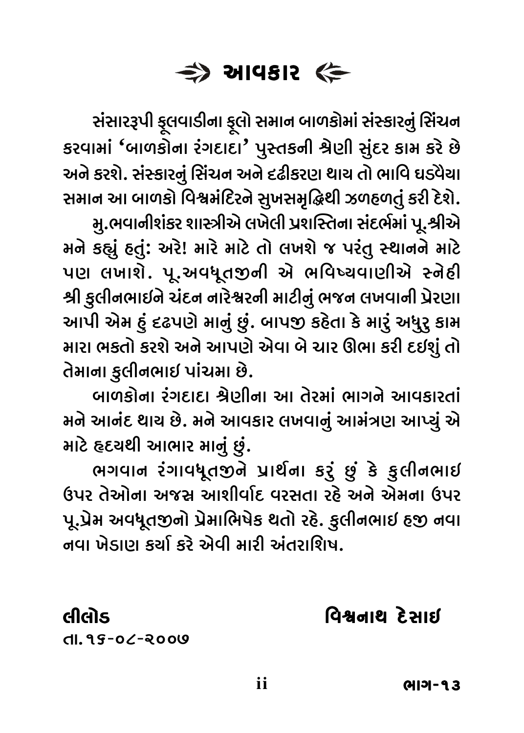

Y√ પહેલ કરવામાં 'બાળકોના રંગદાદા' પુસ્તકની શ્રેણી સુંદર કામ કરે છે<br>કરવામાં 'બાળકોના રંગદાદા' પુસ્તકની શ્રેણી સુંદર કામ કરે છે<br>અને કરશે. સંસ્કારનં સિંગન અને ૮ટીકરાગ શારા તો ભાળિ ઘડોયા અને કરશે. સંસ્કારનું સિંચન અને દઢીકરણ થાચ તો ભાવિ ઘડવેચા<br>સમાન આ બાળકો વિશ્વમંદિરને સુખસમૃદ્ધિથી ઝળહળતું કરી દેશે. મુ.ભવાનીશંકર શાસ્ત્રીએ લખેલી પ્રશસ્તિના સંદર્ભમાં પૂ.શ્રીએ

Hને કહ્યું હતું: અરે! મારે માટે તો લખશે જ પરંતુ સ્થાનને માટે rin પર હજ્ય કરવા જે જે જે જે જે કોઈ છે.<br>પણ લખાશે. પૂ.અવધૂતજીની એ ભવિષ્યવાણીએ સ્નેહી<br>શ્રી કલીનભાઈને ચંદન નારેશ્વરની માટીનું ભજન લખવાની પેરાગા ્<br>આપી એમ હું દઢપણે માનું છું. બાપજી કહેતા કે મારું અધુરુ કામ<br>મારા ભક્તો કરશે અને આપણે એવા બે આર ઊભા કરી દઈશું તો મારા ભકતો કરશે અને આપણે એવા બે ચાર ઊભા કરી દઈશું તો<br>તેમાના કુલીનભાઈ પાંચમા છે.

માળકોના રંગદાદા શ્રેણીના આ તેરમાં ભાગને આવકારતાં મને આનંદ થાય છે. મને આવકાર લખવાનું આમંત્રણ આપ્યું એ માટે હૃદચથી આભાર માનું છું.

fiÛŸ@O ΩpO}Z— #ÛIÛ∑ fiÛ…⁄√ ©⁄Â√. I"\_Û… ∑√"Û\_A\Eu…@ fVÛZ™…Û xO∑⁄√ ©⁄Â√ x@O x⁄OË—…IÛ\$ & TE સેક્સના કાર્રસા કાર્યમાં મેઇ વેદરસા દર કાર્ય કાર્યમાં હવે<br>પૂ.પ્રેમ અવધૂતજીનો પ્રેમાભિષેક થતો રહે. કુલીનભાઈ હજી નવા<br>નવા મેડાણ કર્યા કરે એવી મારી અંતરાશિષ …\_Û «@¤OÛo xO}Û™ xO∑@ #@\_— fiÛ∑— #√E∑ÛwB∆.

### વિશ્વનાથ દેસાઈ

 $dL.95-02-2009$ 

લીલોડ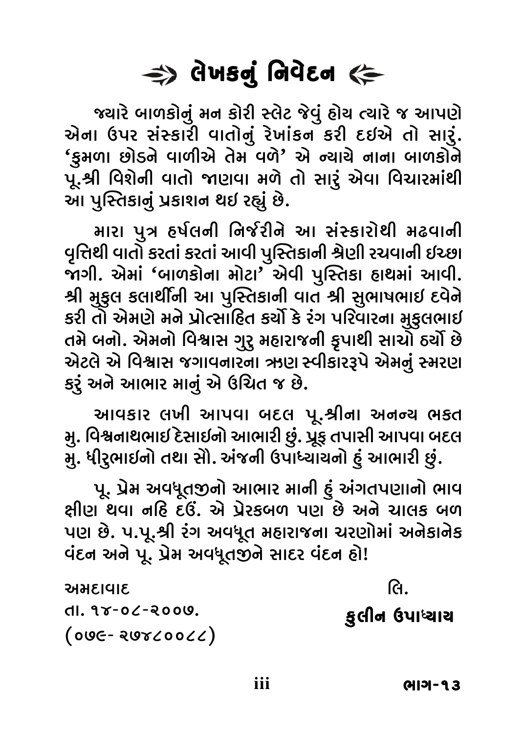### $\Rightarrow$  dusd gage  $\Leftarrow$

જ્યારે બાળકોનું મન કોરી સ્લેટ જેવું હોચ ત્યારે જ આપણે એના ઉપર સંસ્કારી વાતોનું રેખાંકન કરી દઈએ તો સારું. 'કુમળા છોડને વાળીએ તેમ વળે' એ ન્યાયે નાના બાળકોને પૂ.શ્રી વિશેની વાતો જાણવા મળે તો સારૂં એવા વિચારમાંથી આ પુસ્તિકાનું પ્રકાશન થઈ રહ્યું છે.

મારા પુત્ર હર્ષલની નિર્જરીને આ સંસ્કારોથી મઢવાની વૃત્તિથી વાર્તો કરતાં કરતાં આવી પુસ્તિકાની શ્રેણી રચવાની ઈચ્છા .<br>જાગી. એમાં 'બાળકોના મોટા' એવી પુસ્તિકા હાથમાં આવી. શ્રી મુકુલ કલાર્થીની આ પુસ્તિકાની વાત શ્રી સુભાષભાઈ દવેને કરી તો એમણે મને પ્રોત્સાંહિત કર્યો કે રંગ પરિવારના મુકુલભાઈ તમે બનો. એમનો વિશ્વાસ ગુરૂ મહારાજની કૃપાથી સાર્યો ઠર્યો છે એટલે એ વિશ્વાસ જગાવનારના ઋણ સ્વીકારરૂપે એમનું સ્મરણ કરૂં અને આભાર માનું એ ઉચિત જ છે.

આવકાર લખી આપવા બદલ પ.શ્રીના અનન્ય ભકત મુ. વિશ્વનાથભાઈ દેસાઈનો આભારી છું. પ્રૂકું તપાસી આપવા બદલ મું. ધીરૂભાઈનો તથા સો. અંજની ઉપાધ્યાચનો હું આભારી છું.

પૂ. પ્રેમ અવધૂતજીનો આભાર માની હું અંગતપણાનો ભાવ ક્ષીણ થવા નહિ દઉં. એ પ્રેરકબળ પણ છે અને ચાલક બળ પણ છે. પ.પૂ.શ્રી રંગ અવધૂત મહારાજના ચરણોમાં અનેકાનેક વંદન અને પૂ. પ્રેમ અવધૂતજીને સાદર વંદન હો!

અમદાવાદ

dl. 98-06-2000.  $(00C - 208C)$  તિ.

કુલીન ઉપાધ્યાય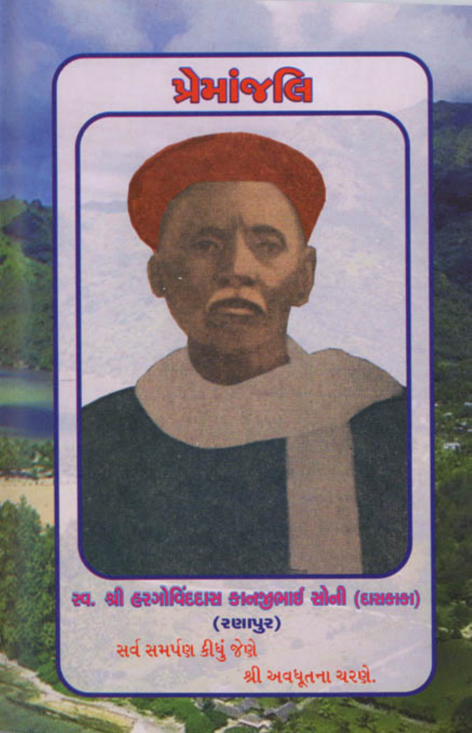

રવ. શ્રી હરગોવિંદદાસ કાનજીભાઈ સોની (દાસકાકા) (seirys) સર્વ સમર્પણ કીધું જેણે શ્રી અવધૂતના ચરણે.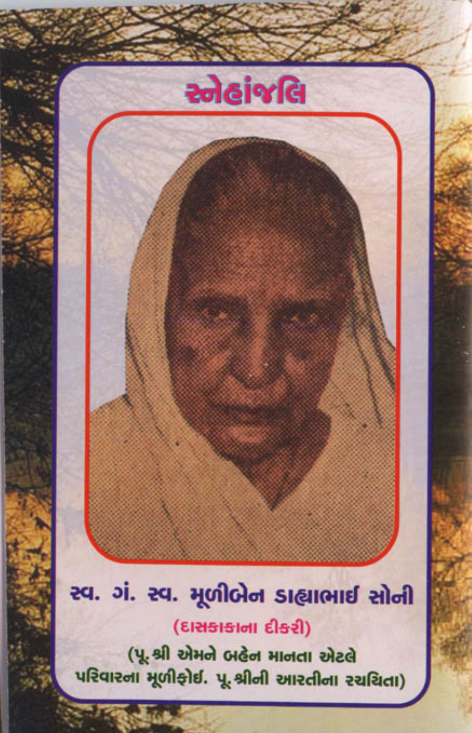

### રવ. ગં. સ્વ. મૂળીબેન ડાહ્યાભાઈ સોની (દાસકાકાના દીકરી)

(પૂ.શ્રી એમને બહેન માનતા એટલે परिवारना भूजीक्षेर्ध. पू.श्रीनी આરતીના રચચિતા)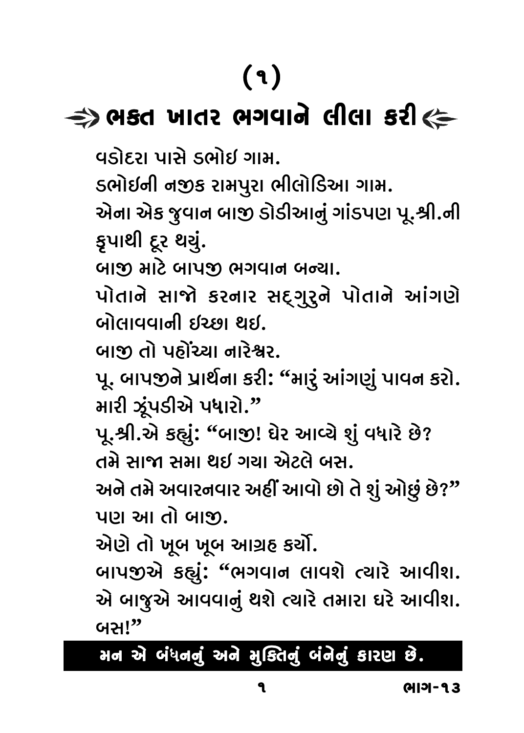# (1)

વડોદરા પાસે ડભોઈ ગામ. ડભોઈની નજીક રામપુરા ભીલોડિઆ ગામ. એના એક જુવાન બાજી ડોડીઆનું ગાંડપણ પૂ.શ્રી.ની કૃપાથી દૂર થયું. બાજી માટે બાપજી ભગવાન બન્યા. પોતાને સાજો કરનાર સદ્ગુરને પોતાને આંગણે <u>ભોલાવવાની ઇચ્છા થઈ.</u> બાજી તો પહોંચ્યા નારેશ્વર. પૂ. બાપજીને પ્રાર્થના કરી: ''મારું આંગણું પાવન કરો.<br>માર્ગ ઝંપડીએ પધાગે '' મારી ઝૂંપડીએ પધારો.'' પૂ.શ્રી.એ કહ્યું: ''બાજી! ઘેર આવ્યે શું વ**ધા**રે છે?<br>તમે સાજા સમા થઈ ગયા એટલે બસ ્રિય માટી આયો.<br>અને તમે અવારનવાર અહીં આવો છો તે શું ઓછું છે?''<br>પણ આ તો બાજા એણે તો ખૂબ ખૂબ આગ્રહ કર્યો. #@o@ EÛ@ «\µ «\µ #Û"V˜ xO}Û@™. µÛfu#@ xO·⁄√: **"**I"\_Û… ËÛ\_B@ '}Û∑@ #Û\_—B. એ બાજુએ આવવાનું થશે ત્યારે તમારા ઘરે આવીશ. µY!**"**

# fi… #@ µ√ fi… #@ µ√ #@ µ√A……⁄√ #…@ fi⁄»®E…⁄√ µ√…@…⁄√ xOÛ∑o ©Â@. ……⁄√ #…@ fi⁄»®E…⁄√ µ√…@…⁄√ xOÛ∑o ©Â@.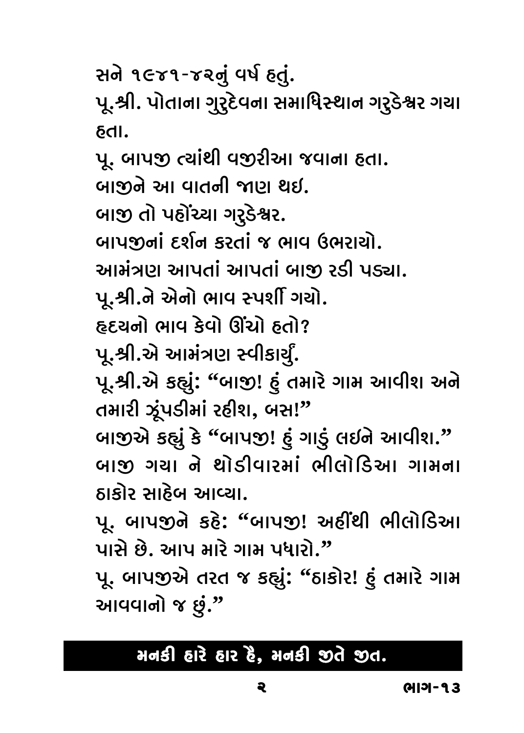પૂ.શ્રી. પોતાના ગુરુદેવના સમાધિસ્થાન ગરુડેશ્વર ગયા<br>હ્વા પૂ. બાપજી ત્યાંથી વજીરીઆ જવાના હતા. લાજીને આ વાતની જાણ થઈ. બાજી તો પહોંચ્યા ગરૂડેશ્વર. બાપજીનાં દર્શન કરતાં જ ભાવ ઉભરાયો. આમંત્રણ આપતાં આપતાં બાજી રડી પડ્યા. પૂ.શ્રી.ને એનો ભાવ સ્પર્શી ગયો. હૃદચનો ભાવ કેવો ઊંચો હતો? પૂ.શ્રી.એ આમંત્રણ સ્વીકાર્યું. ્<br>પૂ.શ્રી.એ કહ્યું: ''બાજી! ઠું તમારે ગામ આવીશ અને<br>તમારી ઝંપડીમાં રૂઠીશ. બસા<sup>?</sup>' તમારી ઝૂંપડીમાં રહીશ, બસ!" બાજીએ કહ્યું કે ''બાપજી! હું ગાડું લઇને આવીશ.''<br>બાજી ગયા ને થોડીવારમાં ભીલોડિઆ ગામના ઠાકોર સાઠેબ આવ્યા. \_\_<br>પૂ. બાપજીને કહે**: ''બાપજી! અહીંથી ભીલોડિઆ**<br>પાસે છે. આપ માટે ગામ પ્રધારો '' fÛY@ ©Â@. #Ûf fiÛ∑@ "Ûfi fAÛ∑Û@.**"** પૂ. બાપજીએ તરત જ કહ્યું: "ઠાકોર! હું તમારે ગામ આવવાનો જ છું."

# ing Glz is, and the Shake was leave<br>Record use  $\frac{1}{2}$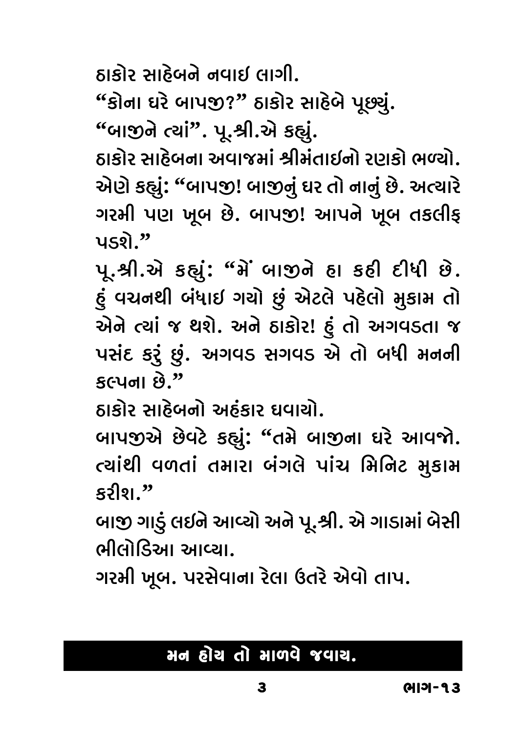ઠાકોર સાઠેબને નવાઈ લાગી. .<br>"કોના ઘરે બાપજી?" ઠાકોર સાહેબે પૂછ્યું.<br>"બાજને *ત્*યાં" પ શ્રી એ કહ્યં

**"બાજીને ત્યાં". પૂ.શ્રી.એ કહ્યું.**<br>ઠાકોર સાહેબના અવાજમાં શ્રીમંતાઈનો રણકો ભળ્યો. \_<br>એણે કહ્યું: ''બાપજી! બાજીનું ઘર તો નાનું છે. અત્યારે<br>ગરમી ખાગ ખૂબ છે. બાપજી! આપત્ને ખૂબ તકલીક  $\tilde{y}$  , which is a control of  $\tilde{y}$  of  $\tilde{y}$  . પડશે.''<br>પ શ્રી ઃ

પૂ.શ્રી.એ કહ્યું: "મેં બાજીને હા કહી દીધી છે.<br>કં <u>ઘરાતશી બંધાઈ ગયો છું એટલે પ્રકેલો સકાસ</u> તો હું વચનથી બંધાઈ ગચો છું એટલે પહેલો મુકામ તો<br>એને ત્યાં જ થશે. અને ઠાકોર! હું તો અગવડતા જ પસંદ કરું છું. અગવડ સગવડ એ તો બધી મનની<br>કલ્પના છે.'' કલ્પના છે.''<br>ઠાકોર સાઠેબનો અઠંકાર ઘવાચો.

sOÛxOÛ@∑ YÛ˜@µ…Û@ #˜√xOÛ∑ n\_Û}Û@. µÛfu#@ ©Â@\_Ÿ@O xO·√⁄: **"**Efi@ µÛu…Û n∑@ #Û\_@.  $z$ <sup>U</sup>

કરીશ.''<br>બાજી ગાડું લઈને આવ્યો અને પૂ.શ્રી. એ ગાડામાં બેસી ભીભોડિઆ આવ્યા.

I—ËÛ@w¤O#Û #Û[}Û.  $\sim$ 

# . अन होय तो भाणपे **જવાય**<br>ह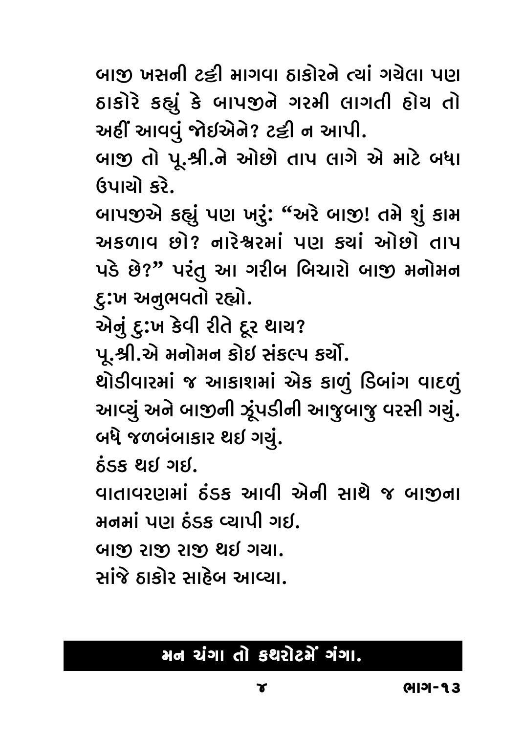બાજી ખસની ટહી માગવા ઠાકોરને ત્યાં ગયેલા પણ<br>ઠાકોરે કહ્યું કે બાપજીને ગરમી લાગતી હોય તો અહીં આવવું જોઈએને? ટહી ન આપી.

્ય સ્થાપિત કરી હતું.<br>બાજી તો પૂ.શ્રી.ને ઓછો તાપ લાગે એ માટે બધા<br>ઉપાગો કરે

.<br>બાપજીએ કહ્યું પણ ખરું: ''અરે બાજી! તમે શું કામ<br>અકળાવ છો? તારેશ્વરમાં પણ કર્યા ઓછો તાપ #xO¥Û\_ ©ÂÛ@? …Û∑@U∑fiÛ√ fo ®}Û√ #Û@©ÂÛ@ EÛf f¤@O ©Â@?**"** f∑√E⁄ #Û "∑—µ wµ{Û∑Û@ µÛu fi…Û@fi…

દુ:ખ અનુભવતો રહ્યો.<br>એનું દુ:ખ કેવી રીતે દૂર થાચ?

પૂ.શ્રી.એ મનોમન કોઈ સંકલ્પ કર્યો.

થોડીવારમાં જ આકાશમાં એક કાળું ડિબાંગ વાદળું આવ્યું અને બાજીની ઝૂંપડીની આજુબાજુ વરસી ગયું. #Û[}⁄√ #…@ µÛu…— •\√f¤O—…— #ÛQ⁄µÛQ⁄ \_∑Y— "}⁄√. <sup>µ</sup>A@ QÂ¥µ√µÛxOÛ∑ Z\$ "}⁄√.

વાતાવરણમાં ઠંડક આવી એની સાથે જ બાજીના ોગ કોટક વ્યાપી ગઈ

 $6$   $6$   $6$   $6$   $8$   $10$   $10$   $10$   $10$   $10$   $10$   $10$ 

માંજે ઠાકોર સાઠેબ આવ્યા. YÛ∑QÛXOÛZ

### fi… {√"Û EÛ@ xOZ∑Û@ŸOfi@> "√"Û. fi… {√"Û EÛ@ "√"Û.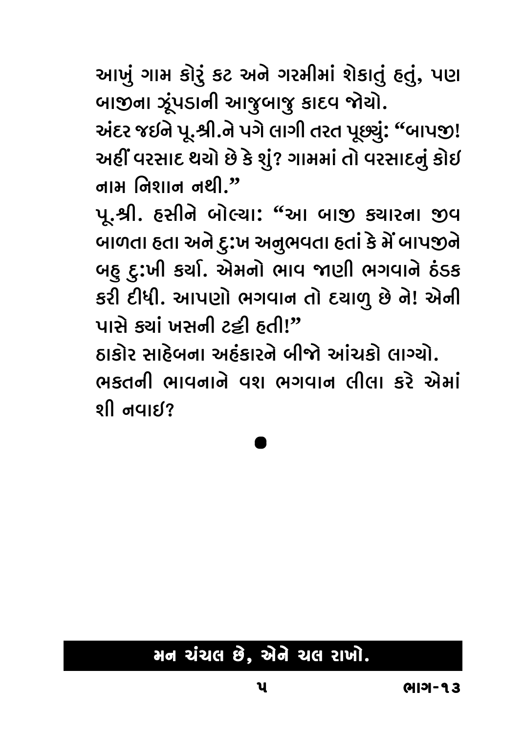આખું ગામ કોરું કટ અને ગરમીમાં શેકાતું હતું, પણ<br>બાજીના ઝૂંપડાની આજુબાજુ કાદવ જોયો.

્… છ … <sub>ફૂ</sub> . … … … …<br>અંદર જઈને પૂ.શ્રી.ને પગે લાગી તરત પૂછ્યું: "બાપજી!<br>અહીં વરસાદ શરો છે કે શં? ગામમાં તો વરસાદનું કોઈ #˜—> \_∑YÛpO Z}Û@ ©Â@ x@O B⁄√? "ÛfifiÛ√ EÛ@ \_∑YÛpO…⁄√ xOÛ@\$ …Ûfi w…BÛ… …Z—.**"**

પૂ.શ્રી. હસીને બોલ્યા: ''આ બાજી કચારના જીવ<br>બાળતા હતા અને દુ:ખ અનુભવતા હતાં કે મેં બાપજીને બહુ દુ:ખી કર્યા. એમનો ભાવ જાણી ભગવાને ઠંડક ્ચું ડું… - …<br>કરી દીધી. આપણો ભગવાન તો દચાળુ છે ને! એની<br>પાસે ક્યાં ખસની ટ્વી કતી!" પાસે ક<mark>્યાં ખસની ટ</mark>કી હતી!''<br>ઠાકોર સાઠેબના અઠંકારને બીજો આંચકો લાગ્યો.

<u>ભકતની ભાવનાને વશ ભગવાન લીલા કરે એમાં </u>  $\mathfrak{g}$  aul $\mathfrak{g}$ 

# $\frac{1}{2}$ મન ચંચલ છે, એને ચલ રાખો.<br>પ

.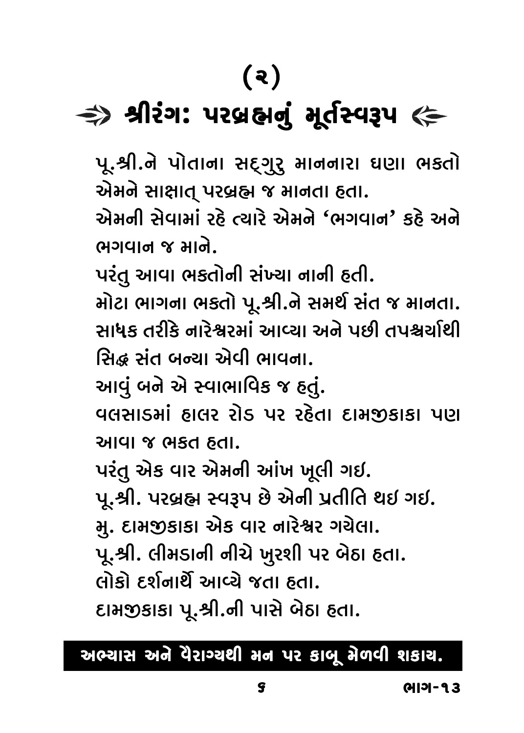### $\frac{1}{2}$  $C^{\infty}$  fixed— $\frac{1}{\sqrt{2}}$  fixed  $\frac{1}{\sqrt{2}}$

પૂ.શ્રી.ને પોતાના સદ્ગુરુ માનનારા ઘણા ભકતો<br>એમને સાક્ષાત્ પરબ્રહ્મ જ માનતા હતા.

#@fi…@ YÛÆÛE≤ f∑µVÔ QÂ fiÛ…EÛ ˜EÛ. #@fi…— Y@\_ÛfiÛ√ ∑˜@ '}Û∑@ #@fi…@ **'**I"\_Û…**'** xO˜@ #…@

પરંતુ આવા ભકતોની સંખ્યા નાની હતી.

મોટા ભાગના ભકતો પૂ.શ્રી.ને સમર્થ સંત જ માનતા. ...<br>સાંધક તરીકે નારેશ્વરમાં આવ્યા અને પછી તપશ્ચર્યાથી<br>ત્રિહ સંત બન્યા એવી ભાવના

આવું બને એ સ્વાભાવિક જ હતું.

 $4$ બલસાડમાં હાલર રોડ પર રહેતા દામજીકાકા પણ આવા $\gamma$  ભકત હતા.

પરંતુ એક વાર એમની આંખ ખૂલી ગઈ.

પૂ.શ્રી. પરબ્રહ્મ સ્વરૂપ છે એની પ્રતીતિ થઈ ગઈ.

મુ. દામજીકાકા એક વાર નારેશ્વર ગચેલા.

પૂ.શ્રી. લીમડાની નીચે ખુરશી પર બેઠા હતા.

<u>લોકો દર્શનાર્થે આવ્યે જતા હતા.</u>

દામજીકાકા પૂ.શ્રી.ની પાસે બેઠા હતા. pour <sub>ou</sub> me ne de **q** 

# # સંજયોસ અને વૈરાગ્યથી મન પર કાબૂ મેળવી શકાય.<br>કુ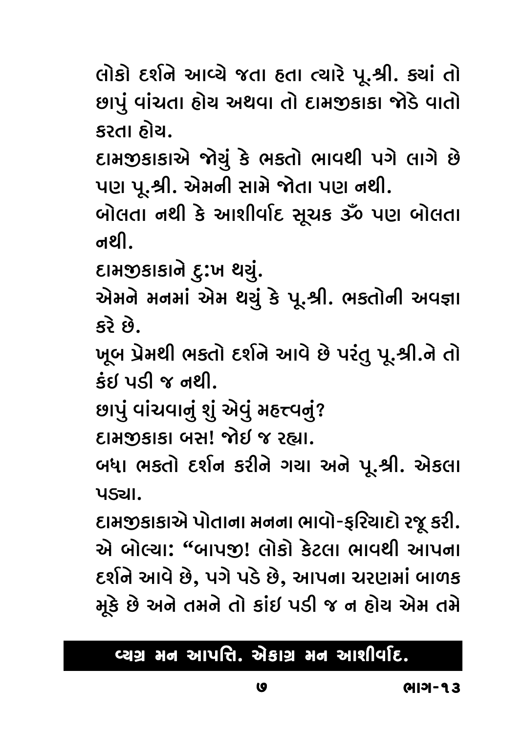લોકો દર્શને આવ્યે જતા હતા ત્યારે પૂ.શ્રી. કચાં તો<br>છાપું વાંચતા હોચ અથવા તો દામજીકાકા જોડે વાતો કરતા **હો**ચ.

દામજીકાકાએ જોયું કે ભક્તો ભાવથી પગે લાગે છે પણ પૂ.શ્રી. એમની સામે જોતા પણ નથી.

for a formulation  $\epsilon$  and  $\epsilon$  and  $\epsilon$  in  $\epsilon$  $\sim$   $\sim$ 

દામજીકાકાને દુ:ખ થયું.

pOÛfiuxOÛxOÛ…@ p⁄O:« Z}⁄√.  $\frac{1}{2}$  and  $\frac{1}{2}$   $\frac{1}{2}$ 

ખૂબ પ્રેમથી ભક્તો દર્શને આવે છે પરંતુ પૂ.શ્રી.ને તો  $\dot{\mathbf{s}}$ ઇ પટી જ નથી.

છાપું વાંચવાનું શું એવું મહત્ત્વનું?

દામજીકાકા બસ! જોઈ જ રહ્યા.

pOÛfiuxOÛxOÛ µY! @\$ QÂ ∑·Û. µAÛ I®EÛ@ pOB™… xO∑—…@ "}Û #…@ f\.C—. #@xOËÛ

દામજીકાકાએ પોતાના મનના ભાવો-ફરિયાદો રજૂ કરી. pover and the total twenty of the sector.<br>એ બોલ્યા: "બાપજી! લોકો કેટલા ભાવથી આપના<br>દર્શને આવે છે. પગે પડે છે. આપના રાગગમાં બાળક દર્શને આવે છે, પગે પડે છે, આપના ચરણમાં બાળક<br>મૂકે છે અને તમને તો કાંઈ પડી જ ન હોચ એમ તમે  $\sim$ 

# الإطها**ب العرب العرب الثقافة الثقافة الثقافة**<br>V في التقاضية الثقافة الثقافة الثقافة الثقافة الثقافة الثقافة الثقافة<br>V في الثقافة الثقافة الثقافة الثقافة الثقافة الثقافة الثقافة الثقافة الثقافة الثقافة الثقافة الثقافة الث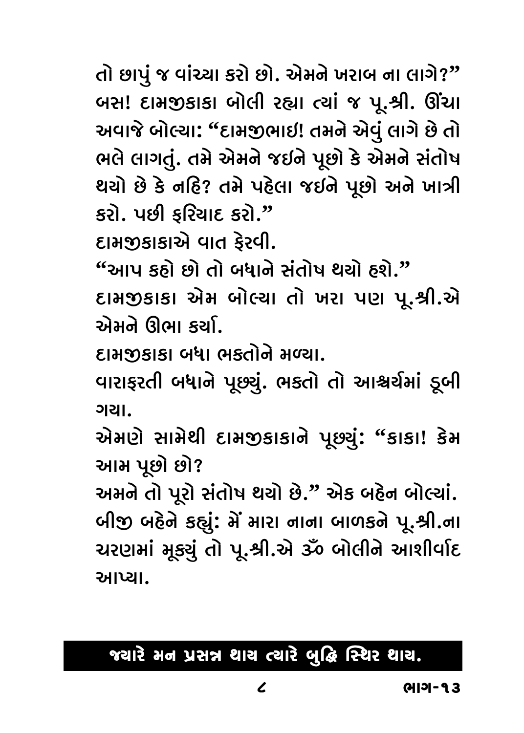તો છાપું જ વાંચ્ચા કરો છો. એમને ખરાબ ના લાગે?''<br>બસ! દામજીકાકા બોલી રહ્યા ત્યાં જ પૂ.શ્રી. ઊંચા ાય કરવા માટે કરવા માટે છે.<br>અવાજે બોલ્યા: "દામજીભાઈ! તમને એવું લાગે છે તો<br>ભલે લાગતં. તમે એમને જઈને પછો કે એમને સંતોષ ભલે લાગતું. તમે એમને જઈને પૂછો કે એમને સંતોષ<br>થયો છે કે નહિ? તમે પહેલા જઈને પૂછો અને ખાત્રી Z}ો. પછી ફરિયાદ કરો."<br>દામજકાકાએ વાત કેરવી

pOÛfiuxOÛxOÛ#@ \_ÛE l@∑\_—. **"**#Ûf xO˜Û@ ©ÂÛ@ EÛ@ µAÛ…@ Y√EÛ@∆ Z}Û@ ˜B@.**"**

દામજીકાકા એમ બોલ્ચા તો ખરા પણ પૂ.શ્રી.એ<br>એમને ઊભા કર્ચા

.<br>દામજીકાકા બધા ભકતોને મળ્યા.<br>વાગકરતી બધાને પછ્યું ભક્તો

વારાફરતી બધાને પૂછ્યું. ભકતો તો આશ્ચર્યમાં ડૂબી<br>ગચા.

<sub>ં …</sub><br>એમણે સામેથી દામજીકાકાને પૂછ્યું: "કાકા! કેમ<br>આમ પછો છો?

.<br>અમને તો પૂરો સંતોષ થયો છે." એક બહેન બોલ્યાં.<br>બીજા બકેને કહ્યં: મેં માગ નાના બાળકને પ શ્રી ના બીજી બદેને કહ્યું: મેં મારા નાના બાળકને પૂ.શ્રી.ના<br>ચરણમાં મૂક્યું તો પૂ.શ્રી.એ ૐ બોલીને આશીર્વાદ {∑ofiÛ√ fi\®}⁄√ EÛ@ f\.C—.#@ ¿ µÛ@Ë—…@ #ÛB—\_Û™pO

# જ્યારે મન પ્રસન્ન થાય ત્યારે બુદ્ધિ સ્થિર થાય.<br>દૂત-ાણા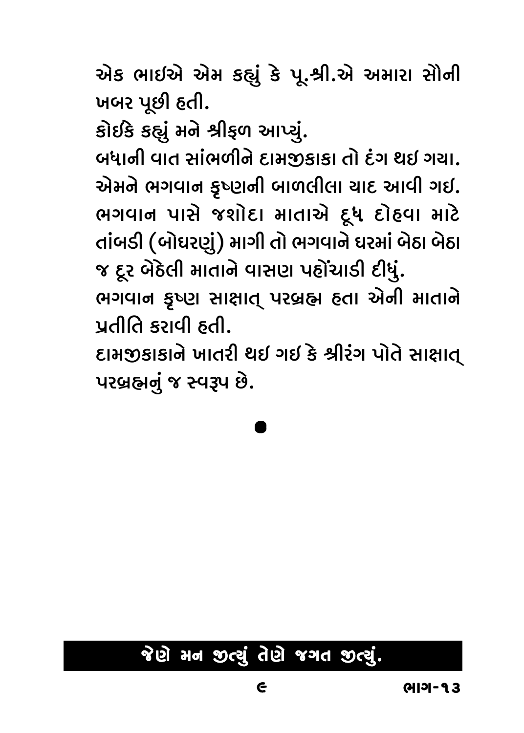એક ભાઈએ એમ કહ્યું કે પૂ.શ્રી.એ અમારા સૌની ખબર પૂછી હતી.

કોઈકે કહ્યું મને શ્રીફળ આપ્યું.

બંધાની વાત સાંભળીને દામજીકાકા તો દંગ થઈ ગયા. એમને ભગવાન કૃષ્ણની બાળલીલા ચાદ આવી ગઈ. ભગવાન પાસે જશોદા માતાએ દૂધ દોહવા માટે તાંબડી (બોઘરણું) માગી તો ભગવાને ઘરમાં બેઠા બેઠા જ દૂર બેઠેલી માતાને વાસણ પહોંચાડી દીધું.

ભગવાન કૃષ્ણ સાક્ષાત્ પરબ્રહ્મ હતા એની માતાને પ્રતીતિ કરાવી હતી.

દામજીકાકાને ખાતરી થઈ ગઈ કે શ્રીરંગ પોતે સાક્ષાત્ પરબ્રહ્મનું જ સ્વરૂપ છે.

### જેણે મન જીત્યું તેણે જગત જીત્યું.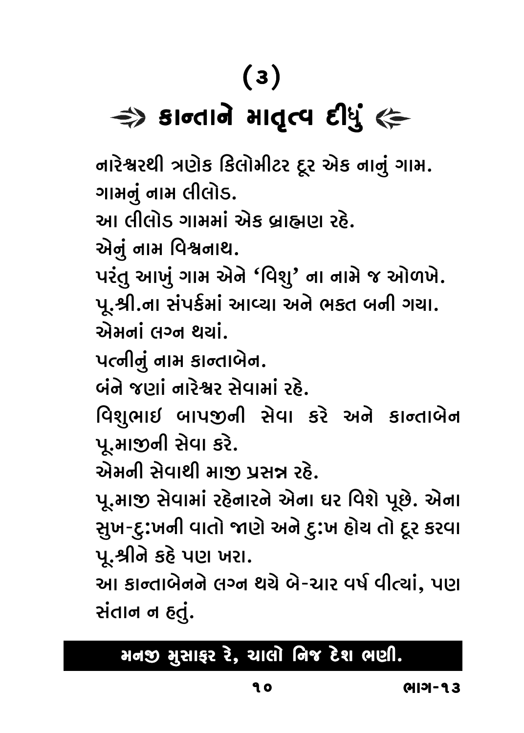### $\frac{1}{2}$ કાન્તાને માતૃત્<mark>વ</mark> દીધું<br>

નારેશ્વરથી ત્રણેક કિલોમીટર દૂર એક નાનું ગામ.<br>ગામનું નામ લીલોડ.

આ લીલોડ ગામમાં એક બાહ્મણ રહે.

એનું નામ વિશ્વનાથ.

્<br>પરંતુ આખું ગામ એને 'વિશુ' ના નામે જ ઓળખે.<br>પ શ્રી ના સંપર્દમાં આવ્યા અને ભક્ત બની ગયા

પૂ.શ્રી.ના સંપર્કમાં આવ્યા અને ભક્ત બની ગયા.<br>એમનાં લગ્ન થયાં

પત્નીનું નામ કાન્તાબેન.

બંને જણાં નારેશ્વર સેવામાં રહે.

વિશુભાઈ બાપજીની સેવા કરે અને કાન્તાબેન પ.માજીની સેવા કરે.

એમની સેવાથી માજી પ્રસન્ન રહે.

પૂ.માજી સેવામાં રહેનારને એના ઘર વિશે પૂછે. એના <u>સૂખ-દુ:ખની વાતો જાણે અને દુ:ખ હોચ તો દૂર કરવા</u> પૂ.શ્રીને કહે પણ ખરા.

આ કાન્તાબેનને લગ્ન થચે બે-ચાર વર્ષ વીત્યાં, પણ  $\frac{1}{2}$  $\frac{3}{2}$ 

# ી કાનજી મુસાફર રે, ચાલો નિજ દેશ ભણી.<br>કાગ્ગા ગર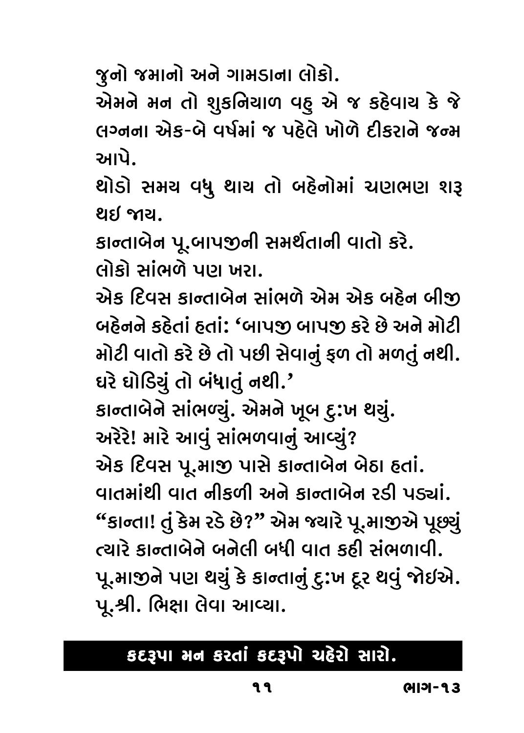જુનો જમાનો અને ગામડાના લોકો.<br>એમને મન તો શુકનિયાળ વહ એ જ કહેવાય કે જે લગ્નના એક-બે વર્ષમાં જ પહેલે ખોળે દીકરાને જન્મ Ëa……Û #@xO-µ@ \_∆™fiÛ√ Q f˜@Ë@ «Û@¥@ pO—xO∑Û…@ Q±fi

થોડો સમય વધુ થાય તો બહેનોમાં ચણભણ શરૂ<br>શહ્

કાન્તાબેન પૂ.બાપજીની સમર્થતાની વાતો કરે.

<u>લોકો સાંભળે પાગ ખરા.</u>

એક દિવસ કાન્તાબેન સાંભળે એમ એક બહેન બીજી .<br>બહેનને કહેતાં હતાં: 'બાપજી બાપજી કરે છે અને મોટી<br>મોટી વાતો કરે છે તો પછી સેવાનું કૂળ તો મળતું નથી fi ઘોડિયું તો બંધાતું નથી.'<br>દાન્તાબેને સાંભળ્યું, એમને ખૂબ દુ:ખ શર્ચ<br>ધાન્તાબેને સાંભળ્યું, એમને ખૂબ દુ:ખ શર્ચ

કાન્તાબેને સાંભળ્યું. એમને ખૂબ દુ:ખ થયું.<br>અરેરે! મારે આવું સાંભળવાનું આવ્યું?

એક દિવસ પૂ.માજી પાસે કાન્તાબેન બેઠા હતાં.

વાતમાંથી વાત નીકળી અને કાન્તાબેન રડી પડ્યાં. ,<br>સ્ટાન્લા! તું કેમ રડે છે?'' એમ જ્યારે પૂ.માંજીએ પૂછ્યું<br><sup>આ</sup>ગે કાન્લાલેને બનેલી બધી વાત કૂઠી સંભળાવી

ત્યારે કાન્તાબેને બનેલી બધી વાત કહી સંભળાવી.<br>પૂ.માજીને પણ થયું કે કાન્તાનું દુ:ખ દૂર થવું જોઈએ. પૂ.શ્રી. ભિક્ષા લેવા આવ્યા.  $\alpha$ 

# $x\bar{x}$  iso posses for every find  $\bar{x}$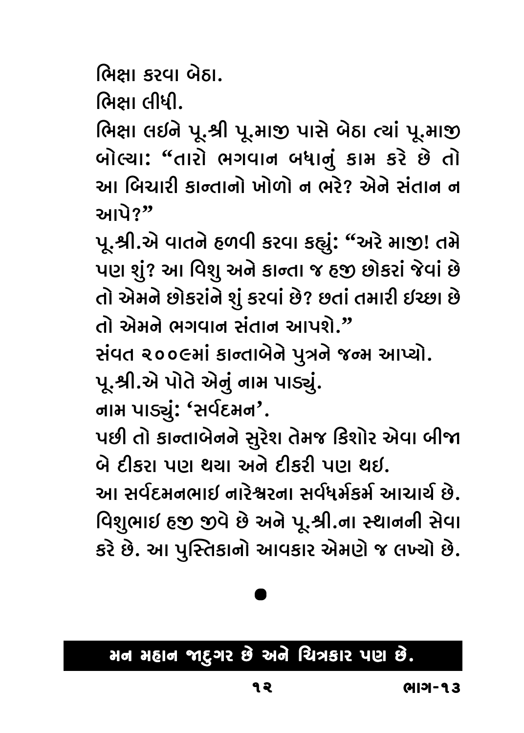ભિક્ષા કરવા બેઠા.

્<br>ભિક્ષા લીધી.<br>ભિશ્રા લઈને પ્ર શ્ર

wIÆÛ Ë\$…@ f\.C— f\.fiÛu fÛY@ µ@sOÛ '}Û√ f\.fiÛu µÛ@º}Û: **"**EÛ∑Û@ I"\_Û… µAÛ…⁄√ xOÛfi xO∑@ ©Â@ EÛ@  $\mathcal{L}^{(1)}$  which we have  $\mathcal{L}^{(2)}$ <u>આપે?"</u>

પૂ.શ્રી.એ વાતને હળવી કરવા કહ્યું**: ''અરે માજી! તમે**<br>પણ શું? આ વિશુ અને કાન્તા જ હજી છોકરાં જેવાં છે તો એમને છોકરાંને શું કરવાં છે? છતાં તમારી ઈચ્છા છે ્<br>તો એમને ભગવાન સંતાન આપશે."<br>સંવત <u>૨૦૦૯માં દાન્</u>તાબેને પત્રને જન્મ આપશો

સંવત ૨૦૦૯માં કાન્તાબેને પુત્રને જન્મ આપ્યો.<br>પૂ.શ્રી.એ પોતે એનું નામ પાડ્યું.

ૂ<br>નામ પાડ્યું: 'સર્વદમન'.<br>પછી તો કાન્વાબેનને સરેશ તેમજ

પછી તો કાન્તાબેનને સુરેશ તેમજ કિશોર એવા બીજા<br>બે દીકરા પણ થચા અને દીકરી પણ થઈ.

આ સર્વદમનભાઈ નારેશ્વરના સર્વધર્મકર્મ આચાર્ચ છે.<br>વિશુભાઈ હજા જાવે છે અને પ શ્રી ના સ્થાનની સેવા વિશુભાઈ હજી જીવે છે અને પૂ.શ્રી.ના સ્થાનની સેવા<br>કરે છે. આ પુસ્તિકાનો આવકાર એમણે જ લખ્યો છે. xO∑@ ©Â@. #Û f⁄»ÕExOÛ…Û@ #Û\_xOÛ∑ #@fio@ Q ˈ}Û@ ©Â@.

## .<br>,<br>,<br>,<br>,  $\ddot{\textbf{c}}$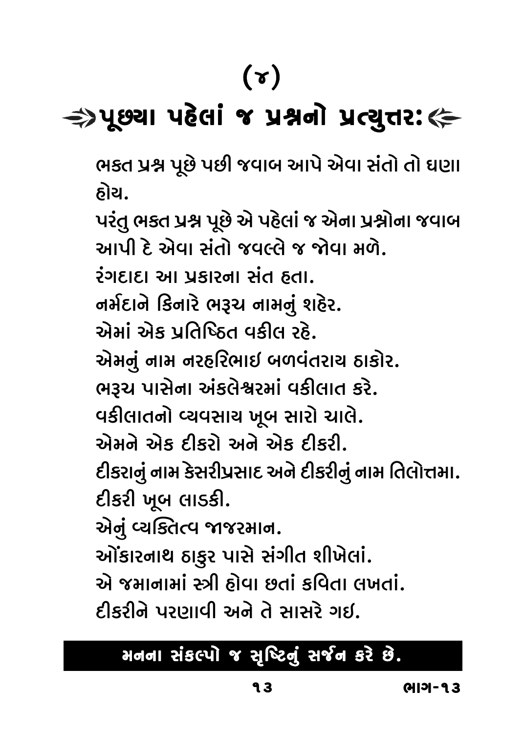### 

ભકત પ્રશ્ન પૂછે પછી જવાબ આપે એવા સંતો તો ઘણા હ્રોચ.

પરંતુ ભકત પ્રશ્ન પૂછે એ પહેલાં જ એના પ્રશ્નોના જવાબ આપી દે એવા સંતો જવલ્લે જ જોવા મળે.

રંગદાદા આ પ્રકારના સંત હતા. નર્મદાને કિનારે ભરૂચ નામનું શહેર. એમાં એક પતિષ્ઠિત વકીલ રહે. એમનું નામ નરહરિભાઈ બળવંતરાચ ઠાકોર. ભરૂચ પાસેના અંકલેશ્વરમાં વકીલાત કરે. વકીલાતનો વ્યવસાચ ખૂબ સારો ચાલે. એમને એક દીકરો અને એક દીકરી. દીકરાનું નામ કેસરીપ્રસાદ અને દીકરીનું નામ તિલોત્તમા. દીકરી ખૂબ લાડકી. એનું વ્યક્તિત્વ જાજરમાન. ઓંકારનાથ ઠાકુર પાસે સંગીત શીખેલાં.

એ જમાનામાં સ્ત્રી ઠોવા છતાં કવિતા લખતાં.

દીકરીને પરણાવી અને તે સાસરે ગઈ.

### मनना संडल्पो ४ सृष्टिनुं सर्शन કरे છે.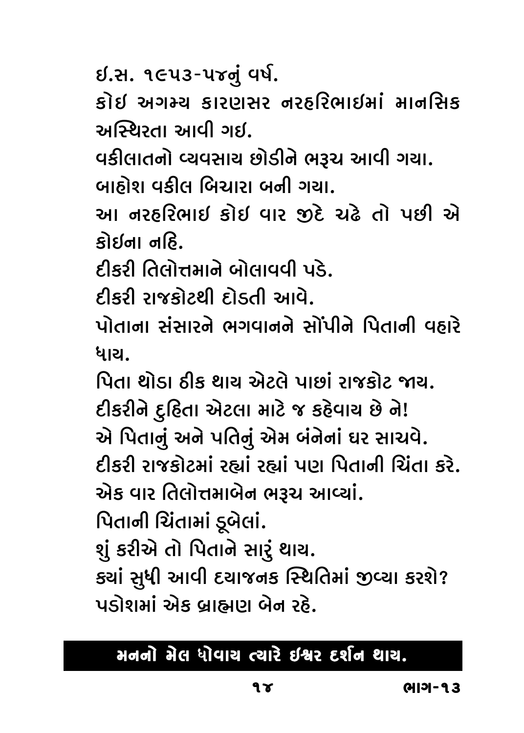ઇ.સ. ૧૯૫૩-૫૪નું વર્ષ.<br>કોઇ અગમ્ચ કારણસર નરઠરિભાઇમાં માનસિક સસ્થિરતા આવી ગઇ.

વકીલાતનો વ્યવસાય છોડીને ભરૂચ આવી ગયા.

ભાઈોશ વકીલ બિચારા બની ગચા.

આ નરહરિભાઈ કોઈ વાર જીદે ચઢે તો પછી એ  $\mathcal{L}$  સિંઘણિ

દીકરી તિલોત્તમાને બોલાવવી પડે.

દીકરી રાજકોટથી દોડતી આવે.

popola 607 abipta 6 angleri 4 angleri pola fÛ@EÛ…Û Y√YÛ∑…@ I"\_Û……@ YÛ@>f—…@ wfEÛ…— \_˜Û∑@ ધાય.<br>પિતા શોડા ઠીક શારા એટલે પાછાં ગજકોટ જારા

દીકરીને દૃહિતા એટલા માટે જ કહેવાચ છે ને! એ પિતાનું અને પતિનું એમ બંનેનાં ઘર સાચવે. હીકરી રાજકોટમાં રહ્યાં રહ્યાં પણ પિતાની ચિંતા કરે.

એક વાર તિલોત્તમાબેન ભરૂચ આવ્યાં.

પિતાની ચિંતામાં ડૂબેલાં.

શું કરીએ તો પિતાને સારૂં થાય.

્<sub>ઝ</sub>્— ……………<sub>…..</sup>...<br>ક્યાં સુધી આવી દયાજનક સ્થિતિમાં જીવ્યા કરશે?<br>પડોશમાં એક બાહ્યણ બેન રકે</sub> f¤OÛ@BfiÛ√ #@xO µVÛÔo µ@… ∑˜@.

# fiam film fies for and fine fine fi<br>AT and the set of the set of the set of the set of the set of the set of the set of the set of the set of the<br>AT set of the set of the set of the set of the set of the set of the set of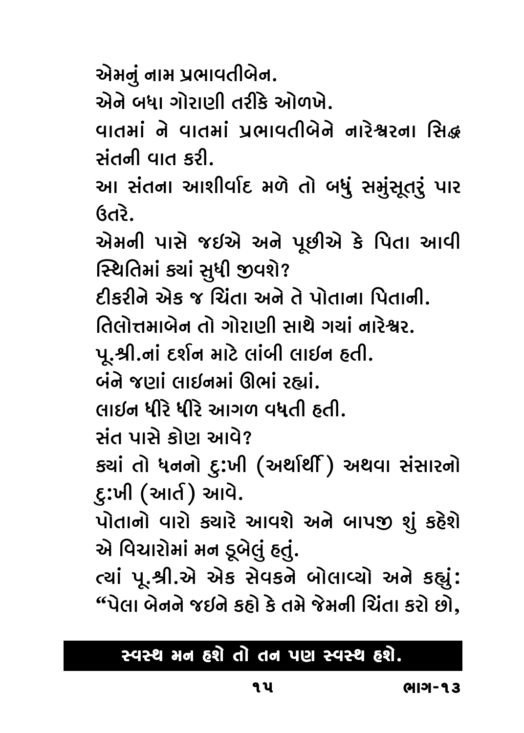આે .<br>એને બંધા ગોરાણી તરીકે ઓળખે.<br>બાતમાં તે. વાતમાં પભાવતીબેને

વાતમાં ને વાતમાં પ્રભાવતીબેને નારેશ્વરના સિદ્ધ<br>સંતની વાત કરી.

આ સંતના આશીર્વાદ મળે તો બધું સમુંસૂતરું પાર<br>ઉતરે

એમની પાસે જઈએ અને પૂછીએ કે પિતા આવી ્સિતિમાં ક્યાં સુધી જીવશે?<br>સ્થિતિમાં ક્યાં સુધી જીવશે?<br>દીકરીને એક જ ચિંતા અને તે પોતાના પિતાની

<u>તિલોત્તમાબેન તો ગોરાાગી સાથે ગચાં નારેશ્વર.</u>

પૂ.શ્રી.નાં દર્શન માટે લાંબી લાઈન હતી.

 $f$ .C. woll posturing that the solution of  $\tilde{g}$ 

µ√…@ QÂoÛ√ ËÛ\$…fiÛ√ ≥IÛ√ ∑·Û√. ËÛ\$… A—∑@ A—∑@ #Û"¥ \_AE— ˜E—.

કચાં તો ધનનો દુ:ખી (અર્થાર્થી) અથવા સંસારનો<br>દ∙ાની (આર્ત) આવે

દુ:ખી (આર્ત) આવે.<br>પોતાનો વારો ક્યારે આવશે અને બાપજી શું કહેશે એ વિચારોમાં મન ડૂબેલું હતું.

ત્યાં પૂ.શ્રી.એ એક સેવકને બોલાવ્યો અને કહ્યું: .<br>''પેલા બેનને જઈને કહો કે તમે જેમની ચિંતા કરો છો,<br>\*

# Õ\_ÕZ fi… ˜B@ EÛ@ E… fo Õ\_ÕZ ˜B@. Õ\_ÕZ fi… E… fo Õ\_ÕZ ˜B@.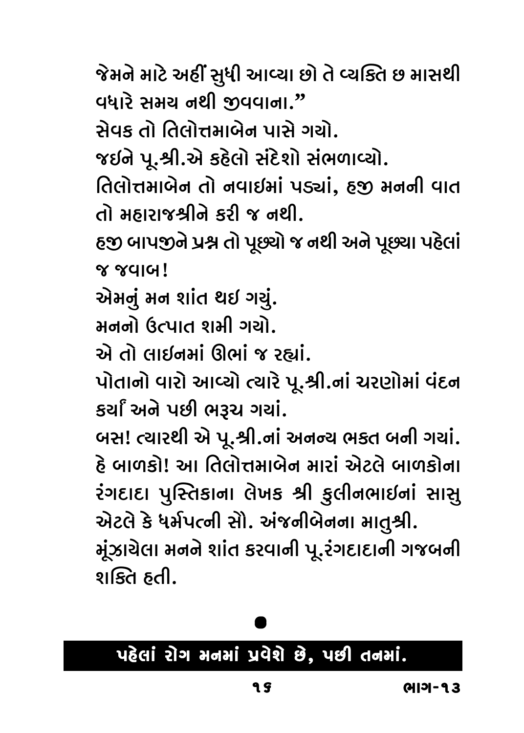જેમને માટે અહીં સુધી આવ્યા છો તે વ્યક્તિ છ માસથી વધારે સમચ નથી જીવવાના.''<br>સેવક તો તિલોત્તમાબેન પાસે ગયો.

જઈને પૂ.શ્રી.એ કહેલો સંદેશો સંભળાવ્યો.

તિલોત્તમાબેન તો નવાઈમાં પડ્યાં, હજી મનની વાત તો મઠારાજશ્રીને કરી જ નથી.

EÛ@ fi˜Û∑ÛQÂC—…@ xO∑— QÂ …Z—.  $\frac{1}{2}$  and  $\frac{1}{2}$  .  $\frac{1}{2}$  is the set of  $\frac{1}{2}$ 

એમનું મન શાંત થઈ ગયું.

 $\mu$ હિા $\epsilon$  bury) જિંતાના

એ તો લાઈનમાં ઊભાં જ રહ્યાં.

પોતાનો વારો આવ્યો ત્યારે પૂ.શ્રી.નાં ચરણોમાં વંદન કર્યાં અને પછી ભરૂચ ગયાં.

બસ! ત્યારથી એ પૂ.શ્રી.નાં અનન્ય ભકત બની ગયાં. ેઠ બાળકો! આ તિલોત્તમાબેન મારાં એટલે બાળકોના રંગદાદા પુસ્તિકાના લેખક શ્રી કુલીનભાઈનાં સાસુ ્<br>એટલે કે ધર્મપત્ની સોે. અંજનીબેનના માતુશ્રી.<br>સંજાગેલા મનને શાંત કરવાની પ રંગદાદાની ગજલની

મૂંઝાચેલા મનને શાંત કરવાની પૂ.રંગદાદાની ગજબની<br>શક્તિ હતી. B»®E ˜E—.

### -<br>प्रदे<br>१*९* f˜@ËÛ√ ∑Û@" fi…fiÛ√ fV\_@B@ ©Â@, f©Â— E…fiÛ√. f˜@ËÛ√ ∑Û@" fV\_@B@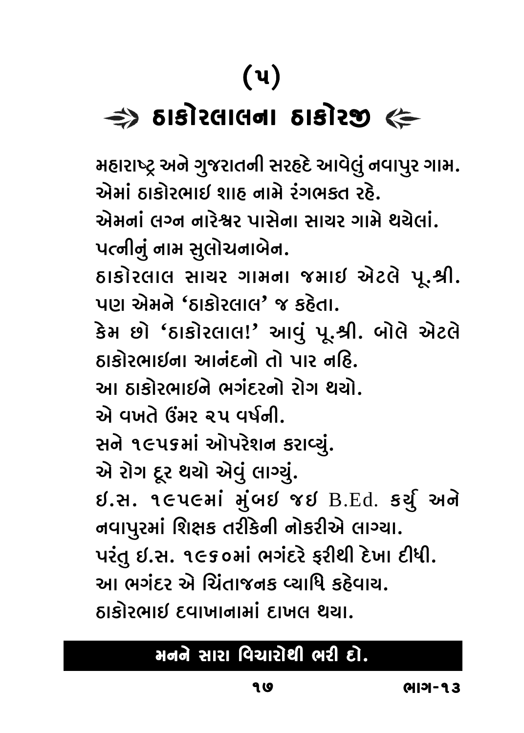## (૫)<br>خ) ઠાકોરલાલના ઠાકોરજી *દ*⇒ soù eus e douez

મહારાષ્ટ્ર અને ગુજરાતની સરહદે આવેલું નવાપુર ગામ.<br>એમાં ઠાકોરભાઈ શાહ નામે રંગભકત રહે. એમનાં લગ્ન નારેશ્વર પાસેના સાચર ગામે થચેલાં. પત્નીનું નામ સુલોચનાબેન. 6।કોરલાલ સાચર ગામના જમાઈ એટલે પૂ.શ્રી. \_<br>પણ એમને 'ઠાકોરલાલ' જ કહેતા.<br>કેસ છો 'ઠાકોરલાલ!' આવં પ શ્રી બોલે એટલે &ેમ છો 'ઠાકોરલાલ!' આવું પૂ.શ્રી. બોલે એટલે<br>ઠાકોરભાઈના આનંદનો તો પાર નહિ આ ઠાકોરભાઈને ભગંદરનો રોગ થયો. એ વખતે ઉંમર ૨૫ વર્ષની. સને ૧૯૫૬માં ઓપરેશન કરાવ્યું. એ રોગ દૂર થયો એવું લાગ્યું. #@ ∑Û@" p\O∑ Z}Û@ #@\_⁄√ ËÛa}⁄√. ઇ.સ. ૧૯૫૯માં મુંબઇ જઇ B.Ed. કર્યુ અને<br>નવાપરમાં ઊશ્વક તરીકેની નોકરીએ લાગ્યા ્<br>પરંતુ ઈ.સ. ૧૯૬૦માં ભગંદરે ફરીથી દેખા દીધી.<br>આ ભગંદર એ ઊંતાજનક લ્યાધિ કઠેવાય આ ભગંદર એ ચિંતાજનક વ્યાધિ કહેવાચ.<br>ઠાકોરભાઈ દવાખાનામાં દાખલ થચા. sOÛxOÛ@∑IÛ\$ pO\_Û«Û…ÛfiÛ√ pOÛ«Ë Z}Û.

### fi……@ YÛ∑Û w\_{Û∑Û@Z— I∑— pOÛ@. fi……@ YÛ∑Û w\_{Û∑Û@Z—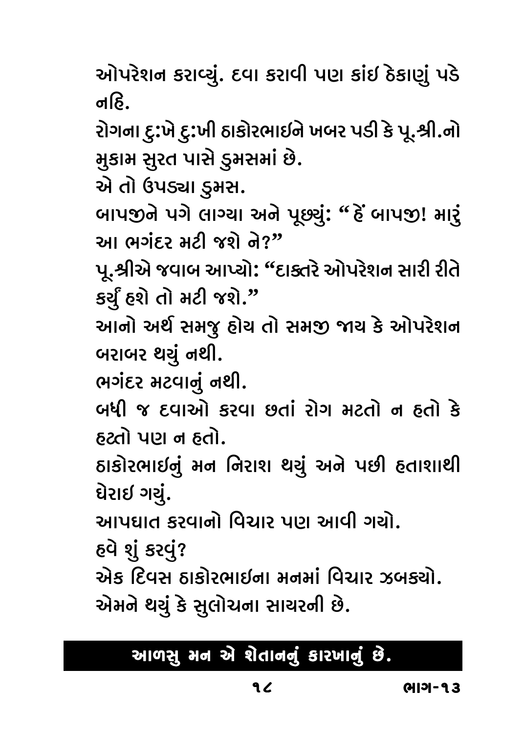ઓપરેશન કરાવ્યું. દવા કરાવી પણ કાંઈ ઠેકાણું પડે<br>નહિ

રોગના દુ:ખે દુ:ખી ઠાકોરભાઈને ખબર પડી કે પૂ.શ્રી.નો ગુકામ સુરત પાસે ડુમસમાં છે.

એ તો ઉપડ્યા ડુમસ.

.<br>બાપજીને પગે લાગ્યા અને પૂછ્યું: "ેહં બાપજી! મારું<br>આ બગંદર મૂટી જશે તે?'' <u>આ ભગંદર મૂટી જશે તેર?</u>

પૂ.શ્રીએ જવાબ આપ્યો**: ''**દાક્તરે ઓપરેશન સારી રીતે

કર્યું હશે તો મટી જશે.''<br>આનો અર્થ સમજુ હોચ તો સમજી જાચ કે ઓપરેશન બરાબર થયું નથી.

ભગંદર મટવાનું નથી.

∵∽∽∽∽∽……<br>બધી જ દવાઓ કરવા છતાં રોગ મટતો ન હતો કે<br>ફટ્યો પણ ન ફ્યો

ઠાકોરભાઈનું મન નિરાશ થયું અને પછી હતાશાથી ઘેરાઈ ગયું.

આપઘાત કરવાનો વિચાર પણ આવી ગયો.

હવે શું કરવું?

એક દિવસ ઠાકોરભાઈના મનમાં વિચાર ઝબક્યો.

એમને થયું કે સુલોચના સાચરની છે.  $\mathcal{O}$   $\mathcal{O}$ 

# આળસુ મન એ શેતાનનું કારખાનું છે.<br>^^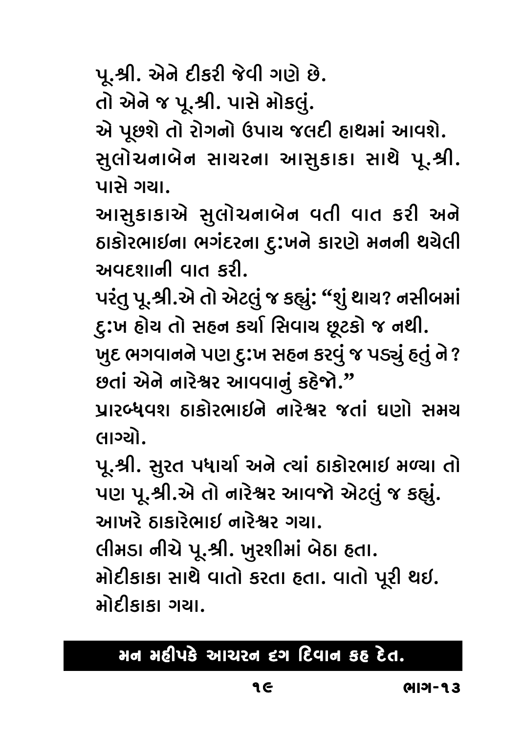પૂ.શ્રી. એને દીકરી જેવી ગણે છે.<br>તો એને જ પૂ.શ્રી. પાસે મોકલું.

એ પૂછશે તો રોગનો ઉપાચ જલદી હાથમાં આવશે.

સુલોચનાબેન સાચરના આસુકાકા સાથે પૂ.શ્રી. પાસે ગચા

આસુકાકાએ સુલોચનાબેન વતી વાત કરી અને ઠાકોરભાઈના ભગંદરના દૃ:ખને કારણે મનની થચેલી અવદશાની વાત કરી.

#\_pOBÛ…— \_ÛE xO∑—. f∑√E⁄ f\.C—.#@ EÛ@ #@ŸOË⁄√ Q xO·⁄√: **"**B⁄√ ZÛ}? …Y—µfiÛ√

દુ:ખ હોચ તો સહન કર્ચા સિવાચ છૂટકો જ નથી.<br>ખુદ ભગવાનને પણ દુ:ખ સહન કરવું જ પડ્યું હતું ને ? ્<sub>ઝ</sub><br>છતાં એને નારેશ્વર આવવાનું કહેજો.''<br>પાગ્બ્ધવશા કાકોગ્ર્યાહીને નારેશ્વર જતાં ઘાગો સમર્ય

પ્રારબ્ધવશ ઠાકોરભાઈને નારેશ્વર જતાં ઘણો સમચ<br>લાગ્ચો.

પૂ.શ્રી. સુરત પધાર્યા અને ત્યાં ઠાકોરભાઈ મળ્યા તો<br>પણ પાસી એ તો નારેશ્વર આવજો એટલું જ કહ્યું પણ પૂ.શ્રી.એ તો નારેશ્વર આવજો એટલું જ કહ્યું.<br>આખરે ઠાકારેભાઈ નારેશ્વર ગચા.

લીમડા નીચે પૂ.શ્રી. ખુરશીમાં બેઠા હતા.

મોદીકાકા સાથે વાતો કરતા હતા. વાતો પૂરી થઈ. <u>મોદીકાકા ગચા.</u> fiÛ@pO—xOÛxOÛ "}Û.

# e - Big Bad an Malus was an Malus<br>Pe - Malo - 13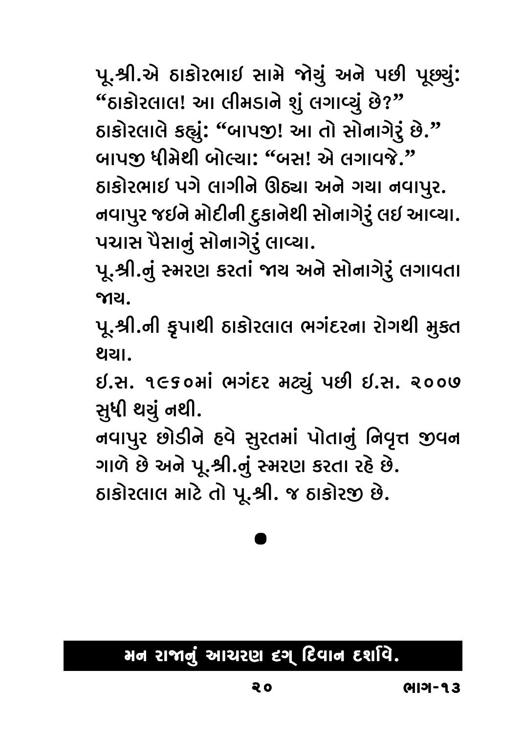<sub>.</sub><br>"ઠાકોરલાલ! આ લીમડાને શું લગાવ્યું છે?"<br>દાકોરલાલે કહાં: "બાપજા! આ તો સોનાગેરં છે." sOÛxOÛ@∑ËÛË@ xO·⁄√: **"**µÛfu! #Û EÛ@ YÛ@…Û"@∑⁄√ ©Â@.**"** બાપજી ધીમેથી બોલ્ચા: ''બસ! એ લગાવજે.''<br>ઠાકોરભાઈ પગે લાગીને ઊઠ્યા અને ગયા નવાપુર. નવાપુર જઈને મોદીની દુકાનેથી સોનાગેરું લઈ આવ્યા. પચાસ પૈસાનું સોનાગેરૂં લાવ્યા.

પૂ.શ્રી.નું સ્મરણ કરતાં જાય અને સોનાગેરૂં લગાવતા f\.C—.…⁄√ Õfi∑o xO∑EÛ√ } #…@ YÛ@…Û"@∑⁄√ Ë"Û\_EÛ

.<br>}ב וו for the internal conduction of the internal conduction of the internal conduction of the internal conduction of the i<br>December of the internal conduction of the internal conduction of the internal conduction of the intern

ઈ.સ. ૧૯૬૦માં ભગંદર મટ્યું પછી ઈ.સ. ૨૦૦૭ \$.Y. 1960fiÛ√ I"√pO∑ fij⁄√ f©Â— \$.Y. 2007 Y⁄A— Z}⁄√ …Z—.

નવાપુર છોડીને હવે સુરતમાં પોતાનું નિવૃત્ત જીવન<br>ગાળે છે અને પૂ.શ્રી.નું સ્મરણ કરતા રહે છે.

 $\frac{1}{2}$ @ for fax of  $\frac{1}{2}$  of  $\frac{1}{2}$  of  $\frac{1}{2}$  and  $\frac{1}{2}$  $\sim$ 

# મન રાજાનું આચરણ દગ્ દિવાન દર્શાવે.<br>કર

.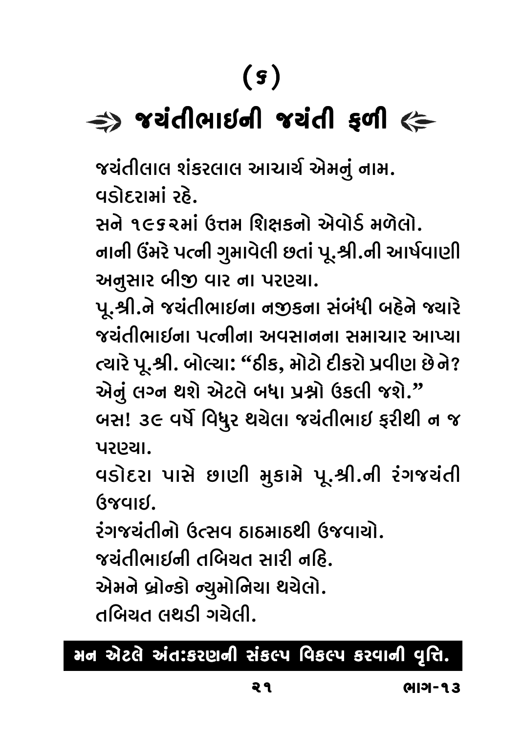### $\frac{1}{\sqrt{2}}$ QÂ}√E—IÛ\$…— QÂ}√E— l¥— l¥—QÂ}√E—IÛ\$…—

જચંતીલાલ શંકરલાલ આચાર્ચ એમનું નામ.<br>વડોદરામાં રહે.

સને ૧૯૬૨માં ઉત્તમ શિક્ષકનો એવોર્ડ મળેલો. નાની ઉંમરે પત્ની ગુમાવેલી છતાં પૂ.શ્રી.ની આર્ષવાણી અનુસાર બીજી વાર ના પરણ્યા.

…<br>પૂ.શ્રી.ને જચંતીભાઈના નજીકના સંબંધી બહેને જ્યારે<br>જચંતીભાઈના પત્નીના અવસાનના સમારાણ આપચા ,<br>ત્યારે પૂ.શ્રી. બોલ્યા: ''ઠીક, મોટો દીકરો પ્રવીણ છે*ને*?<br>એનું લગ્ન શશે એટલે બધા પ્રશ્નો ઉકલી જશે '' એનું લગ્ન થશે એટલે બધા પ્રશ્નો ઉકલી જશે."

બસ! ૩૯ વર્ષે વિધુર થચેલા જચંતીભાઇ ફરીથી ન જ<br>પરાગ્યા

વડોદરા પાસે છાણી મુકામે પૂ.શ્રી.ની રંગજચંતી  $\sim$   $\sim$   $\sim$   $\sim$   $\sim$   $\sim$   $\sim$   $\sim$ 

રંગજચંતીનો ઉત્સવ ઠાઠમાઠથી ઉજવાચો.

&ગ્નંતીભાઈથી પભુાગ્રત સારી વહિ<sup>.</sup>

એમને બ્રોન્કો ન્યુમોનિયા થયેલો.

તબિચત લશડી ગચેલી. Ewµ}E ËZ¤O— "}@Ë—.

# ing એટલે અંત:કરણની સંકલ્પ વિકલ્પ કરવાની વૃત્તિ.<br>દ૧–ાણા©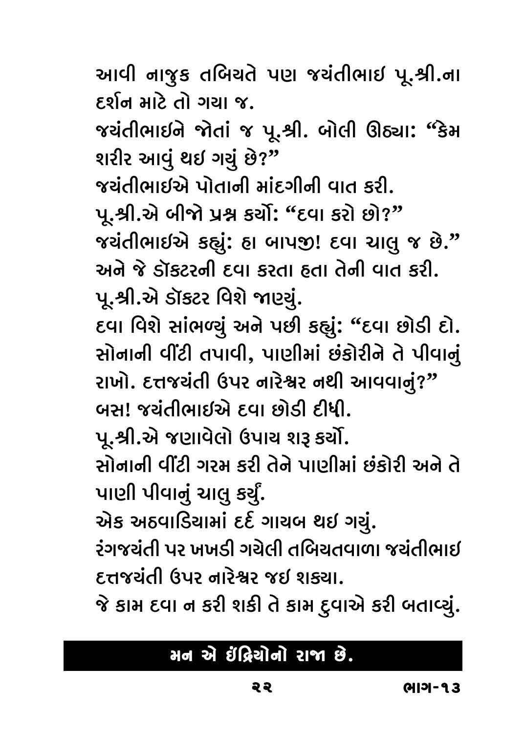આવી નાજુક તબિચતે પણ જચંતીભાઈ પૂ.શ્રી.ના<br>દર્શન માટે તો ગયા જ pOB™… fiÛŸ@O EÛ@ "}Û QÂ. QÂ}√E—IÛ\$…@ @EÛ√ QÂ f\.C—. µÛ@Ë— ≥ÿÛ: **"**x@Ofi શરીર આવું થઇ ગચું છે?''<br>જચંતીભાઈએ પોતાની માંદગીની વાત કરી. પૂ.શ્રી.એ બીજો પ્રશ્ન કર્યો: "દવા કરો છો?"<br>જગંતીભા<sup>ડ(</sup>એ કહ્યું: ઘ્રા ભાપજા! દવા રાાલ જચંતીભાઇએ કહ્યું: હા બાપજી! દવા ચાલુ જ છે.''<br>અને જે ડૉકટરની દવા કરતા હતા તેની વાત કરી. પૂ.શ્રી.એ ડૉકટર વિશે જાણ્યું. ્<br>દવા વિશે સાંભળ્યું અને પછી કહ્યું: ''દવા છોડી દો.<br>સોનાની વીંટી તમાવી, માણીમાં છંકોરીને તે મીવાનં <sub>રાખોે</sub>. દત્તજચંતી ઉપર નારેશ્વર નથી આવવાનું?''<br>બસા જચંતીભાઈએ દવા છોડી દીધી બસ! જચંતીભાઈએ દવા છોડી દીધી.<br>પૂ.શ્રી.એ જણાવેલો ઉપાચ શરૂ કર્યો. સોનાની વીંટી ગરમ કરી તેને પાાગીમાં છંકોરી અને તે પાણી પીવાનું ચાલુ કર્યું. એક અઠવાડિયામાં દર્દ ગાચબ થઈ ગયું. આજચંતી પર ખખડી ગચેલી તબિચતવાળા જચંતીભાઈ  $\varepsilon$ ત્તજચંતી ઉપર નારેશ્વર જઈ શક્યા.  $\phi$  enternales botanische  $\phi$  $\circ$ 

### $f(x) = \frac{1}{2}$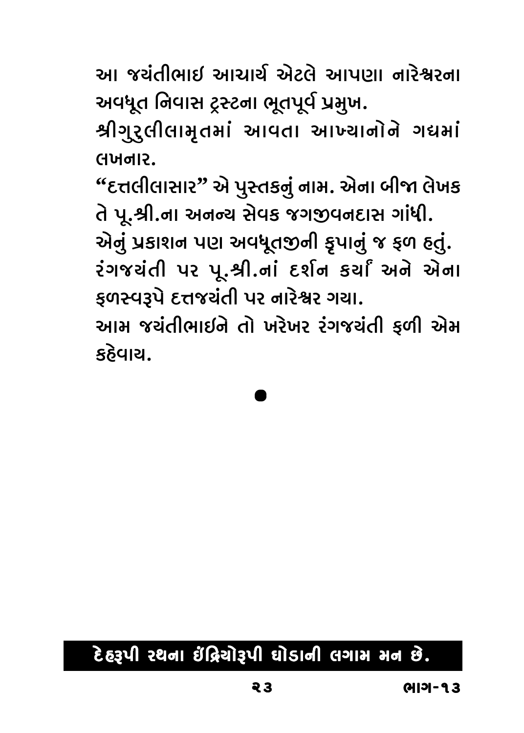આ જચંતીભાઈ આચાર્ચ એટલે આપણા નારેશ્વરના અવધૂત નિવાસ ટ્રસ્ટના ભૂતપૂર્વ પ્રમુખ.<br>શ્રીગરલીલાસતમાં આવતા આખ્યાનોને ગુધર્મા

— ∕∑∕∕∕™∑∕°™∆∆ #Û∰∕∆©™∑∕∑∕∕™<br>∩

''દત્તલીલાસાર'' એ પુસ્તકનું નામ. એના બીજા લેખક<br>તે પશ્ચી તા અનુન્ય સેવક જગજવનદાસ ગાંધી તે પૂ.શ્રી.ના અનન્ય સેવક જગજીવનદાસ ગાંધી.

એનું પ્રકાશન પણ અવધૂતજીની કૃપાનું જ ફળ હતું.<br>રંગજચંતી પર પૂ.શ્રી.નાં દર્શન કર્યાં અને એના ફળસ્વરૂપે દત્તજચંતી પર નારેશ્વર ગ**યા.** 

આમ જચંતીભાઇને તો ખરેખર રંગજચંતી ફળી એમ  $\mathcal{L}$ xO˜@\_Û}.

.

# ે દરૂપી રથના ઇંબ્રિયોરૂપી ઘોડાની લગામ મન છે.<br>દરૂઆ હાલ હવ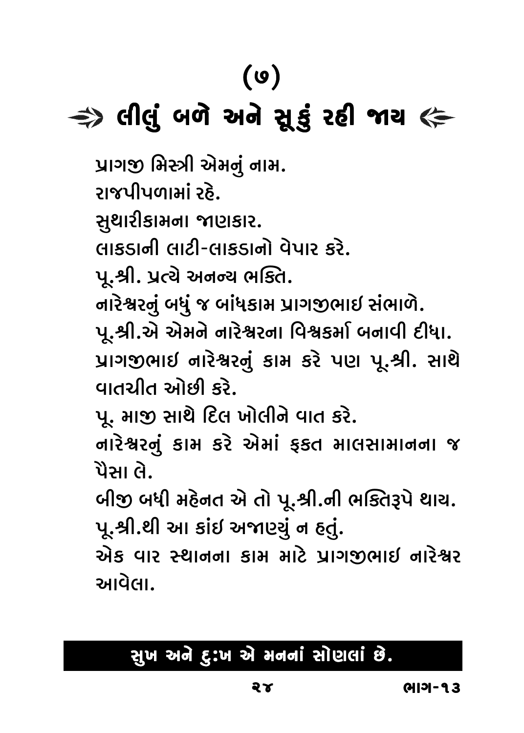### $\sim$  $\cdots$   $\cdots$   $\cdots$   $\cdots$   $\cdots$   $\cdots$   $\cdots$

પ્રાગજી મિસ્ત્રી એમનું નામ.<br>રાજપીપળામાં રહે. સુથારીકામના જાણકાર. લાકડાની લાટી-લાકડાનો વેપાર કરે. પૂ.શ્રી. પ્રત્યે અનન્ય ભક્તિ. ૂ<br>નારેશ્વરનું બધું જ બાંધકામ પ્રાગજીભાઈ સંભાળે.<br>પ શ્રી એ એમને નારેશ્વરના વિશ્વદર્મા બનાવી *દ* પૂ.શ્રી.એ એમને નારેશ્વરના વિશ્વકર્મા બનાવી દીધા.<br>પ્રાગજીભાઈ નારેશ્વરનું કામ કરે પણ પૂ.શ્રી. સાથે <u>વાતચીત ઓછી કરે.</u> પૂ. માજી સાથે દિલ ખોલીને વાત કરે. નારેશ્વરનું કામ કરે એમાં ફક્ત માલસામાનના જ ોેસા તે. ્………<br>બીજી બધી મહેનત એ તો પૂ.શ્રી.ની ભક્તિરૂપે થાય.<br>૫ શ્રી શ્રી આ કાંઈ અજાણ્યું ન કતું પૂ.શ્રી.થી આ કાંઈ અજાણ્યું ન હતું.<br>એક વાર સ્થાનના કામ માટે પ્રાગજીભાઈ નારેશ્વર #@xO \_Û∑ ÕZÛ……Û xOÛfi fiÛŸ@O fVÛ"uIÛ\$ …Û∑@U∑

# સુખ અને દુ:ખ એ મનનાં સોણલાં છે.<br>રજ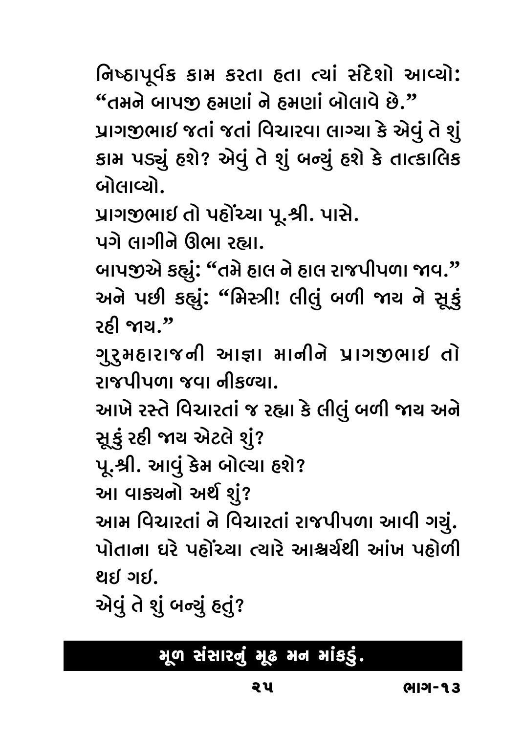w…vOÛf\\_™xO xOÛfi xO∑EÛ ˜EÛ '}Û√ Y√p@OBÛ@ #Û[}Û@: **"**Efi…@ µÛfu ˜fioÛ√ …@ ˜fioÛ√ µÛ@ËÛ\_@ ©Â@.**"**

પ્રાગજીભાઈ જતાં જતાં વિચારવા લાગ્ચા કે એવું તે શું<br>કામ પડ્યું હશે? એવું તે શું બન્યું હશે કે તાત્કાલિક બોલા**લ્યો** 

પ્રાગજીભાઈ તો પહોંચ્યા પૂ.શ્રી. પાસે.

પગે લાગીને ઊભા રહ્યા

f"@ ËÛ"—…@ ≥IÛ ∑·Û. µÛfu#@ xO·⁄√: **"**Efi@ ˜ÛË …@ ˜ÛË ∑ÛQÂf—f¥Û \_.**"** અને પછી કહ્યું: ''મિસ્ત્રી! લીલું બળી જાચ ને સૂકું

ર**હી જાય."**<br>ગુરુમહારાજની આજ્ઞા માનીને પ્રાગજીભાઈ તો ગજપીપળા જવા નીકળ્યા.

આખે રસ્તે વિચારતાં જ રહ્યા કે લીલું બળી જાચ અને સૂ ફું રહી જાય એટલે શું?

પૂ.શ્રી. આવું કેમ બોલ્ચા હશે?

આ વાક્યનો અર્થ શું?

આમ વિચારતાં ને વિચારતાં રાજપીપળા આવી ગયું. પોતાના ઘરે પહોંચ્યા ત્યારે આશ્ચર્યથી આંખ પહોળી fÛ@EÛ…Û n∑@ f˜Û@> }Û '}Û∑@ #ÛŒ}™Z— #Û√« f˜Û@¥—

એવું તે શું બન્યું હતું?  $\bullet$   $\bullet$   $\bullet$   $\bullet$   $\bullet$ 

# ે કૂળ સંસારનું મૂઢ મન માંકડું.<br>અચ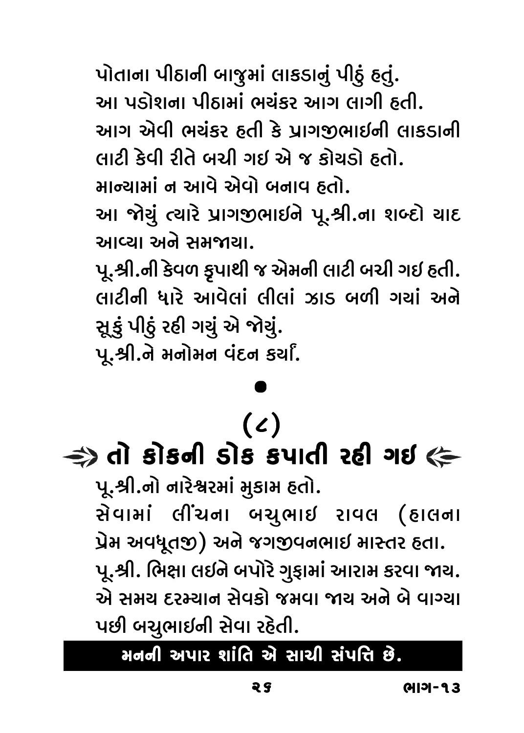પોતાના પીઠાની બાજુમાં લાકડાનું પીઠું હતું.<br>આ પડોશના પીઠામાં ભચંકર આગ લાગી ઠતી. આગ એવી ભચંકર હતી કે પ્રાગજીભાઈની લાકડાની લાટી કેવી રીતે બચી ગઈ એ જ કોચડો હતો. માન્યામાં ન આવે એવો બનાવ હતો.

આ જોયું ત્યારે પ્રાગજીભાઈને પૂ.શ્રી.ના શબ્દો ચાદ આવ્યા અને સમજાયા

પૂ.શ્રી.ની કેવળ કૃપાથી જ એમની લાટી બચી ગઈ હતી. ્ર માયા આ કરવામાં આવે છે.<br>લાટીની ધારે આવેલાં લીલાં ઝાડ બળી ગયાં અને<br>સક્રંગીકં રૂઠી ગયું એ જેચં

Y\ xÂ⁄√ f—s⁄√O ∑˜— "}⁄√ #@ @}⁄√.  $\sim$ 

# -<br>(८)<br>ธ ธ

પૂ.શ્રી.નો નારેશ્વરમાં મુકામ હતો.

<u>સેવામાં લીંચના બચુભાઈ રાવલ (હાલના</u> Y@\_ÛfiÛ√ Ë—>{…Û µ{⁄IÛ\$ ∑Û\_Ë (˜ÛË…Û fV@fi #\_A\Eu) #…@ Q"u\_…IÛ\$ fiÛÕE∑ ˜EÛ. પૂ.શ્રી. ભિક્ષા લઈને બપોરે ગુફામાં આરામ કરવા જાચ.<br>એ સમય દરમ્યાન સેવકો જમવા જાય અને બે વાગ્યા પછી બચુભાઈની સેવા રહેતી.

### FOR THE PARTY OF THE ENDING: fi……— #fÛ∑ BÛ√wE #@ YÛ{— Y√fw˙ ©Â@. fi……— #fÛ∑ BÛ√wE Y√fw˙ ©Â@.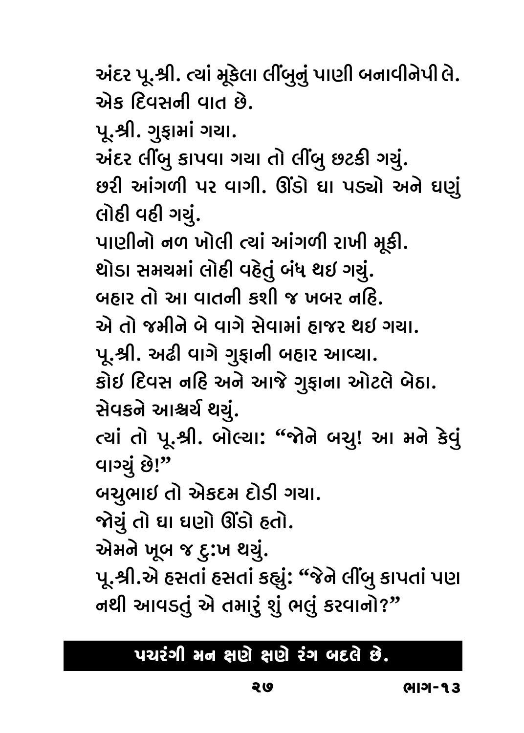$AIO-9.3$ 

# ે પચરંગી મન ક્ષણે ક્ષણે રંગ બદલે છે.<br>ચૂહ

એ તો જમીને બે વાગે સેવામાં ઠાજર થઈ ગયા. પૂ.શ્રી. અઢી વાગે ગુફાની બહાર આવ્યા. કોઈ દિવસ નહિ અને આજે ગુફાના ઓટલે બેઠા. સેવકને આશ્ચર્ય થયું. Y@\_xO…@ #ÛŒ}™ Z}⁄√. '}Û√ EÛ@ f\.C—. µÛ@º}Û: **"**@…@ µ{⁄! #Û fi…@ x@O\_⁄√ વાગ્યું છે!''<br>બચુભાઈ તો એકદમ દોડી ગયા**.**  $\hat{d}$ ચે તો ઘા ઘણો ઊંડો હતો. એમને ખૂબ જ દુ:ખ થયું. .<br>પૂ.શ્રી.એ હસતાં હસતાં કહ્યું: ''જેને લીંબુ કાપતાં પણ<br>નથી આવડતં એ તમારં શું ભલં કરવાનો?'' <u>નથી આવડતું એ તમારૂં શું ભલું કરવાનો?"</u>

લોહી વહી ગયું.

અંદર લીંબુ કાપવા ગયા તો લીંબુ છટકી ગયું.

અંદર પૂ.શ્રી. ત્યાં મૂકેલા લીંબુનું પાણી બનાવીનેપી લે.<br>એક દિવસની વાત છે.

છરી આંગળી પર વાગી. ઊંડો ઘા પડ્યો અને ઘણું

પાણીનો નળ ખોલી ત્યાં આંગળી રાખી મૂકી.

fÛo—…Û@ …¥ «Û@Ë— '}Û√ #Û√"¥— ∑Û«— fi\xOfl. ZÛ@¤OÛ Yfi}fiÛ√ ËÛ@˜— \_˜@E⁄√ µ√A Z\$ "}⁄√.

પૂ.શ્રી. ગુફામાં ગયા.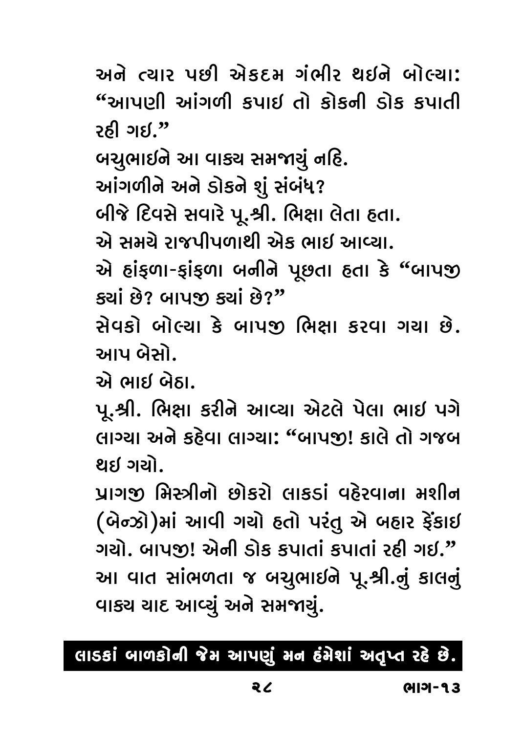અને ત્યાર પછી એકદમ ગંભીર થઇને બોલ્ચા: ...<br><sup>''</sup>આપણી આંગળી કપાઈ તો કોકની ડોક કપાતી<br>રૂકી ગુહ*ે* 

રહી ગઈ.''<br>બચુભાઈને આ વાક્ય સમજા<u>યું</u> નહિ.

્<br>આંગળીને અને ડોકને શું સંબંધ?<br>બીજે દિવસે સવારે ૫ શ્રી િ ભ્રિશ્ના લેત્

બીજે દિવસે સવારે પૂ.શ્રી. ભિક્ષા લેતા હતા.<br>એ સમગ્રે ગજપીપળાથી એક ભાઈ આવ્યા

્ર<br>એ હાંફળા-ફાંફળા બનીને પૂછતા હતા કે "બાપજી<br>કચાં છે? બાપજ કચાં છે?" ક્યાં છે? બાપજી ક્યાં છે?''<br>સેવકો બોલ્યા કે બાપજી ભિક્ષા કરવા ગયા છે.

આપ બેસો

એ ભાર્ય બેઠા

પૂ.શ્રી. ભિક્ષા કરીને આવ્યા એટલે પેલા ભાઈ પગે ્ર્રેલ્ સ્ટેટિયન કર્યો કર્યો કર્યો કર્યો કર્યો છે.<br>લાગ્યા અને કહેવા લાગ્યા: "બાપજી! કાલે તો ગજબ<br>શહે ગયો

પ્રાગજી મિસ્ત્રીનો છોકરો લાકડાં વહેરવાના મશીન (બેન્ઝો)માં આવી ગયો હતો પરંતુ એ બહાર ફેંકાઈ (µ@±•Û@)fiÛ√ #Û\_— "}Û@ ˜EÛ@ f∑√E⁄ #@ µ˜Û∑ l@>xOÛ\$ "}Û@. µÛfu! #@…— ¤OÛ@xO xOfÛEÛ√ xOfÛEÛ√ ∑˜— "\$.**"** આ વાત સાંભળતા જ બચુભાઈને પૂ.શ્રી.નું કાલનું<br>વાકચ ચાદ આવ્યું અને સમજાયું.  $\frac{d}{dx}$ 

# ે કિંગે આ ગીફો જો આપણું માત્ર કેલેશો આદિવાડી સારી માત્ર હોય છે.<br>દિવસ દિવસ માત્ર માત્ર કેલે જો માત્ર માત્ર કેલે<br>દિવસ દિવસ દિવસ દિવસ માત્ર માત્ર કેલે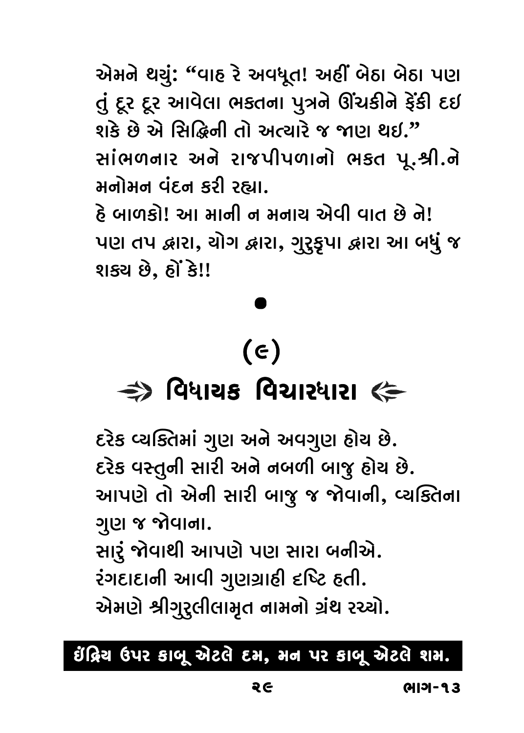એમને થયું: ''વાહ રે અવધૂત! અહીં બેઠા બેઠા પણ<br>તું દૂર દૂર આવેલા ભક્તના પુત્રને ઊંચકીને ફેંકી દઈ <sub>ુ ફર</sup> કરવા માટે કરવા મળવા છે.<br>શકે છે એ સિદ્ધિની તો અત્યારે જ જાણ થઇ."<br>સાંભળનાર અને રાજપીપળાનો ભક્ત પ શ્રી ને</sub> સાંભળનાર અને રાજપીપળાનો ભકત પૂ.શ્રી.ને<br>મનોમન વંદન કરી રહ્યા.

<u>હે બાળકો! આ માની ન મનાચ એવી વાત છે ને!</u> ૅ<br>પણ તપ દ્વારા, ચોગ દ્વારા, ગુરુકૃપા દ્વારા આ બધું જ<br>શક્ય છે. કો કે!!  $\mathbb{R}^2$  of  $\mathbb{R}^2$  of  $\mathbb{R}^2$ 

### $(e)$  $\sim$ <mark>વિધાચક વિચારધારા</mark>

દરેક વ્યક્તિમાં ગુણ અને અવગુણ હોચ છે.<br>દરેક વસ્તુની સારી અને નબળી બાજુ હોચ છે. આપણે તો એની સારી બાજુ જ જોવાની, વ્યક્તિના ગણ જ જોવાના. સારૂં જોવાથી આપણે પણ સારા બનીએ. રંગદાદાની આવી ગુણગ્રાહી દષ્ટિ હતી.  $\tilde{\mathcal{L}}$ cc iaic (enthe Principologue) boyde  $\overline{C}$   $\overline{C}$   $\overline{C}$ 

# \$˚wß} &f∑ xOÛµ\ #@ŸOË@ pOfi, fi… f∑ xOÛµ\ #@ŸOË@ Bfi. \$˚wß} &f∑ xOÛµ\ #@ŸOË@ pOfi, f∑ xOÛµ\ #@ŸOË@ Bfi.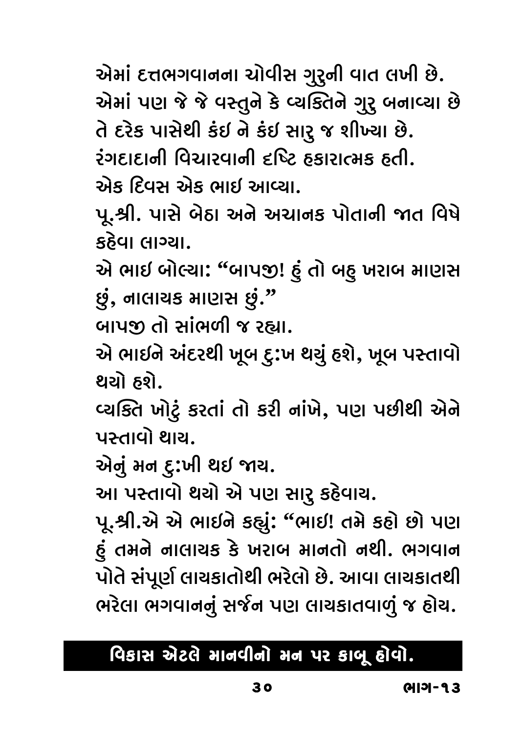એમાં દત્તભગવાનના ચોવીસ ગુરૂની વાત લખી છે. એમાં પણ જે જે વસ્તુને કે વ્યક્તિને ગુરૂ બનાવ્યા છે તે દરેક પાસેથી કંઈ ને કંઈ સારૂ જ શીખ્યા છે. રંગદાદાની વિચારવાની દષ્ટિ હકારાત્મક હતી. એક દિવસ એક ભાઈ આવ્યા.

પૂ.શ્રી. પાસે બેઠા અને અચાનક પોતાની જાત વિષે કઠેવા લાગ્યા.

એ ભાઈ બોલ્ચા: ''બાપજી! હું તો બહુ ખરાબ માણસ છું, નાલાચક માણસ છું."

બાપજી તો સાંભળી જ રહ્યા.

એ ભાઈને અંદરથી ખૂબ દુ:ખ થયું હશે, ખૂબ પસ્તાવો હિત દિવાર

વ્યક્તિ ખોટું કરતાં તો કરી નાંખે, પણ પછીથી એને પસ્તાવો થાચ.

એનું મન દુ:ખી થઇ જાય.

આ પસ્તાવો થયો એ પણ સારુ કહેવાય.

પૂ.શ્રી.એ એ ભાઈને કહ્યું: ''ભાઈ! તમે કહો છો પણ હું તમને નાલાયક કે ખરાબ માનતો નથી. ભગવાન પોતે સંપૂર્ણ લાચકાતોથી ભરેલો છે. આવા લાચકાતથી ભરેલા ભગવાનનું સર્જન પણ લાચકાતવાળું જ હોચ.

#### વિકાસ એટલે માનવીનો મન પર કાબૂ હોવો.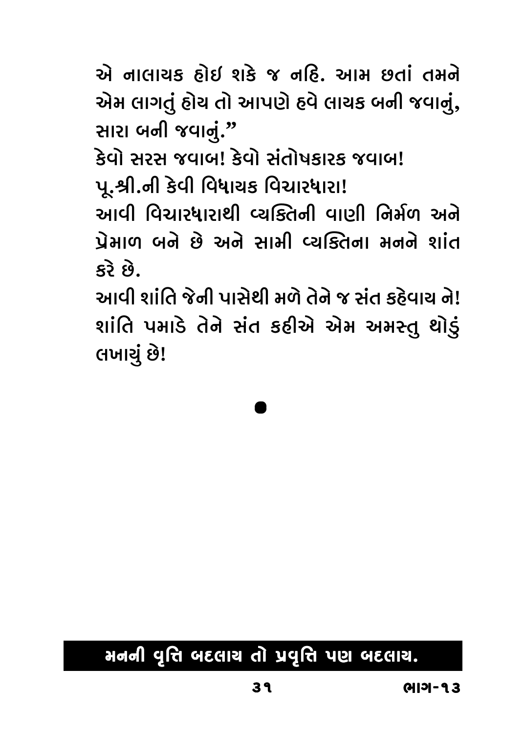એ નાલાચક હોઈ શકે જ નહિ. આમ છતાં તમને એમ લાગતું હોચ તો આપણે હવે લાચક બની જવાનું, સારા બની જવાનું."

કેવો સરસ જવાબ! કેવો સંતોષકારક જવાબ!

પૂ.શ્રી.ની કેવી વિધાચક વિચારધારા!

આવી વિચારધારાથી વ્યક્તિની વાણી નિર્મળ અને પેમાળ બને છે અને સામી વ્યક્તિના મનને શાંત કરે છે.

આવી શાંતિ જેની પાસેથી મળે તેને જ સંત કઠેવાચ ને! શાંતિ પમાડે તેને સંત કહીએ એમ અમસ્<u>ત</u> થોડું લખાચું છે!

### मननी पृति બદલाय तो प्रपृति पણ બદલાય.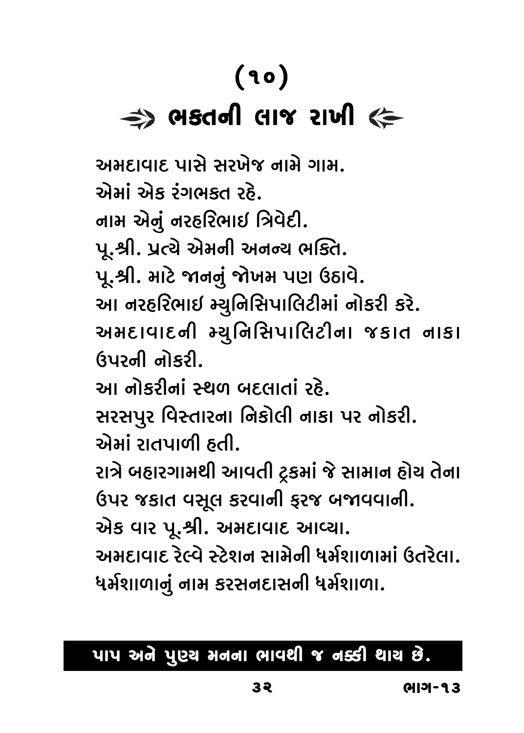## $(10)$  $\sum_{i=1}^{n}$

એમાં એક રંગભકત રહે. <u>નામ એનું નરહરિભાઈ ત્રિવેદી.</u> પૂ.શ્રી. પ્રત્યે એમની અનન્ય ભક્તિ. પૂ.શ્રી. માટે જાનનું જોખમ પણ ઉઠાવે. આ નરહરિભાઈ મ્યુનિસિપાલિટીમાં નોકરી કરે. અમદાવાદની મ્યુનિસિપાલિટીના જકાત નાકા (રંપગ્ની નોકરી <u>આ નોકરીનાં સ્થળ બદલાતાં રહે.</u> સરસપુર વિસ્તારના નિકોલી નાકા પર નોકરી.  $\Omega$ તેમાં રાતપાળી ઠતી રાત્રે બહારગામથી આવતી ટ્રકમાં જે સામાન હોચ તેના ઉપર જકાત વસૂલ કરવાની ફરજ બજાવવાની. એક વાર પૂ.શ્રી. અમદાવાદ આવ્યા. .<br>અમદાવાદ રેલ્વે સ્ટેશન સામેની ધર્મશાળામાં ઉતરેલા.<br>ધર્મશાળાનું નામ કરસનદાસની ધર્મશાળા ધર્મશાળાનું નામ કરસનદાસની ધર્મશાળા.

# . 114 અને પુણ્ય મનના ભાવથી જ નક્કી થાય છે<br>સ્થાન-૧૩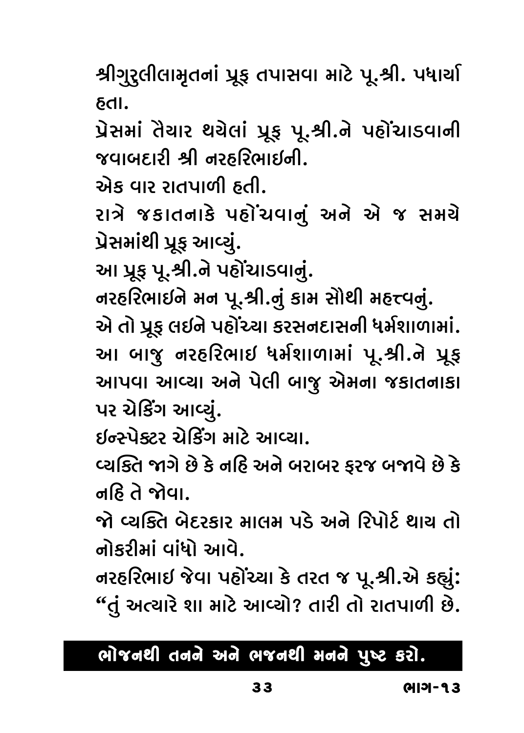શ્રીગુરુલીલામૃતનાં પ્રૂફ તપાસવા માટે પૂ.શ્રી. પધાર્યા<br>હતા.

પ્રેસમાં તૈયાર થયેલાં પ્રૂફ પૂ.શ્રી.ને પહોંચાડવાની જવાબદારી શ્રી નરહરિભાઈની.

એક વાર રાતપાળી હતી.

રાત્રે જકાતનાકે પહોંચવાનું અને એ જ સમચે પ્રેસમાંથી પ્રૂફ આવ્યું.

આ પ્રૂફ પૂ.શ્રી.ને પહોંચાડવાનું.

નરહરિભાઈને મન પૂ.શ્રી.નું કામ સૌથી મહત્ત્વનું. ્ર<br>એ તો પ્રૂફ લઈને પહોંચ્યા કરસનદાસની ધર્મશાળામાં.<br>આ બાજ તરફરિભાઈ ધર્મશાળામાં ૫ શ્રી તે ૫ક આ બાજુ નરહરિભાઈ ધર્મશાળામાં પૂ.શ્રી.ને પ્રૂફ<br>આપવા આવ્યા અને પેલી બાજુ એમના જકાતનાકા પર ચેકિંગ આવ્યું.

ઈન્સ્પેક્ટર ચેકિંગ માટે આવ્યા.

વ્યક્તિ જાગે છે કે નહિ અને બરાબર ફરજ બજાવે છે કે  $\overline{\phantom{a}}$ ન્નિકિ તે જોવા $\overline{\phantom{a}}$ 

જો વ્યક્તિ બેદરકાર માલમ પડે અને રિપોર્ટ થાય તો @ [}»®E µ@pO∑xOÛ∑ fiÛËfi f¤@O #…@ w∑fÛ@Ÿ™O ZÛ} EÛ@ …Û@xO∑—fiÛ√ \_Û√AÛ@ #Û\_@.

…∑˜w∑IÛ\$ QÂ@\_Û f˜Û@> }Û x@O E∑E Q f\.C—.#@ xO·⁄√: **"**E⁄√ #'}Û∑@ BÛ fiÛŸ@O #Û[}Û@? EÛ∑— EÛ@ ∑ÛEfÛ¥— ©Â@.

# IÛ@QÂ…Z— E……@ #…@ IQÂ…Z— fi……@ f⁄‰O xO∑Û@. IÛ@QÂ…Z— E……@ #…@ IQÂ…Z— fi……@ xO∑Û@.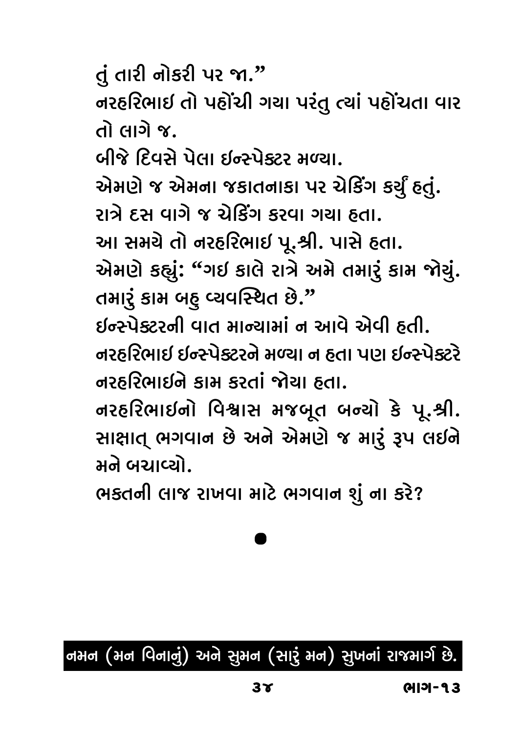તું તારી નોકરી પર જા."

નરહરિભાઈ તો પહોંચી ગચા પરંતુ ત્યાં પહોંચતા વાર તો લાગે જ.

બીજે દિવસે પેલા ઈન્સ્પેક્ટર મળ્યા.

એમણે જ એમના જકાતનાકા પર ચેકિંગ કર્યું હતું.

રાત્રે દસ વાગે જ ચેકિંગ કરવા ગયા હતા.

આ સમયે તો નરહરિભાઈ પૂ.શ્રી. પાસે હતા.

એમણે કહ્યું: ''ગઈ કાલે રાત્રે અમે તમારૂં કામ જોયું. તમારૂં કામ બહ્ વ્યવસ્થિત છે."

ઈન્સ્પેક્ટરની વાત માન્યામાં ન આવે એવી હતી.

નરહરિભાઈ ઈન્સ્પેક્ટરને મળ્યા ન હતા પણ ઈન્સ્પેક્ટરે નરઠરિભાઈને કામ કરતાં જોચા હતા.

નરહરિભાઈનો વિશ્વાસ મજબૂત બન્યો કે પૂ.શ્રી. સાક્ષાત્ ભગવાન છે અને એમણે જ મારૂં રૂપ લઈને મને બચાવ્યો.

ભકતની લાજ રાખવા માટે ભગવાન શું ના કરે?

#### નમન (મન વિનાનું) અને સુમન (સારું મન) સુખનાં રાજમાર્ગ છે.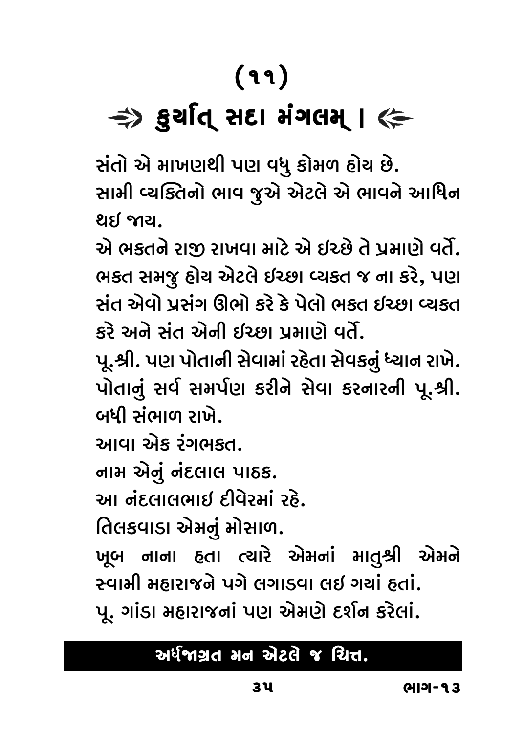## $(99)$

## 

સંતો એ માખણથી પણ વધુ કોમળ હોચ છે. સામી વ્યક્તિનો ભાવ જુએ એટલે એ ભાવને આધિન ี ตะโ ซารา

એ ભકતને રાજી રાખવા માટે એ ઈચ્છે તે પ્રમાણે વર્તે. ભકત સમજુ હોચ એટલે ઈચ્છા વ્યકત જ ના કરે, પણ સંત એવો પસંગ ઊભો કરે કે પેલો ભક્ત ઈચ્છા વ્યક્ત કરે અને સંત એની ઇચ્છા પમાણે વર્તે.

પૂ.શ્રી. પણ પોતાની સેવામાં રહેતા સેવકનું ધ્યાન રાખે. પોતાનું સર્વ સમર્પણ કરીને સેવા કરનારની પૂ.શ્રી. બધી સંભાળ રાખે.

આવા એક રંગભકત.

नाभ એનું નંદલાલ પાઠક.

આ નંદલાલભાઈ દીવેરમાં રહે.

તિલકવાડા એમનું મોસાળ.

ખૂબ નાના હતા ત્યારે એમનાં માતુશ્રી એમને સ્વામી મહારાજને પગે લગાડવા લઈ ગયાં હતાં.

પૂ. ગાંડા મહારાજનાં પણ એમણે દર્શન કરેલાં.

#### અર્ધજાગ્રત મન એટલે જ ચિત્ત.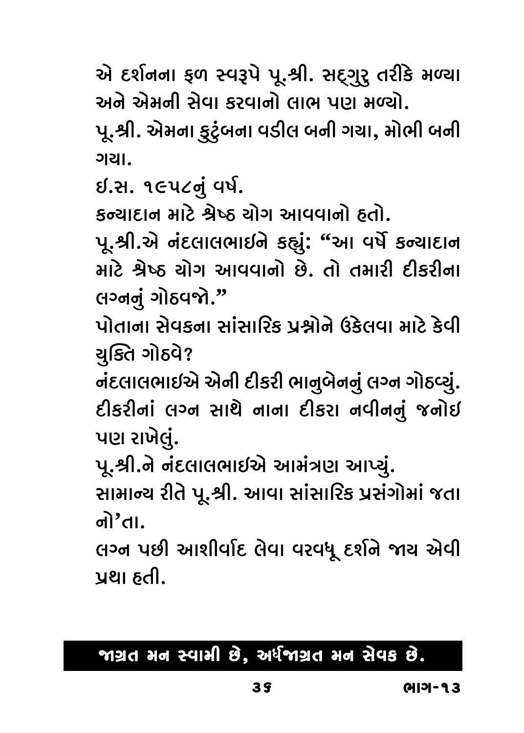એ દર્શનના ફળ સ્વરૂપે પૂ.શ્રી. સદ્ગુરૂ તરીકે મળ્યા અને એમની સેવા કરવાનો લાભ પાગ મળ્યો. પૂ.શ્રી. એમના કુટુંબના વડીલ બની ગયા, મોભી બની ગચા.

ઈ.સ. ૧૯૫૮નું વર્ષ.

કન્યાદાન માટે શ્રેષ્ઠ ચોગ આવવાનો ઠતો.

પૂ.શ્રી.એ નંદલાલભાઈને કહ્યું: ''આ વર્ષે કન્યાદાન માટે શ્રેષ્ઠ ચોગ આવવાનો છે. તો તમારી દીકરીના લગ્નનું ગોઠવજો."

પોતાના સેવકના સાંસારિક પ્રશ્નોને ઉકેલવા માટે કેવી ચુક્તિ ગોઠવે?

નંદલાલભાઈએ એની દીકરી ભાનુબેનનું લગ્ન ગોઠવ્યું. દીકરીનાં લગ્ન સાથે નાના દીકરા નવીનનું જનોઈ પણ રાખેલું.

પૂ.શ્રી.ને નંદલાલભાઈએ આમંત્રણ આપ્યું.

સામાન્ય રીતે પૂ.શ્રી. આવા સાંસારિક પ્રસંગોમાં જતા નો $^{\prime}$ તા.

લગ્ન પછી આશીર્વાદ લેવા વરવધૂ દર્શને જાચ એવી પ્રથા ઠતી.

#### পাગ્રત મન સ્વામી છે, અર્ધજાગ્રત મન સેવક છે.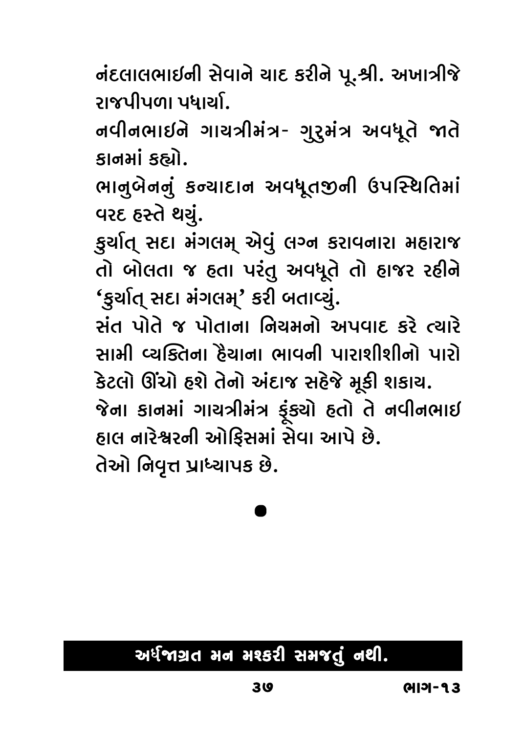.<br>રાજપીપળા પધાર્ચા.<br>તળીતભાડ(તે. ગાગૂગીસંત્ર-. ગરસંત્ર, અવધતે. જાતે

નવીનભાઇને ગાચત્રીમંત્ર- ગુરુમંત્ર અવધૂતે જાતે<br>કાનમાં કહ્યો.

xOÛ…fiÛ√ xO·Û@. IÛ…⁄µ@……⁄√ xO±}ÛpOÛ… #\_A\Eu…— &f»ÕZwEfiÛ√

વરદ હસ્તે થયું.<br>કુર્યાત્ સદા મંગલમ્ એવું લગ્ન કરાવનારા મહારાજ ્ય પ્યાસ્કૃત આ ફરી છે.<br>લો બોલતા જ હતા પરંતુ અવધૂતે તો હાજર રહીને<br>'કર્ચાત સદા સંગલસ' કરી બતાવ્યં **'કુર્યાત્ સદા મંગલમ્' કરી બતાવ્યું.**<br>સંત પોતે જ પોતાના નિચમનો અપવાદ કરે ત્યારે

સામી વ્યક્તિના **ઠૈયાના ભાવની પારાશીશીનો પારો** કેટલો ઊંચો હશે તેનો અંદાજ સહેજે મૂકી શકાચ.

જેના કાનમાં ગાયત્રીમંત્ર ફંક્યો હતો તે નવીનભાઈ QÂ@…Û xOÛ…fiÛ√ "Û}L—fi√L l\ √®}Û@ ˜EÛ@ E@ …\_—…IÛ\$

\_<br>તેઓ નિવૃત્ત પ્રાધ્યાપક છે.

# અર્ધજાગ્રત મન મશ્કરી સમજતું નથી.<br>સહ

.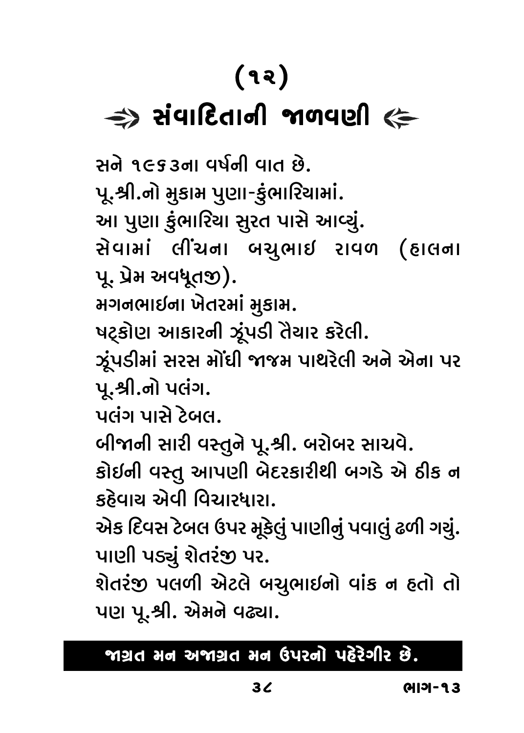## $\begin{bmatrix} 1 & 1 \\ 1 & 1 \end{bmatrix}$  $\frac{1}{\sqrt{2}}$

પૂ.શ્રી.નો મુકામ પુણા-કુંભારિયામાં. આ પુણા કુંભારિયા સુરત પાસે આવ્યું. <u>સેવામાં લીંચના બચુભાઈ રાવળ (હાલના</u> પૂ. પ્રેમ અવધૂતજી).<br>મગનભાઈલા ખેતરમાં મકામ મગનભાઈના ખેતરમાં મુકામ.<br>ષટ્કોણ આકારની ઝૂંપડી તૈયાર કરેલી.  $\dot{\rm x}$ પડીમાં સરસ મોંઘી જાજમ પાથરેલી અને એના પર પૂ.શ્રી.નો પલંગ. પલંગ પાસે ટેબલ. બીજાની સારી વસ્તુને પૂ.શ્રી. બરોબર સાચવે. કોઈની વસ્તુ આપણી બેદરકારીથી બગડે એ ઠીક ન xOÛ@\$…— \_ÕE⁄ #Ûfo— µ@pO∑xOÛ∑—Z— µ"¤@O #@ sO—xO … xO˜@\_Û} #@\_— w\_{Û∑AÛ∑Û. એક દિવસ ટેબલ ઉપર મૂકેલું પાણીનું પવાલું ઢળી ગયું.<br>પાણી પડ્યું શેતરંજી પર. શેતરંજી પલળી એટલે બચુભાઈનો વાંક ન હતો ત<mark>ો</mark> પણ પૂ.શ્રી. એમને વઢ્યા.

# "VE fi… #"VE fi… &f∑…Û@ f˜@∑@"—∑ ©Â@. "VE fi… fi… f˜@∑@"—∑ ©Â@.

 $\frac{1}{\alpha}$  for  $\frac{1}{\alpha}$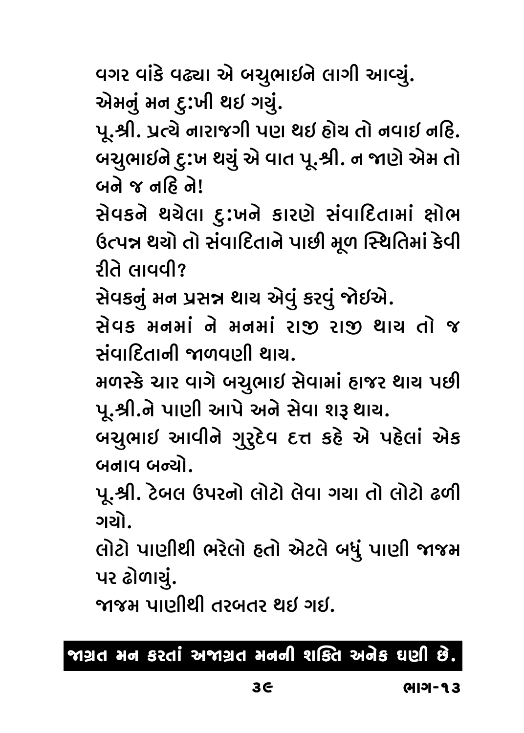વગર વાંકે વઢ્યા એ બચુભાઈને લાગી આવ્યું.<br>એમનું મન દુ:ખી થઈ ગયું.

પૂ.શ્રી. પ્રત્યે નારાજગી પણ થઈ હોય તો નવાઈ નહિ. બચુભાઈને દુ:ખ થયું એ વાત પૂ.શ્રી. ન જાણે એમ તો  $\theta$ બે જ નહિ ને!

સેવકને થયેલા દુ:ખને કારણે સંવાદિતામાં ક્ષોભ ઉત્પન્ન થયો તો સંવાદિતાને પાછી મૂળ સ્થિતિમાં કેવી  $\partial \overline{\partial}$  સાવવી?

સેવકનું મન પ્રસન્ન થાય એવું કરવું જોઈએ.

સેવક મનમાં ને મનમાં રાજી રાજી થાય તો જ સંવાદિતાની જાળવણી થાય.

મળસ્કે ચાર વાગે બચુભાઈ સેવામાં હાજર થાચ પછી પૂ.શ્રી.ને પાણી આપે અને સેવા શરૂ થાય.

 $\kappa$  is a main that  $\kappa$  is a main  $\kappa$  and  $\kappa$ µ{⁄IÛ\$ #Û\_—…@ "⁄∑⁄p@O\_ pO˙ xO˜@ #@ f˜@ËÛ√ #@xO

.<br>سين ج العر  $\tilde{\tilde{C}}$ 

. . ...<br>લોટો પાણીથી ભરેલો હતો એટલે બધું પાણી જાજમ<br>પર ટોળણં પર ઢોળાચું.<br>જાજમ પાણીથી તરબતર થઈ ગઈ.

QÂfi fÛo—Z— E∑µE∑ Z\$ "\$.

# ે પ્રિયત મન કરતાં અજાગ્રત મનની શક્તિ અનેક ઘણી છે.<br>અટવાણ અને જાહ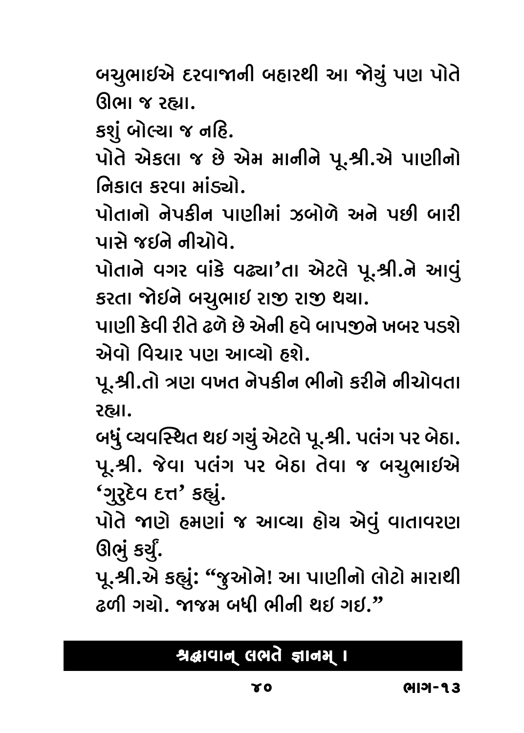બચુભાઈએ દરવાજાની બહારથી આ જોચું પણ પોતે ઊભા જ રહ્યા.

કશું બોલ્ચા જ નહિ.

પોતે એકલા જ છે એમ માનીને પૂ.શ્રી.એ પાણીનો નિકાલ કરવા માંડ્યો.

પોતાનો નેપકીન પાણીમાં ઝબોળે અને પછી બારી પાસે જશેલે નીઓવે

પોતાને વગર વાંકે વઢ્યા'તા એટલે પૂ.શ્રી.ને આવું કરતા જોઇને બચુભાઈ રાજી રાજી થયા.

પાણી કેવી રીતે ઢળે છે એની હવે બાપજીને ખબર પડશે એવો વિચાર પણ આવ્યો ઠશે.

પૂ.શ્રી.તો ત્રણ વખત નેપકીન ભીનો કરીને નીચોવતા રહ્યા.

બધું વ્યવસ્થિત થઈ ગયું એટલે પૂ.શ્રી. પલંગ પર બેઠા. પૂ.શ્રી. જેવા પલંગ પર બેઠા તેવા જ બચુભાઈએ 'ગુરૂદેવ દત્ત' કહ્યું.

પોતે જાણે હમણાં જ આવ્યા હોચ એવું વાતાવરણ ઊભું કર્યું.

પૂ.શ્રી.એ કહ્યું: ''જુઓને! આ પાણીનો લોટો મારાથી ઢળી ગયો. જાજમ બધી ભીની થઇ ગઇ.''

#### श्रद्धापान् तलते ज्ञानभ् ।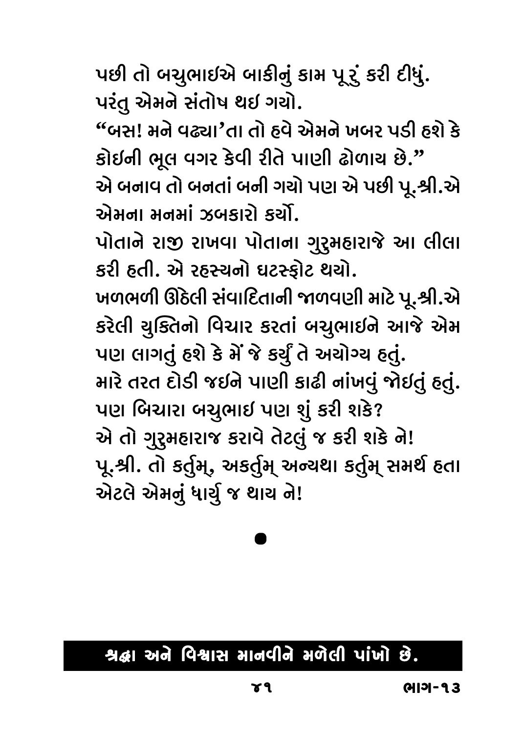પછી તો બચુભાઈએ બાકીનું કામ પૂરું કરી દીધું. પરંતુ એમને સંતોષ થઇ ગયો.

''બસ! મને વઢ્યા'તા તો ઠવે એમને ખબર પડી ઠશે કે કોઈની ભૂલ વગર કેવી રીતે પાણી ઢોળાચ છે.'' એ બનાવ તો બનતાં બની ગયો પણ એ પછી પૂ.શ્રી.એ એમના મનમાં ઝબકારો કર્યો.

પોતાને રાજી રાખવા પોતાના ગુરૂમહારાજે આ લીલા કરી હતી. એ રહસ્ચનો ઘટસ્કોટ થયો.

ખળભળી ઊઠેલી સંવાદિતાની જાળવણી માટે પૂ.શ્રી.એ કરેલી યુક્તિનો વિચાર કરતાં બચુભાઈને આજે એમ પણ લાગતું હશે કે મેં જે કર્યું તે અચોગ્ય હતું. મારે તરત દોડી જઈને પાણી કાઢી નાંખવું જોઈતું હતું.

પણ બિચારા બચુભાઈ પણ શું કરી શકે? એ તો ગુરૂમહારાજ કરાવે તેટલું જ કરી શકે ને! પૂ.શ્રી. તો કર્તુમુ, અકર્તુમ્ અન્યથા કર્તુમ્ સમર્થ હતા

એટલે એમનું ધાર્ચુ જ થાચ ને!

#### श्रद्धा अने पिश्वास भानपीने मुणेली पांजो छे.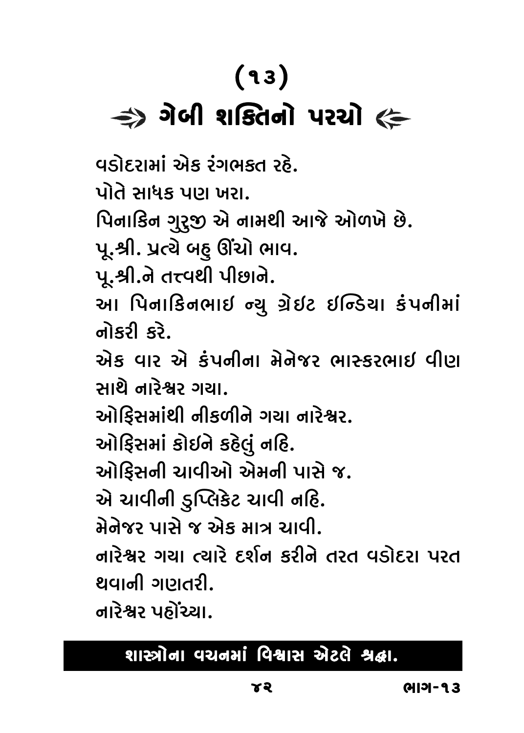## $\sum$ "@µ— B»®E…Û@ f∑{Û@ B»®E…Û@ B»®E…Û@

\_¤OÛ@pO∑ÛfiÛ√ #@xO ∑√"I®E ∑˜@. fÛ@E@ YÛAxO fo «∑Û. પિનાકિન ગુરુજી એ નામથી આજે ઓળખે છે.<br>પૂ.શ્રી. પ્રત્યે બહ્ ઊંચો ભાવ. પૂ.શ્રી.ને તત્ત્વથી પીછાને. આ પિનાકિનભાઈ ન્યુ ગ્રેઇટ ઇન્ડિયા કંપનીમાં **મ્ણુ ક**ર્ગ સ્ એક વાર એ કંપનીના મેનેજર ભાસ્કરભાઈ વીણ <u>સાશે નારેશ્વર ગયા.</u> ઓકિસમાંથી નીકળીને ગયા નારેશ્વર. ઓફિસમાં કોઈને કહેલું નહિ. ઓફિસની ચાવીઓ એમની પાસે જ. એ ચાવીની ડુપ્લિકેટ ચાવી નહિ. મેલેજર પાસે જ એક માત્ર ચાવી . લારેશ્વર ગચા ત્યારે દર્શન કરીને તરત વડોદરા પરત શવા**ની ગણતરી.** ાણેશ્વર પહોંચ્યા. ……

## $B^{\prime\prime}$  which we understand with  $B^{\prime\prime}$  with  $B^{\prime\prime}$  with  $B^{\prime\prime}$  with  $B^{\prime\prime}$  with  $B^{\prime\prime}$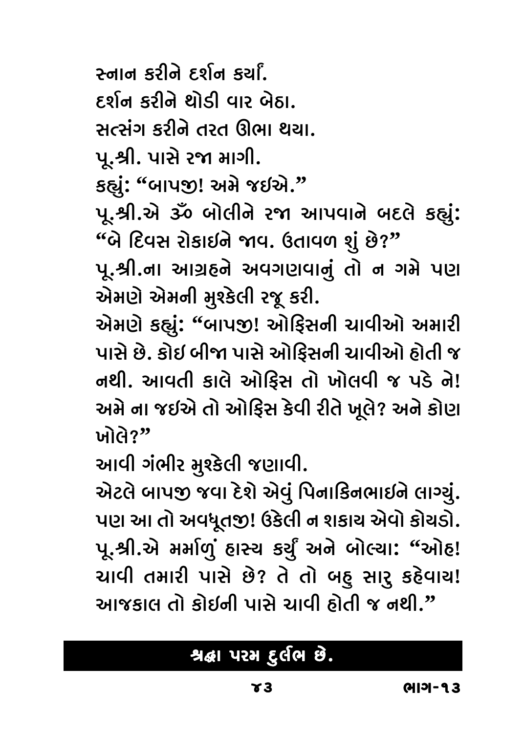સ્નાન કરીને દર્શન કર્યાં.

દર્શન કરીને શોડી વાર બેઠા.

સત્સંગ કરીને તરત ઊભા થયા.

પૂ.શ્રી. પાસે રજા માગી.

કહ્યું: "બાપજી! અમે જઈએ."

પૂ.શ્રી.એ ૐ બોલીને રજા આપવાને બદલે કહ્યું: ''બે દિવસ રોકાઈને જાવ. ઉતાવળ શું છે?''

પૂ.શ્રી.ના આગ્રહને અવગણવાનું તો ન ગમે પણ એમણે એમની મુશ્કેલી રજૂ કરી.

એમણે કહ્યું: "બાપજી! ઓફિસની ચાવીઓ અમારી પાસે છે. કોઈ બીજા પાસે ઓકિસની ચાવીઓ હોતી જ નથી. આવતી કાલે ઓકિસ તો ખોલવી જ પડે ને! અમે ના જઈએ તો ઓફિસ કેવી રીતે ખૂલે? અને કોણ ખોલે?"

આવી ગંભીર મુશ્કેલી જણાવી.

એટલે બાપજી જવા દેશે એવું પિનાકિનભાઈને લાગ્યું. પણ આ તો અવધૂતજી! ઉકેલી ન શકાય એવો કોચડો. પૂ.શ્રી.એ મર્માળું હાસ્ચ કર્યું અને બોલ્યા: "ઓહ! ચાવી તમારી પાસે છે? તે તો બહ્ સારૂ કહેવાચ! આજકાલ તો કોઈની પાસે ચાવી ઠોતી જ નથી."

#### श्रद्धा परम हुर्तल छे.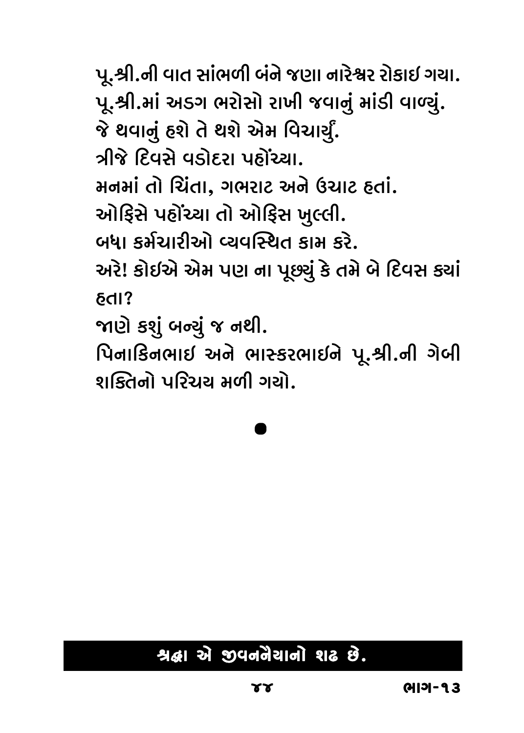પૂ.શ્રી.ની વાત સાંભળી બંને જણા નારેશ્વર રોકાઈ ગયા.<br>પૂ.શ્રી.માં અડગ ભરોસો રાખી જવાનું માંડી વાળ્યું. જે થવાનું હશે તે થશે એમ વિચાર્યું. ત્રીજે દિવસે વડોદરા પઠોંચ્યા. મનમાં તો ચિંતા, ગભરાટ અને ઉચાટ હતાં. ઓફિસે પહોંચ્યા તો ઓફિસ ખુલ્લી. ્<br>બધા કર્મચારીઓ વ્યવસ્થિત કામ કરે.<br>અગે કોઈએ એમ પણ ના પછ્યું કે તમે  $\frac{1}{2}$   $\frac{1}{2}$   $\frac{1}{2}$   $\frac{1}{2}$   $\frac{1}{2}$   $\frac{1}{2}$   $\frac{1}{2}$   $\frac{1}{2}$   $\frac{1}{2}$   $\frac{1}{2}$   $\frac{1}{2}$   $\frac{1}{2}$   $\frac{1}{2}$   $\frac{1}{2}$   $\frac{1}{2}$   $\frac{1}{2}$   $\frac{1}{2}$   $\frac{1}{2}$   $\frac{1}{2}$   $\frac{1}{2}$   $\frac{1}{2}$   $\frac{1}{2}$  જાણે કશું બન્યું જ નથી.

પિનાકિનભાઈ અને ભાસ્કરભાઈને પૂ.શ્રી.ની ગેબી ાષ્ટિતનો પરિગય મળી ગયો B»®E…Û@ fw∑{} fi¥— "}Û@.

# .

## $C^*$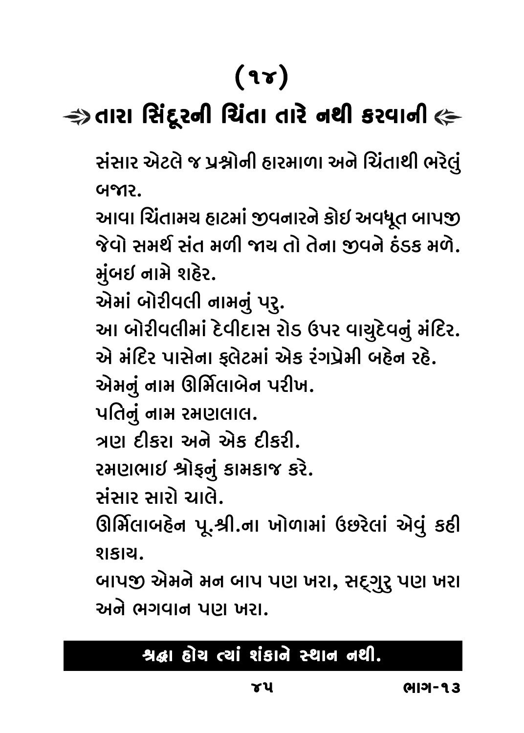## (१४)<br>⊰) તારા સિંદૂરની ચિંતા તારે નથી કરવાની ⇔  $E = \sum_{i=1}^{N} E_i$

સંસાર એટલે જ પ્રશ્નોની હારમાળા અને ચિંતાથી ભરેલું<br>બજાર

્<br>આવા ચિંતામચ હાટમાં જીવનારને કોઈ અવધૂત બાપજી<br>જેવો સમર્થ સંત મળી જાગ તો તેના જાવને ઠંડક મળે જેવો સમર્થ સંત મળી જાચ તો તેના જીવને ઠંડક મળે.<br>મુંબઈ નામે શહેર.

એમાં બોરીવલી નામનું પર્. આ બોરીવલીમાં દેવીદાસ રોડ ઉપર વાયુદેવનું મંદિર. એ મંદિર પાસેના ફલેટમાં એક રંગપ્રેમી બહેન રહે. એમનું નામ ઊર્મિલાબેન પરીખ. પતિનું નામ રમણલાલ. ત્રણ દીકરા અને એક દીકરી.

રમણભાઈ શ્રોફનું કામકાજ કરે.

સંસાર સારો ચા**લે**.

™™™™™<br>®Ωियायहेल 11 × ≥wfi™ËÛµ˜@… f\.C—.…Û «Û@¥ÛfiÛ√ &©Â∑@ËÛ√ #@\_⁄√ xO˜—

બાપજી એમને મન બાપ પણ ખરા, સદ્ગુરુ પણ ખરા આવે બગવાન પણ ખરા. #…@ I"\_Û… fo «∑Û.

# <u>શ્રદ્ધા હોય ત્યાં શંકાને સ્થાન નથી.</u><br>સ્ત્રા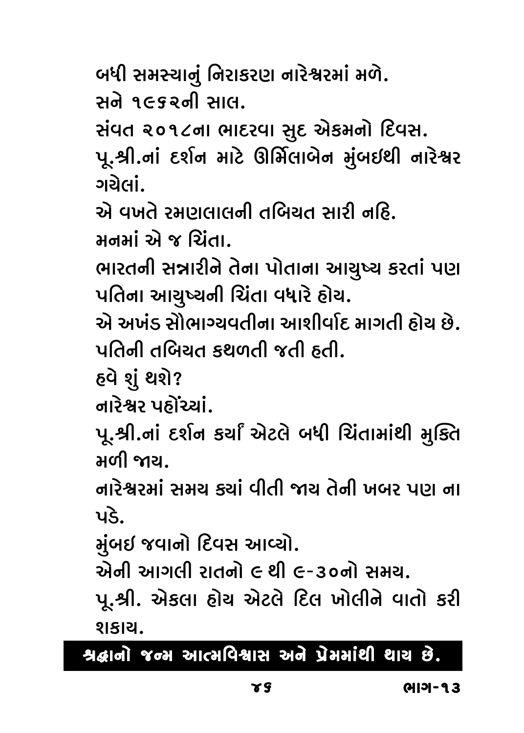બધી સમસ્ચાનું નિરાકરણ નારેશ્વરમાં મળે.<br>સને ૧૯૬૨ની સાલ.

સંવત ૨૦૧૮ના ભાદરવા સુદ એકમનો દિવસ.

 $\eta$  and a rapo  $\eta$  and  $\eta$  and  $\eta$  and  $\eta$  and  $\eta$  $\frac{\epsilon}{\epsilon}$ 

એ વખતે રમણલાલની તબિચત સારી નહિ.

મનમાં એ જ ચિંતા.

ભારતની સન્નારીને તેના પોતાના આચુષ્ય કરતાં પણ ાયમાં મહાપાર મળવા મળવા મળ્યું કરવામાં છે.<br>પતિના આચુષ્ચની ચિંતા વધારે હોચ.<br>એ આમંડ સોભાગ્યવતીના આશીર્વાદ માગતી ઠોચ છે.

પતિની તબિચત કથળતી જતી હતી.

હવે શું થશે?

ે iusfau seśin

…Û∑@U∑ f˜Û@> }Û√. f\.C—.…Û√ pOB™… xO}Ûq #@ŸOË@ µA— w{√EÛfiÛ√Z— fi⁄»®E

નારેશ્વરમાં સમય કર્યા વીતી જાય તેની ખબર પણ ના …Û∑@U∑fiÛ√ Yfi} ®}Û√ \_—E— } E@…— «µ∑ fo …Û

મુંબઈ જવાનો દિવસ આવ્યો.

<u>એ</u>ની આગલી રાતનો ૯ થી ૯-૩૦નો સમય.

 $\mu$  ) and the second second  $\mu$  and  $\mu$  and  $\mu$ formal formal on the component with a who were added.<br>Sheep

#### $\frac{1}{\sinh \theta}$ CWÛ <del>û</del><br>D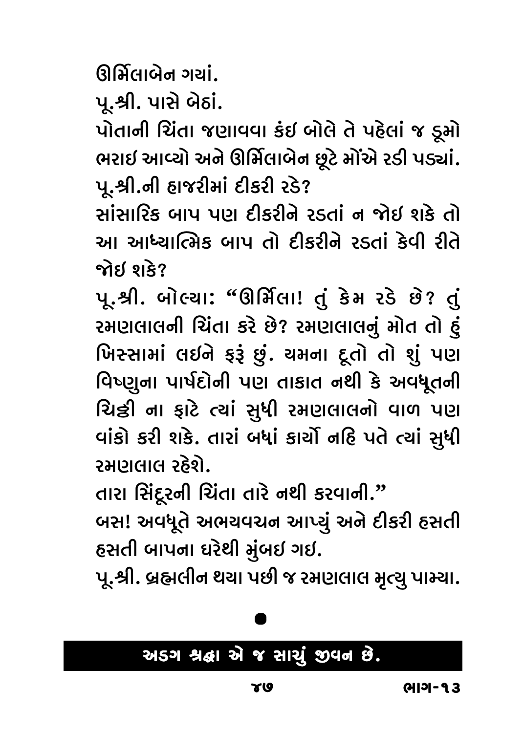ઊર્મિલાબેન ગચાં.

પૂ.શ્રી. પાસે બેઠાં.

પોતાની ચિંતા જણાવવા કંઈ બોલે તે પહેલાં જ ડૂમો ભરાઈ આવ્યો અને ઊર્મિલાબેન છૂટે મોંએ રડી પડ્યાં. પૂ.શ્રી.ની હાજરીમાં દીકરી રડે?

સાંસારિક બાપ પણ દીકરીને રડતાં ન જોઈ શકે તો આ આધ્યાત્મિક બાપ તો દીકરીને રડતાં કેવી રીતે<br>જેઈ શકે?

@\$ Bx@O? f\.C—. µÛ@º}Û: **"**≥wfi™ËÛ! E⁄√ x@Ofi ∑¤@O ©Â@? E⁄√ ટમણલાલની ચિંતા કરે છે? રમણલાલનું મોત તો હું<br>ખિસ્સામાં લઈને ફરૂં છું. ચમના દૂતો તો શું પણ ્ર<br>વિષ્ણુના પાર્ષદોની પણ તાકાત નથી કે અવધૂતની<br>વિહ્યુના દારે ત્યાં સુધી રમણવાલનો ઘાળ પણ ચિકી ના ફાટે ત્યાં સુધી રમણલાલનો વાળ પણ વાંકો કરી શકે. તારાં બધાં કાર્યો નહિ પતે ત્યાં સુધી<br>રમણલાલ રહેશે.

્<br>તારા સિંદૂરની ચિંતા તારે નથી કરવાની.''<br>બસ! અવધતે અભગવચન આપચં અને દી

બસ! અવધૂતે અભચવચન આપ્યું અને દીકરી હસતી<br>હસતી બાપના ઘરેથી મુંબઈ ગઈ.

 $\sim 700$  m  $\sim 100$  m  $\sim 200$ f\.C—. µVÔË—… Z}Û f©Â— Q ∑fioËÛË fiÈ'}⁄ fÛ~}Û.

## ्<br>रू<br>रू  $\ddot{x}$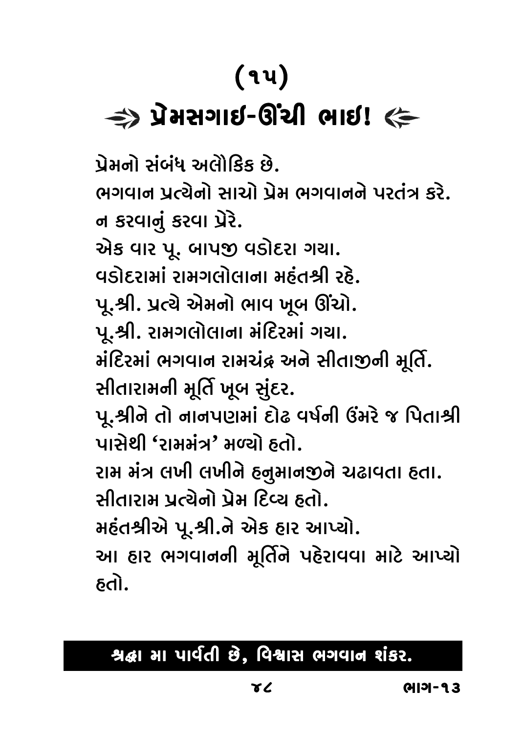## $(6)$ fV@fiY"Û\$-≥>{— fV@fiY"Û\$-≥>{—fV@fiY"Û\$-≥>{— IÛ\$!

પ્રેમનો સંબંધ અલૌકિક છે.<br>ભગવાન પત્ચેનો સાચો પ્રેમ ભગવાનને પરતંત્ર કરે. ન કરવાનું કરવા પ્રેરે. એક વાર પૂ. બાપજી વડોદરા ગચા. વડોદરામાં રામગલોલાના મહંતશ્રી રહે. પૂ.શ્રી. પ્રત્યે એમનો ભાવ ખૂબ ઊંચો. પૂ.શ્રી. રામગલોલાના મંદિરમાં ગચા. મંદિરમાં ભગવાન રામચંદ્ર અને સીતાજીની મૂર્તિ. સીતારામની મૂર્તિ ખૂબ સુંદર. પૂ.શ્રીને તો નાનપણમાં દોઢ વર્ષની ઉંમરે જ પિતાશ્રી ~<br>પાસેથી 'રામમંત્ર' મળ્યો હતો.<br>ગમ મંત્ર લામી લામીને કનમાનજીને રાટાવતા કતા રામ મંત્ર લખી લખીને દનુમાનજીને ચઢાવતા દતા.<br>સીતારામ પત્ચેનો પેમ દિવ્ય ઠતો મહંતશ્રીએ પૂ.શ્રી.ને એક હાર આપ્યો.  $\epsilon$  and the contraction  $\epsilon$  $\mathcal{L}$  $\ddot{=}$ 

# CW fi fill fow field fow field field water.<br>Taxo§. CWN B√xO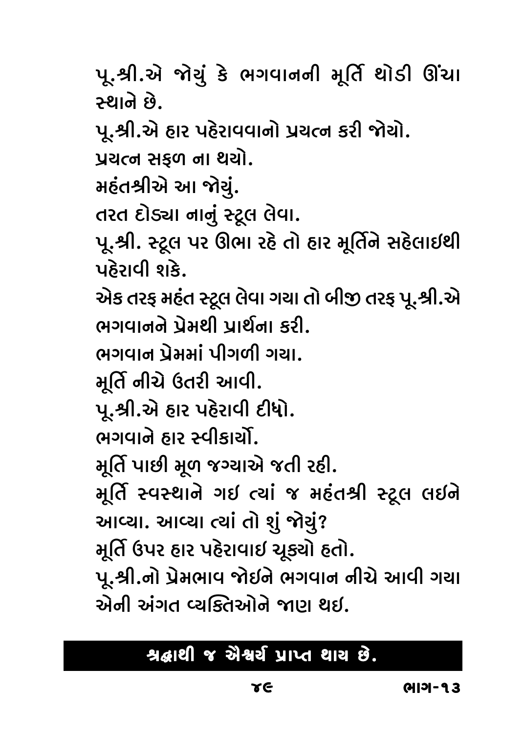પૂ.શ્રી.એ જોયું કે ભગવાનની મૂર્તિ થોડી ઊંચા<br>સ્થાને છે પૂ.શ્રી.એ હાર પહેરાવવાનો પ્રચત્ન કરી જોચો. પ્રચત્ન સકળ ના થયો. મહંતશ્રીએ આ જોયું. તરત દોડ્યા નાનું સ્ટૂલ લેવા. પૂ.શ્રી. સ્ટૂલ પર ઊભા રહે તો હાર મૂર્તિને સહેલાઈથી પ્રઠેરાવી શકે. એક તરફ મહંત સ્ટ્રલ લેવા ગયા તો બીજી તરફ પૂ.શ્રી.એ  $\alpha$ ગવાનને પેમથી પાર્થના કરી. ભગવાન પેમમાં પીગળી ગચા. મૂર્તિ નીચે ઉતરી આવી. fi\wE™ …—{@ &E∑— #Û\_—. f\.C—.#@ ˜Û∑ f˜@∑Û\_— pO—AÛ@. મૂર્તિ પાછી મૂળ જગ્યાએ જતી રહી. મૂર્તિ સ્વસ્થાને ગઈ ત્યાં જ મહંતશ્રી સ્ટૂલ લઈને આવ્યા. આવ્યા ત્યાં તો શું જોયું? મૂર્તિ ઉપર હાર પહેરાવાઈ ચૂક્યો હતો. પૂ.શ્રી.નો પ્રેમભાવ જોઈને ભગવાન નીચે આવી ગયા એની અંગત વ્યક્તિઓને જાણ થઈ. # *#* √"E [}»®E#<sup>0</sup>

# મહાથી જ એશ્વર્ય પ્રાપ્ત થાય છે.<br>™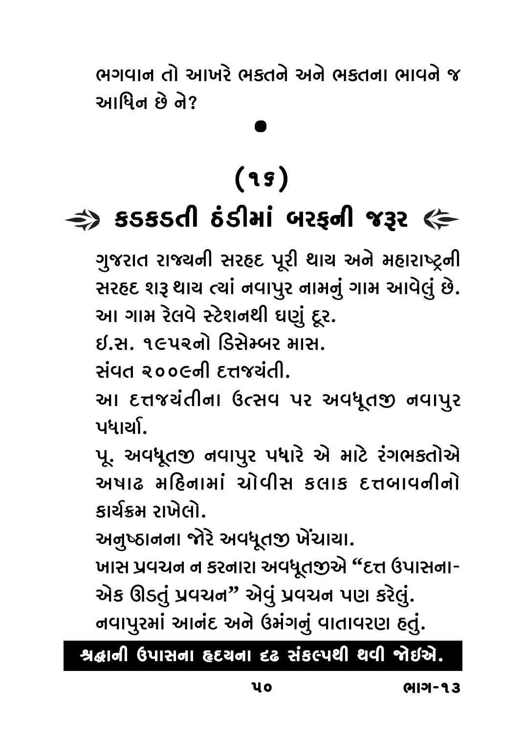ભગવાન તો આખરે ભકતને અને ભકતના ભાવને જ આધિન છે ને?<br>સાથિન છે ને?

## $(95)$

### ⇔) કડકડતી ઠંડીમાં બરફની જરૂર *९*=

ગુજરાત રાજ્યની સરહદ પૂરી થાય અને મહારાષ્ટ્રની સરહૃદ શરૂ થાચ ત્યાં નવાપુર નામનું ગામ આવેલું છે. આ ગામ રેલવે સ્ટેશનથી ઘણું દૂર.

ઈ.સ. ૧૯૫૨નો ડિસેમ્બર માસ.

સંવત ૨૦૦૯ની દત્તજચંતી.

આ દત્તજચંતીના ઉત્સવ પર અવધૂતજી નવાપુર<br>પ્રધાર્ચા પધાર્યા.

પૂ. અવધૂતજી નવાપુર પધારે એ માટે રંગભકતોએ<br>અષાઢ મઠિનામાં ચોવીસ કલાક દત્તબાવનીનો કાર્ચક્રમ રાખેલો.

્<br>અનુષ્ઠાનના જોરે અવધૂતજી ખેંચાયા.<br>ખાસ પ્રવચન ન કરનારા અવધતજાએ '

ખાસ પ્રવચન ન કરનારા અવધૂતજીએ "દત્ત ઉપાસના-એક ઊડતું પ્રવચન'' એવું પ્રવચન પણ કરેલું.<br>નવાપુરમાં આનંદ અને ઉમંગનું વાતાવરણ હતું.

### $\frac{6}{\sqrt{2}}$ CWÛ…— &fÛY…Û ΩpO}…Û 'JO Y√xOºfZ— Z\_— @\$#@. CWÛ…— &fÛY…Û ΩpO}…Û 'JO Z\_— @\$#@.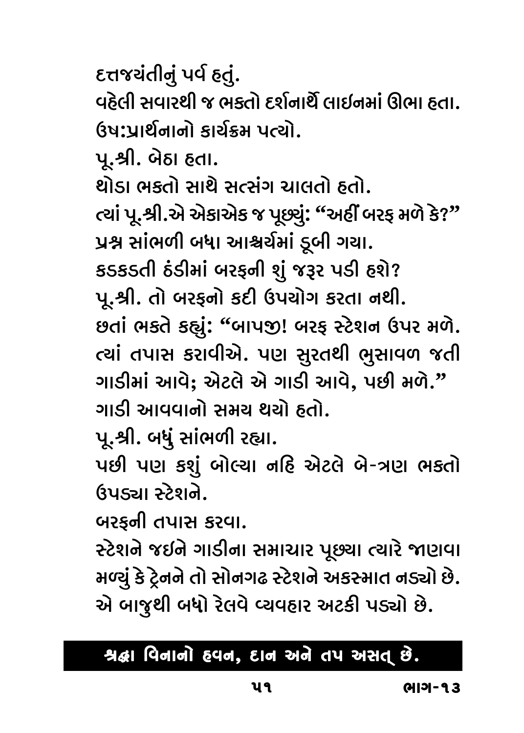દત્તજચંતીનું પર્વ હતું.<br>વઠેલી સવારથી જ ભક્તો દર્શનાર્થે લાઈનમાં ઊભા ઠતા. કિષ:પાર્થનાનો કાર્ચક્રમ પત્યો.

પૂ.શ્રી. બેઠા હતા.

થોડા ભકતો સાથે સત્સંગ ચાલતો હતો. .<br>ત્યાં પૂ.શ્રી.એ એકાએક જ પૂછ્યું: ''અર્દી બરફ મળે કે?''<br>પશ્ચ સાંભળી બધા આશ્ચર્યમાં ૬બી ગયા

પ્રશ્ન સાંભળી બધા આશ્ચર્યમાં ડૂબી ગચા.<br>કડકડતી ઠંડીમાં બરફની શું જરૂર પડી હશે?

પૂ.શ્રી. તો બરફનો કદી ઉપચોગ કરતા નથી.

્<br>છતાં ભકતે કહ્યું: ''બાપજી! બરફ સ્ટેશન ઉપર મળે.<br>ત્યાં તપાસ કરાવીએ .પણ સરતશી ભસાવળ જતી .<br>ગાડીમાં આવે; એટલે એ ગાડી આવે, પછી મળે.''<br>ગાડી આવવાનો સમય શયો હતો

ા છે.<br>પૂ.શ્રી. બધું સાંભળી રહ્યા.<br>પછી પણ કશું બોલ્યા નકિ એટ

પછી પણ કશું બોલ્ચા નહિ એટલે બે-ત્રણ ભક્તો<br>ઉપડ્યા સ્ટેશને

બરકની તપાસ કરવા.

સ્ટેશને જઈને ગાડીના સમાચાર પૂછ્યા ત્યારે જાણવા મળ્યું કે ટ્રેનને તો સોનગઢ સ્ટેશને અકસ્માત નડ્યો છે. એ બાજુથી બધો રેલવે વ્યવહાર અટકી પડ્યો છે.<br>એ બાજુથી બધો રેલવે વ્યવહાર અટકી પડ્યો છે.

# <u>ક્ષદ્ધા વિનાનો દવન, દાન અને તપ અસત્ છે. કહ્યા</u><br>પ્યા હતા હતા હતા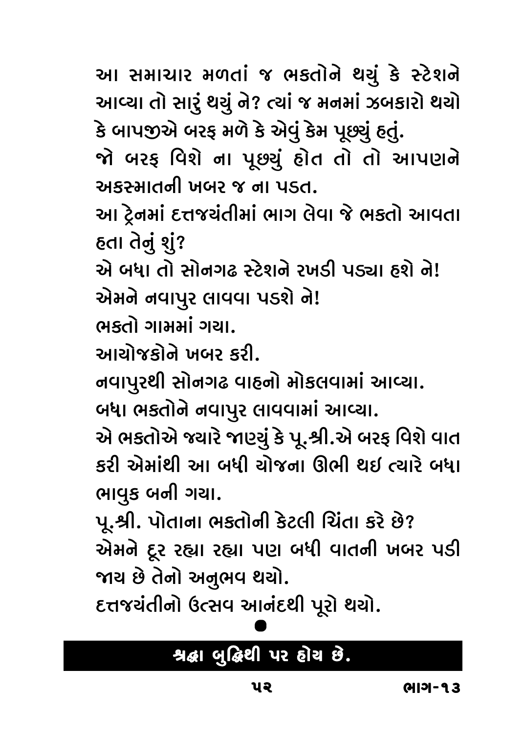આ સમાચાર મળતાં જ ભકતોને થયું કે સ્ટેશને<br>આવ્યા તો સારું થયું ને? ત્યાં જ મનમાં ઝબકારો થયો કે બાપજીએ બરફ મળે કે એવું કેમ પૂછ્યું હતું. જો બરફ વિશે ના પૂછ્યું હોત તો તો આપણને અકસ્માતની ખબર જ ના પડત. આ ટ્રેનમાં દત્તજચંતીમાં ભાગ લેવા જે ભકતો આવતા હતા તેનું શું? ~… …ુ ુ…<br>એ બધા તો સોનગઢ સ્ટેશને રખડી પડ્યા હશે ને!<br>એમને નવાપર લાવવા પડશે ને! એમને નવાપુર લાવવા પડશે ને!<br>ભક્તો ગામમાં ગચા આચોજકોને ખબર કરી. નવાપુરથી સોનગઢ વાહનો મોકલવામાં આવ્યા. …\_Ûf⁄∑Z— YÛ@…"JO \_Û˜…Û@ fiÛ@xOË\_ÛfiÛ√ #Û[}Û. <sup>µ</sup>AÛ I®EÛ@…@ …\_Ûf⁄∑ ËÛ\_\_ÛfiÛ√ #Û[}Û. .<br>કરી એમાંથી આ બધી ચોજના ઊભી થઈ ત્યારે બધા<br>ભાવક બની ગયા ભાવુક બની ગચા.<br>પૂ.શ્રી. પોતાના ભકતોની કેટલી ચિંતા કરે છે? ્ર<br>એમને દૂર રહ્યા રહ્યા પણ બધી વાતની ખબર પડી<br>જગ છે તેનો અનુભવ શરો જાચ છે તેનો અનુભવ થચો.<br>દત્તજચંતીનો ઉત્સવ આનંદથી પૂરો થચો.  $\rho$  and  $\gamma$   $\gamma$ 

## \_<br>1<br>นล  $\frac{1}{2}$   $\frac{1}{2}$   $\frac{1}{2}$   $\frac{1}{2}$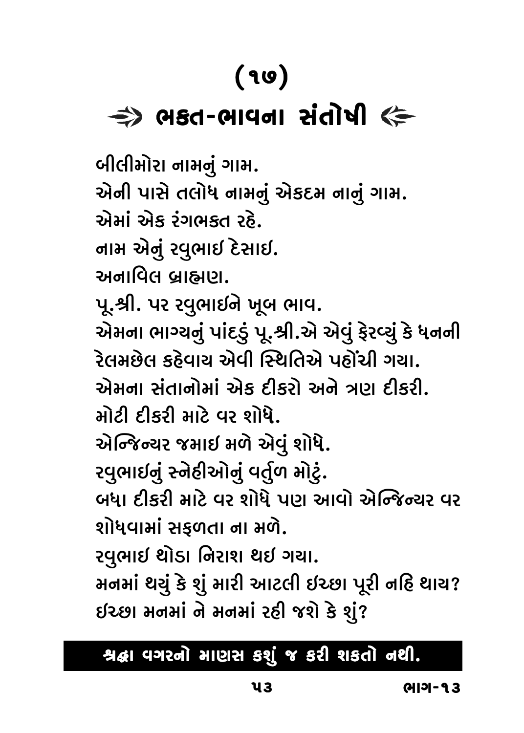## (૧७)<br>⇔ ભકત-ભાવના સંતોષી ⇔ I™E-IN Y

µ—Ë—fiÛ@∑Û …Ûfi…⁄√ "Ûfi. #@…— fÛY@ EËÛ@A …Ûfi…⁄√ #@xOpOfi …Û…⁄√ "Ûfi. <u>નામ એનું રવલાઇ દેસાઈ.</u> અનાવિલ બ્રાહ્મણ. પૂ.શ્રી. પર રવુભાઈને ખૂબ ભાવ. ્ર<br>એમના ભાગ્યનું પાંદડું પૂ.શ્રી.એ એવું ફેરવ્યું કે ધનની<br>રેલમછેલ કઠેવારા એવી સ્થિતિએ પહોંચી ગયા એમના સંતાનોમાં એક દીકરો અને ત્રાગ દીકરી. મોટી દીકરી માટે વર શોધે.<br>એન્જિન્ચર જમાઈ મળે એવં શોધે એન્જિન્ચર જમાઈ મળે એવું શોધે.<br>રવુભાઈનું સ્નેહીઓનું વર્તુળ મોટું. −ુ…– ુ − ∙ૄ−…<br>બધા દીકરી માટે વર શોધે પણ આવો એન્જિન્ચર વર<br>શોધવામાં સફળતા ના મળે શોધવામાં સફળતા ના મળે.<br>રવુભાઈ થોડા નિરાશ થઈ ગયા. મનમાં થયું કે શું મારી આટલી ઈચ્છા પૂરી નહિ થાચ? ઈચ્છા મનમાં ને મનમાં રહી જશે કે શું?  $\frac{1}{\sqrt{2}}$ 

# CWÛ \_"∑…Û@ fiÛoY xOB⁄√ QÂ xO∑— BxOEÛ@ …Z—. CWÛ \_"∑…Û@ xOB⁄√ xO∑— BxOEÛ@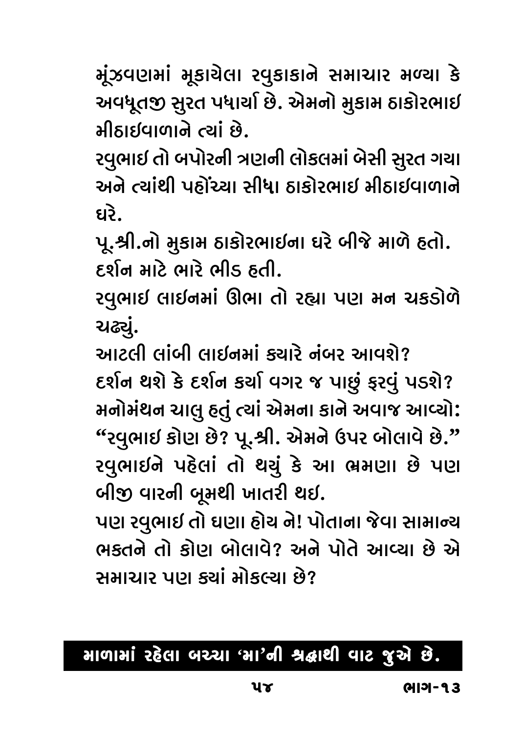્<br>અવધૂતજી સુરત પધાર્ચા છે. એમનો મુકામ ઠાકોરભાઈ<br>મીઠાડ(વાળાને ત્યાં છે

રવુભાઈ તો બપોરની ત્રણની લોકલમાં બેસી સુરત ગચા ્ર<br>અને ત્યાંથી પહોંચ્યા સીધા ઠાકોરભાઈ મીઠાઈવાળાને<br>ઘરે

પૂ.શ્રી.નો મુકામ ઠાકોરભાઈના ઘરે બીજે માળે હતો.  $\epsilon$ ર્શન માટે ભારે ભીડ હતી.

 $\sim$  matrices in the  $\sim$  $\overline{C}$ ચઢ્યું.<br>આટલી લાંબી લાઈનમાં કચારે નંબર આવશે?

દર્શન થશે કે દર્શન કર્યા વગર જ પાછું ફરવું પડશે? મનોમંથન ચાલુ હતું ત્યાં એમના કાને અવાજ આવ્યો: <sub>.</sub><br>''રવુભાઈ કોણ છે? પૂ.શ્રી. એમને ઉપર બોલાવે છે.''<br>રવભાઈને મહેલાં તો શરાં કે આ ભમણા છે મણ ૨વુભાઈને પહેલાં તો થચું કે આ ભ્રમણા છે પણ<br>બીજી વારની બૂમથી ખાતરી થઈ. fioÛ ©Â@ fo

પણ રવુભાઈ તો ઘણા હોચ ને! પોતાના જેવા સામાન્ચ ભકતને તો કોણ બોલાવે? અને પોતે આવ્યા છે એ સમાચાર પણ કર્યા મોકલ્ચા છે? Yê û û∑ fiû@xO

# fiÛ¥ÛfiÛ√ ∑˜@ËÛ µ {Û fiÛ¥ÛfiÛ√ ∑˜@ËÛ µ {Û **'**fiÛ**'**…— CWÛZ— \_ÛŸO Q⁄Â#@ ©Â@. …— CWÛZ— \_ÛŸO Q⁄Â#@ ©Â@.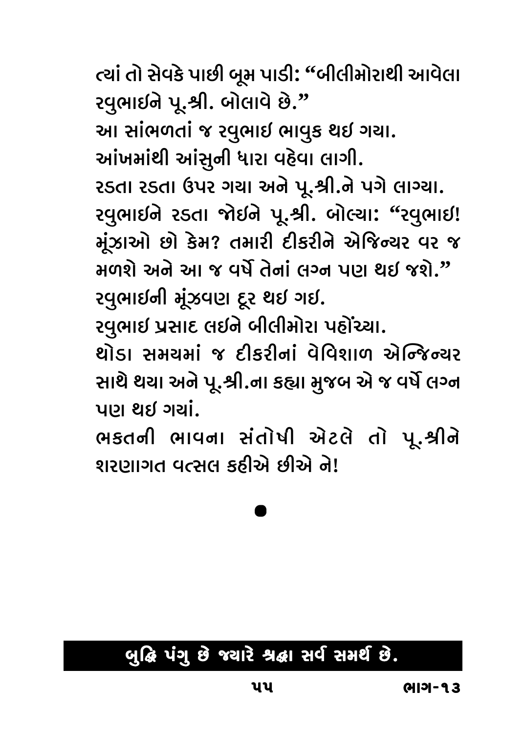ત્યાં તો સેવકે પાછી બૂમ પાડી: ''બીલીમોરાથી આવેલા રવુભાઈને પૂ.શ્રી. બોલાવે છે." આ સાંભળતાં જ રવુભાઈ ભાવુક થઈ ગયા. આંખમાંથી આંસુની ધારા વહેવા લાગી. રડતા રડતા ઉપર ગયા અને પૂ.શ્રી.ને પગે લાગ્યા. રવુભાઈને રડતા જોઈને પૂ.શ્રી. બોલ્ચા: ''રવુભાઈ! મૂંઝાઓ છો કેમ? તમારી દીકરીને એજિન્ચર વર જ મળશે અને આ જ વર્ષે તેનાં લગ્ન પણ થઇ જશે.'' રવુભાઈની મૂંઝવણ દૂર થઈ ગઈ. રવભાઈ પ્રસાદ લઈને બીલીમોરા પહોંચ્યા. થોડા સમયમાં જ દીકરીનાં વેવિશાળ એન્જિન્ચર

સાથે થયા અને પૂ.શ્રી.ના કહ્યા મુજબ એ જ વર્ષે લગ્ન પાગ થઈ ગયાં.

ભકતની ભાવના સંતોષી એટલે તો પૂ.શ્રીને શરાગાગત વત્સલ કઠીએ છીએ ને!

### <u>બુદ્ધિ પંગુ છે જ્યારે શ્રદ્ધા સર્વ સમર્થ છે.</u>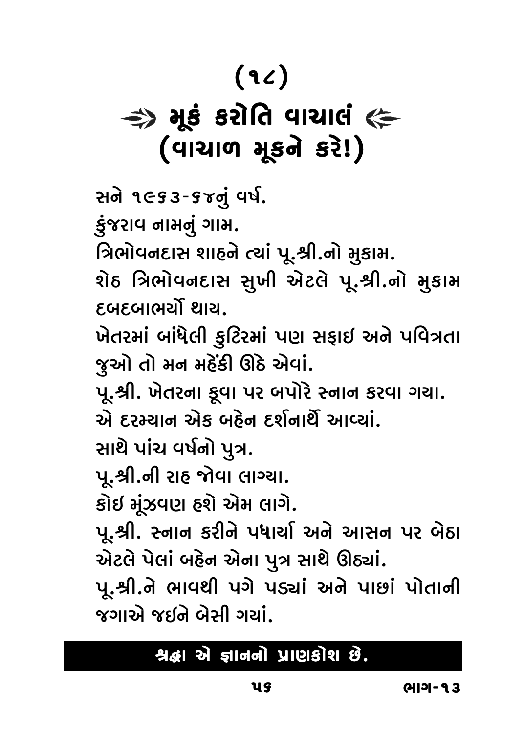## (૧૮)<br>ثو કુરીતિ વાચાલં *(*چـ fi\x√O xO∑Û@wE \_Û{ÛË√ xO∑Û@wE  $\sim$

સને ૧૯૬૩-૬૪નું વર્ષ.<br>ફંજરાવ નામનું ગામ. ત્રિભોવનદાસ શાહને ત્યાં પૂ.શ્રી.નો મુકામ. શેઠ ત્રિભોવનદાસ સુખી એટલે પૂ.શ્રી.નો મુકામ <u>દબદબાભર્ચો થાચ.</u> .<br>ખેતરમાં બાંધેલી કુટિરમાં પણ સફાઈ અને પવિત્રતા<br>જગ્નો તો મન મૂકેદી ઊદે એવાં જુઓ તો મન મહેંકી ઊઠે એવાં.<br>પૂ.શ્રી. ખેતરના કુવા પર બપોરે સ્નાન કરવા ગયા. એ દરમ્યાન એક બહેન દર્શનાર્થે આવ્યાં. સાથે પાંચ વર્ષનો પુત્ર. પૂ.શ્રી.ની રાહ જોવા લાગ્યા. કોઈ મુંઝવણ હશે એમ લાગે. xOÛ@\$ fi\√•\_o ˜B@ #@fi ËÛ"@. f\.C—. Õ…Û… xO∑—…@ fAÛ}Û™ #…@ #ÛY… f∑ µ@sOÛ એટલે પેલાં બહેન એના પુત્ર સાથે ઊઠ્યાં.<br>પૂ.શ્રી.ને ભાવથી પગે પડ્યાં અને પાછાં પોતાની જગાએ જઈને બેસી ગયાં. Q" (2000)<br>Q" (2000) (2000) (2000) (2000) (2000)<br>Q" (2000) (2000) (2000) (2000) (2000)

# મહ્યા એ જ્ઞાનનો પ્રાણકોશ છે.<br>પક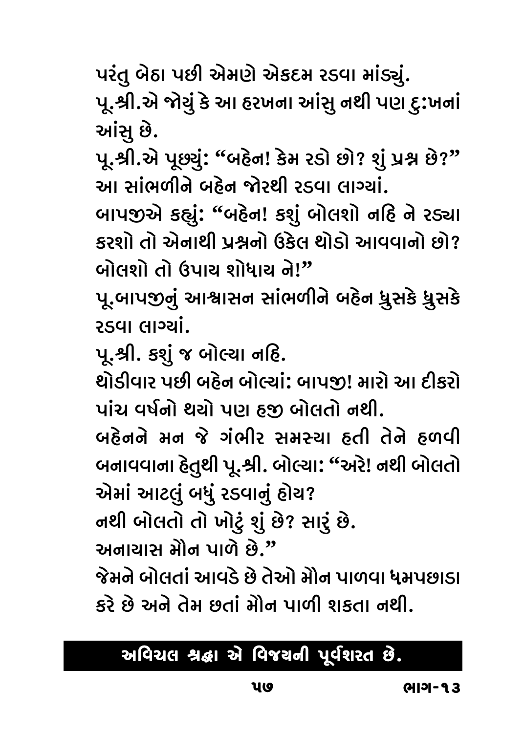f∑√E⁄ µ@sOÛ f©Â— #@fio@ #@xOpOfi ∑¤O\_Û fiÛ√g⁄√.  $\frac{\alpha}{\alpha}$  in  $\frac{\alpha}{\alpha}$  ,  $\frac{\alpha}{\alpha}$  in  $\frac{\alpha}{\alpha}$  in  $\frac{\alpha}{\alpha}$ 

<sub>ાખ્ડ</sub>ા.<br>પૂ.શ્રી.એ પૂછ્યું: ''બહેન! કેમ રડો છો? શું પ્રશ્ન છે?''<br>આ સાંભૂળીને બકેન જોરશી રડવા લાગ્યાં

.<br>બાપજીએ કહ્યું: "બહેન! કશું બોલશો નહિ ને રડ્યા<br>કચ્છો તો એનાથી પ્રશ્નનો ઉકેલ શોડો આવવાનો છો? xO∑BÛ@ EÛ@ #@…ÛZ— fVÀ…Û@ &x@OË ZÛ@¤OÛ@ #Û\_\_Û…Û@ ©ÂÛ@? µÛ@ËBÛ@ EÛ@ &fÛ} BÛ@AÛ} …@!**"**

પૂ.બાપજીનું આશ્વાસન સાંભળીને બહેન ધ્રુસકે ધ્રુસકે<br>રડવા લાગ્યાં

પૂ.શ્રી. કશું જ બોલ્ચા નહિ.

થોડીવાર પછી બહેન બોલ્યાં: બાપજી! મારો આ દીકરો પાંચ વર્ષનો થયો પણ હજી બોલતો નથી.

બહેનને મન જે ગંભીર સમસ્યા હતી તેને હળવી µ˜@……@ fi… QÂ@ "√I—∑ YfiÕ}Û ˜E— E@…@ ˜¥\_— µ…Û\_\_Û…Û ˜@E⁄Z— f\.C—. µÛ@º}Û: **"**#∑@! …Z— µÛ@ËEÛ@

એમાં આટલું બધું રડવાનું હોચ?<br>નથી બોલતો તો ખોટું શું છે? સારૂં છે.

…Z— µÛ@ËEÛ@ EÛ@ «Û@Ÿ⁄√O B⁄√ ©Â@? YÛ∑⁄√ ©Â@. #…Û}ÛY fiÛ≠… fÛ¥@ ©Â@.**"**

જેમને બોલતાં આવડે છે તેઓ મોેન પાળવા ધમપછાડા<br>કરે છે અને તેમ છતાં મોેન પાળી શકતા નથી. xO∑@ ©Â@ #…@ E@fi ©ÂEÛ√ fiÛ≠… fÛ¥— BxOEÛ …Z—.

# અવિચલ શ્રદ્ધા એ વિજયની પૂર્વશરત છે.<br>પણ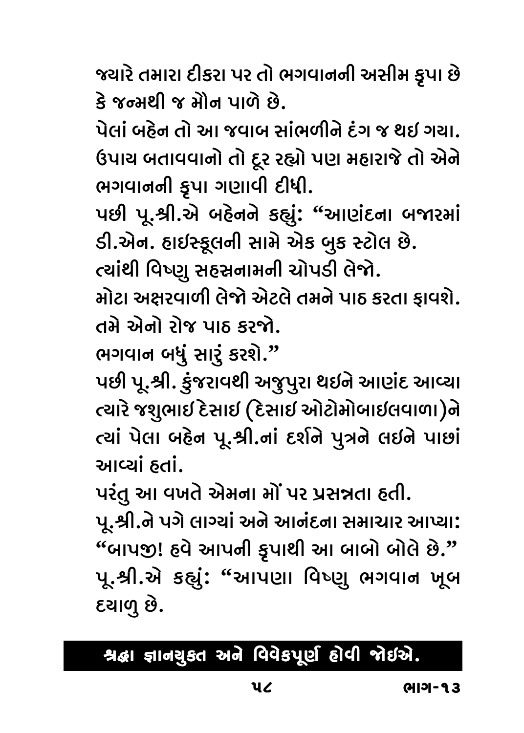જ્યારે તમારા દીકરા પર તો ભગવાનની અસીમ કૃપા છે કે જન્મથી જ મોન પાળે છે.

પેલાં બઠેન તો આ જવાબ સાંભળીને દંગ જ થઈ ગયા. ઉપાચ બતાવવાનો તો દૂર રહ્યો પણ મહારાજે તો એને ભગવાનની કૃપા ગણાવી દીધી.

પછી પૂ.શ્રી.એ બદેનને કહ્યું: "આણંદના બજારમાં ડી.એન. હાઈસ્કૂલની સામે એક બુક સ્ટોલ છે.

ત્યાંથી વિષ્ણૂ સહસ્રનામની ચોપડી લેજો.

મોટા અક્ષરવાળી લેજો એટલે તમને પાઠ કરતા ફાવશે<mark>.</mark> તમે એનો રોજ પાઠ કરજો.

ભગવાન બધું સારૂં કરશે."

પછી પૂ.શ્રી. કુંજરાવથી અજુપુરા થઈને આણંદ આવ્યા ત્યારે જશુભાઈ દેસાઈ (દેસાઈ ઓટોમોબાઈલવાળા)ને ત્યાં પેલા બહેન પૂ.શ્રી.નાં દર્શને પુત્રને લઈને પાછાં આવ્યાં ઠતાં.

પરંતુ આ વખતે એમના મોં પર પ્રસન્નતા હતી.

પૂ.શ્રી.ને પગે લાગ્યાં અને આનંદના સમાચાર આપ્યા: "બાપજી! હવે આપની કૃપાથી આ બાબો બોલે છે." પૂ.શ્રી.એ કહ્યું: "આપણા વિષ્ણુ ભગવાન ખૂબ દચાળુ છે.

#### श्रद्धा ज्ञानयुक्ष्त અને વિવેકપૂર્ણ होવी જોઇએ.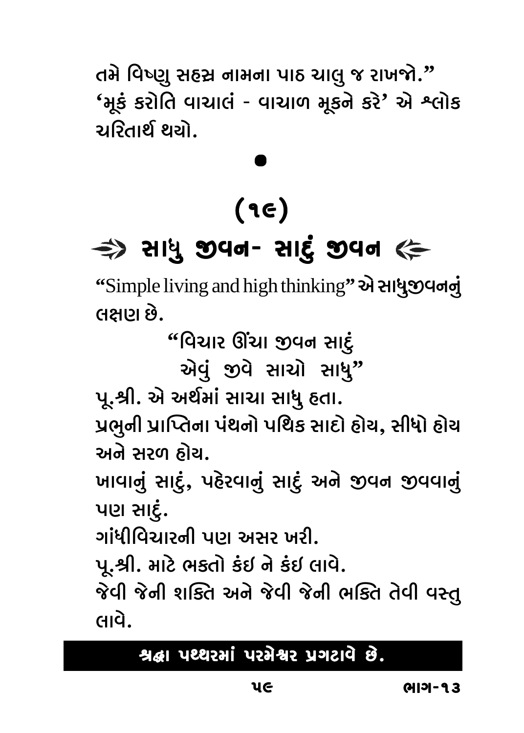તમે વિષ્ણુ સહસ્ર નામના પાઠ ચાલુ જ રાખજો.'' 'મૂકં કરોતિ વાચાલં - વાચાળ મૂકને કરે' એ શ્લોક ચરિતાર્થ થયો.

## $(9e)$

### $\Rightarrow$  સાધુ જીવન- સાદું જીવન  $\Leftarrow$

"Simple living and high thinking" એ સાધુજીવનનું લક્ષણ છે.

"વિચાર ઊંચા જીવન સાદું

એવું જીવે સાચો સાધુ"

પૂ.શ્રી. એ અર્થમાં સાચા સાધુ હતા.

પ્રભુની પ્રાપ્તિના પંથનો પથિક સાદો હોય, સીધો હોય અને સરળ ઠોચ.

ખાવાનું સાદું, પહેરવાનું સાદું અને જીવન જીવવાનું પણ સાદે.

ગાંધીવિચારની પણ અસર ખરી.

પૂ.શ્રી. માટે ભકતો કંઈ ને કંઈ લાવે.

જેવી જેની શક્તિ અને જેવી જેની ભક્તિ તેવી વસ્તુ લાવે.

#### श्रद्धा पथ्थरभां परभेश्वर प्रगटापे छे.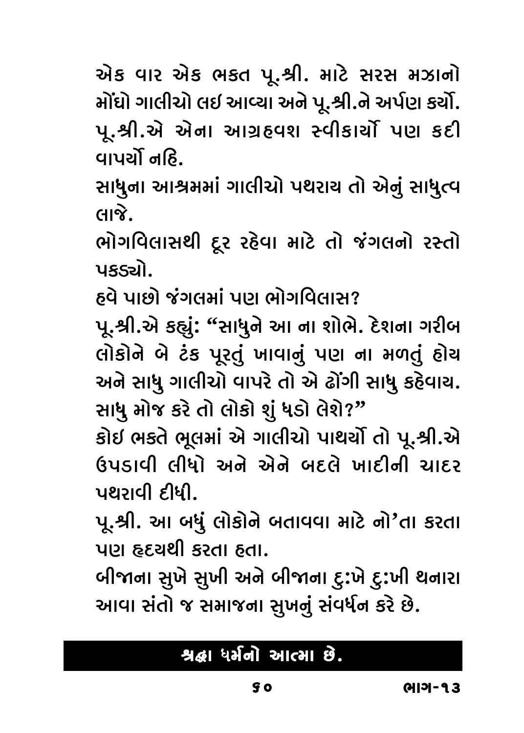એક વાર એક ભકત પૂ.શ્રી. માટે સરસ મઝાનો<br>મોંઘો ગાલીચો લઈ આવ્યા અને પૂ.શ્રી.ને અર્પણ કર્યો. પૂ.શ્રી.એ એના આગ્રહવશ સ્વીકાર્યો પણ કદી વાપર્ચો નહિ.

સાધુના આશ્રમમાં ગાલીચો પથરાચ તો એનું સાધુત્વ<br>લાજે

.<br>ا**اد**الہ M" w TILE © ∑ ∑O E Û FIN E ÛN DE Û Z

ઠવે પાછો જંગલમાં પણ ભોગવિલાસ?

\_<br>પૂ.શ્રી.એ કહ્યું: ''સાધુને આ ના શોભે. દેશના ગરીબ<br>લોકોને લે ટંક પરતું ખાવાનું પણ ના સળતું કોચ આ સાધુ ગાલીચો વાપરે તો એ ઢોંગી સાધુ કહેવાય.<br>આધુ મોજ કરે તો લોકો શું ધડો લેશે?''

સાધુ મોજ કરે તો લોકો શું ધડો લેશે?''<br>કોઈ ભકતે ભૂલમાં એ ગાલીચો પાથર્ચો તો પૂ.શ્રી.એ .<br>ઉપડાવી લીધો અને એને બદલે ખાદીની ચાદર<br>પ્રશ્રગવી દીધી પથરાવી દીધી.

પૂ.શ્રી. આ બધું લોકોને બતાવવા માટે નો'તા કરતા<br>પણ હૃદયથી કરતા હતા.

લીજાના સુખે સુખી અને બીજાના દુ:ખે દુ:ખી થનારા આવા સંતો જ સમાજના સુખનું સંવર્ધન કરે છે.<br>આવા સંતો જ સમાજના સુખનું સંવર્ધન કરે છે.

# ્યદ્ધા ધર્મનો આત્મા છે.<br>ક૦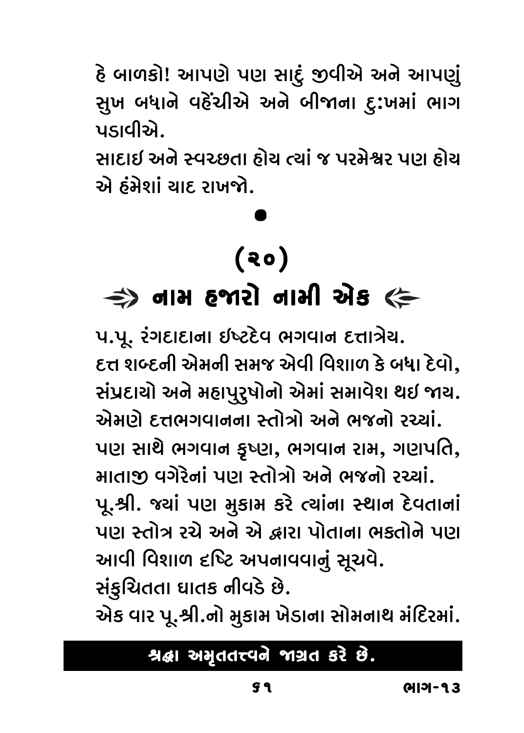હે બાળકો! આપણે પણ સાદું જીવીએ અને આપણું સુખ બધાને વહેંચીએ અને બીજાના દુ:ખમાં ભાગ પડાવીએ.

સાદાઈ અને સ્વચ્છતા હોચ ત્યાં જ પરમેશ્વર પણ હોચ એ ઠંમેશાં ચાદ રાખજો.

## $(a)$  $\Rightarrow$  वाम हभारो वामी એક  $\Leftrightarrow$

પ.પૂ. રંગદાદાના ઈષ્ટદેવ ભગવાન દત્તાત્રેય. દત્ત શબ્દની એમની સમજ એવી વિશાળ કે બધા દેવો, સંપ્રદાચો અને મહાપુરૂષોનો એમાં સમાવેશ થઈ જાય. એમણે દત્તભગવાનના સ્તોત્રો અને ભજનો રચ્ચાં.

પણ સાથે ભગવાન કૃષ્ણ, ભગવાન રામ, ગણપતિ, માતાજી વગેરેનાં પણ સ્તોત્રો અને ભજનો રચ્ચાં. પૂ.શ્રી. જ્યાં પણ મુકામ કરે ત્યાંના સ્થાન દેવતાનાં પણ સ્તોત્ર રચે અને એ દ્ભારા પોતાના ભક્તોને પણ આવી વિશાળ દષ્ટિ અપનાવવાનું સૂચવે. સંકુચિતતા ઘાતક નીવડે છે.

એક વાર પૂ.શ્રી.નો મુકામ ખેડાના સોમનાથ મંદિરમાં.

| श्रीक्षा अभृततत्त्वाने भागत हरे छे. |                |
|-------------------------------------|----------------|
|                                     | <u> ભાગ-૧૩</u> |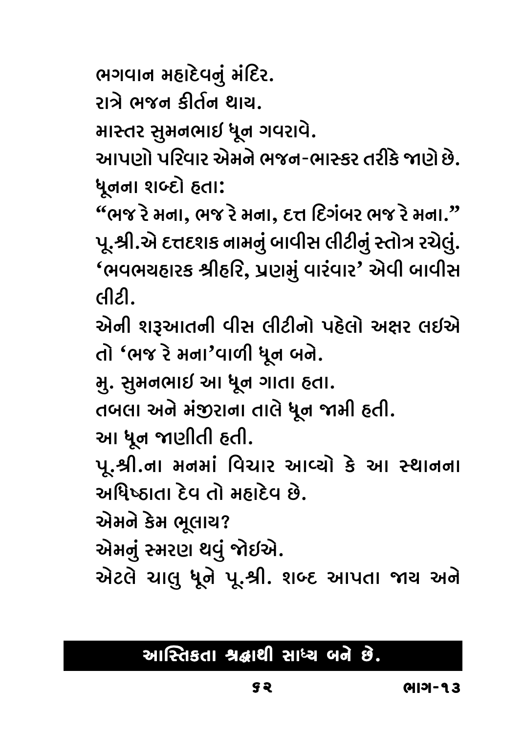ભગવાન મહાદેવનું મંદિર.<br>રાત્રે ભજન કીર્તન થાચ

∑ÛL@ IQÂ… xOflE™… ZÛ}. fiÛÕE∑ Y⁄fi…IÛ\$ A\… "\_∑Û\_@.

.<br>ધૂનના શબ્દો હતા:<br>ધૂનના શબ્દો હતા:

**"**IQ ∑@ fi…Û, IQ ∑@ fi…Û, pO˙ wpO"√µ∑ IQ ∑@ fi…Û.**"** f\.C—.#@ pO˙pOBxO …Ûfi…⁄√ µÛ\_—Y Ë—ŸO—…⁄√ ÕEÛ@L ∑{@Ë⁄√. **'**I\_I}˜Û∑xO C—˜w∑, fVofi⁄√ \_Û∑√\_Û∑**'** #@\_— µÛ\_—Y

એની શરૂઆતની વીસ લીટીનો પહેલો અક્ષર લઈએ #@…— BT#ÛE…— \_—Y Ë—ŸO—…Û@ f˜@ËÛ@ #Æ∑ Ë\$#@ EÛ@ **'**IQÂ ∑@ fi…Û**'**\_Û¥— A\… µ…@.

મુ. સુમનભાઈ આ ધૂન ગાતા હતા.

તબલા અને મંજીરાના તાલે ધૂન જામી હતી.

આ ધૂન જાણીતી હતી.<br>પૂ.શ્રી.ના મનમાં વિચાર આવ્યો કે આ સ્થાનના ૂ<br>અધિષ્ઠાતા દેવ તો મહાદેવ છે.<br>એમને કેમ ભલાગ?

એમને કેમ ભૂલાય?<br>એમનું સ્મરણ થવું જોઈએ.

~~ુ~~~~~~<sub>...</sub><br>એટલે ચાલુ ધૂને પૂ.શ્રી. શબ્દ આપતા જાય અને

# આસ્તિકતા શ્રદ્ધાથી સાધ્ય બને છે.<br>કર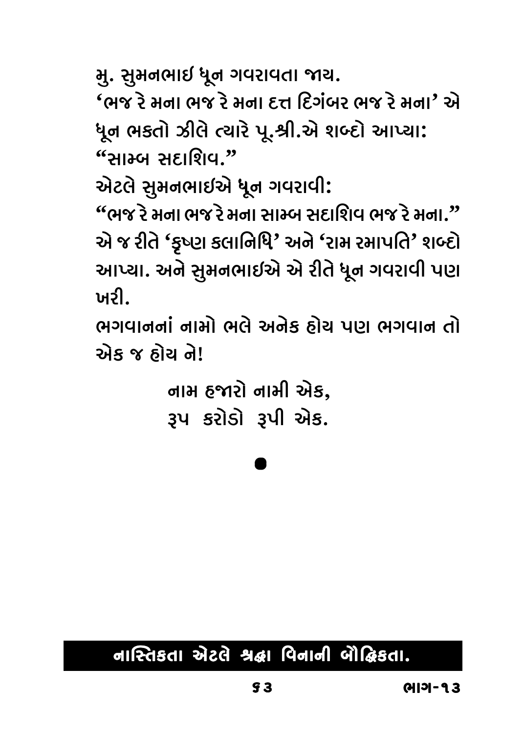મુ. સુમનભાઈ ધૂન ગવરાવતા જાચ.

, બહેર કે મુવા બહેર કે મુવા દવ્ય દિગુંભર બહેર કે મુવા, કમુ ધૂન ભકતો ઝીલે ત્યારે પૂ.શ્રી.એ શબ્દો આપ્યા: "સામ્બ સદાશિવ."

એટલે સુમનભાઈએ ધૂન ગવરાવી:

''ભજ રે મના ભજ રે મના સામ્બ સદાશિવ ભજ રે મના.'' એ જ રીતે 'કૃષ્ણ કલાનિધિ' અને 'રામ રમાપતિ' શબ્દો આપ્યા. અને સુમનભાઈએ એ રીતે ધૂન ગવરાવી પણ ખ੨ੀ⊹

ભગવાનનાં નામો ભલે અનેક ઠોચ પાગ ભગવાન તો એક જ ઠોચ ને!

> નામ હજારો નામી એક. રૂપ કરોડો રૂપી એક.

### गास्तिडता सेटले श्रद्धा पिनानी जोद्धिडता.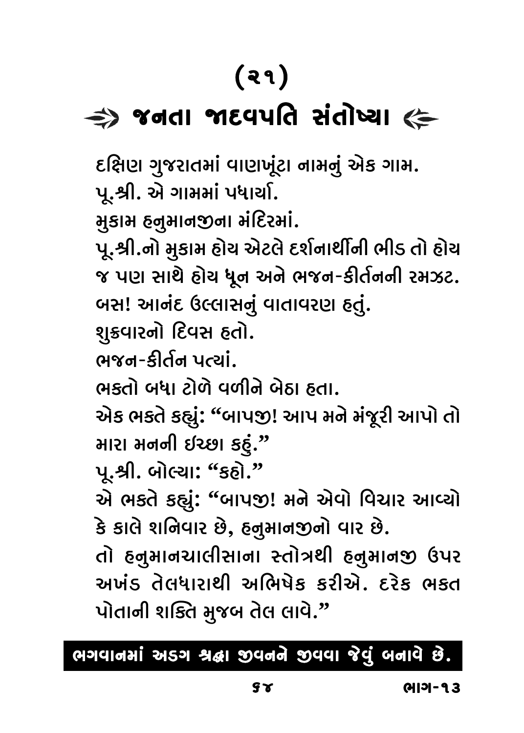## $\sum_{n=1}$ QÂ…EÛ pO\_fwE Y√EÛ@ Y√EÛ@QÂ…EÛ pO\_fwE Y√EÛ@≈}Û

ાલ્ટ હું …………… છૂં …….<br>પૂ.શ્રી. એ ગામમાં પધાર્યા.<br>મકામ કુનમાનજના મંદિરમાં મુકામ હનુમાનજીના મંદિરમાં.<br>પૂ.શ્રી.નો મુકામ હોય એટલે દર્શનાર્થીની ભીડ તો હોય ્<br>જ પણ સાથે હોય ધૂન અને ભજન-કીર્તનની રમઝટ.<br>ભૂગ! આનંદ ઉલ્લાસનું વાતાવરાગ હતું બસ! આનંદ ઉલ્લાસનું વાતાવરણ હતું.<br>શુક્રવારનો દિવસ હતો. <u>ભજન-કીર્તન પત્યાં.</u> IQÂ…-xOflE™… f'}Û√. I®EÛ@ µAÛ ŸOÛ@¥@ \_¥—…@ µ@sOÛ ˜EÛ. એક ભકતે કહ્યું: ''બાપજી! આપ મને મંજૂરી આપો તો મારા મનની ઈચ્છા કઠું." પૂ.શ્રી. બોલ્યા**: '**'કઠો.'' એ ભકતે કહ્યું: ''બાપજી! મને એવો વિચાર આવ્યો<br>કે કાલે શનિવાર છે, હનુમાનજીનો વાર છે. તો હનુમાનચાલીસાના સ્તોત્રથી હનુમાનજી ઉપર … −ુ<br>અખંડ તેલધારાથી અભિષેક કરીએ. દરેક ભકત<br>પોતાની શક્તિ મજબ તેલ લાવે " પોતાની શક્તિ મુજબ તેલ લાવે."

# I"\_Û…fiÛ√ #¤O" CWÛ u\_……@ u\_\_Û QÂ@\_⁄√ µ…Û\_@ ©Â@. CWÛ u\_……@ u\_\_Û µ…Û\_@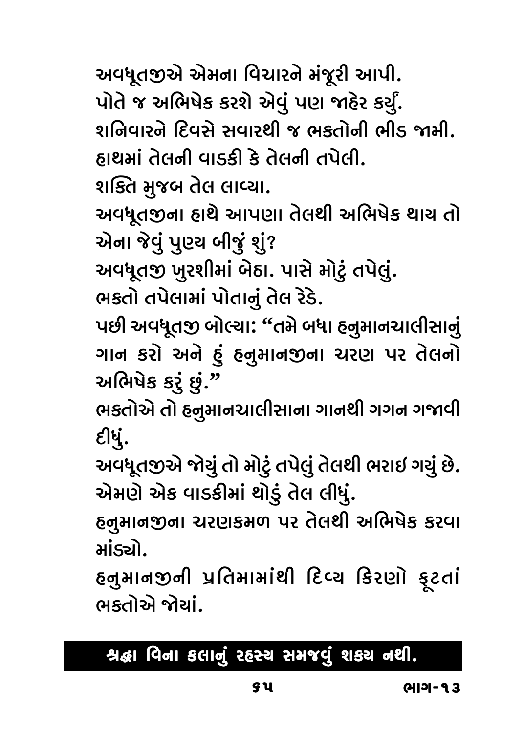અવધૂતજીએ એમના વિચારને મંજૂરી આપી.<br>પોતે જ અભિષેક કરશે એવં પણ જાહેર કર્યં. શબિવારને દિવસે સવારથી જ ભક્તોની ભીડ જામી. હાથમાં તેલની વાડકી કે તેલની તપેલી. <u>શક્તિ મ</u>ુજબ તેલ લાવ્યા.

અવધૂતજીના હાથે આપણા તેલથી અભિષેક થાચ તો<br>એના જેવં પાગ્ય બીજું શં?

—… ૅુ ુઁઁૻ ૅુ ુઁ<br>અવધૂતજી ખુરશીમાં બેઠા. પાસે મોટું તપેલું.<br>ભક્તો તપેલામાં પોતાનું તેલ રેડે

પછી અવધૂતજી બોલ્યા: ''તમે બધા હનુમાનચાલીસાનું<br>ગાન, કરો, અને, કં, કનુમાનજીના, રારાગ, પર, તેલનો આભિષેક કરું છું.''<br>અભિષેક કરું છું.''<br>ભક્તોએ તો કુનમાનસાલીસાના ગાનશી ગુગન ગુજાવી

ISE ENDED EN OUT દીધું.

અવધૂતજીએ જોચું તો મોટું તપેલું તેલથી ભરાઈ ગયું છે. એમણે એક વાડકીમાં થોડું તેલ લીધું.<br>હનુમાનજીના ચરણકમળ પર તેલથી અભિષેક કરવા

˜…⁄fiÛ…u…Û {∑oxOfi¥ f∑ E@ËZ— #wI∆@xO xO∑\_Û

 $\epsilon$ أبار وين ~ુ<br>ભકતોએ જોચાં. I®EÛ@#@ @}Û√.

# CWÛ w\_…Û xOËÛ…⁄√ ∑˜Õ} YfiQÂ\_⁄√ B®} …Z—. CWÛ w\_…Û ∑˜Õ} YfiQÂ\_⁄√ B®}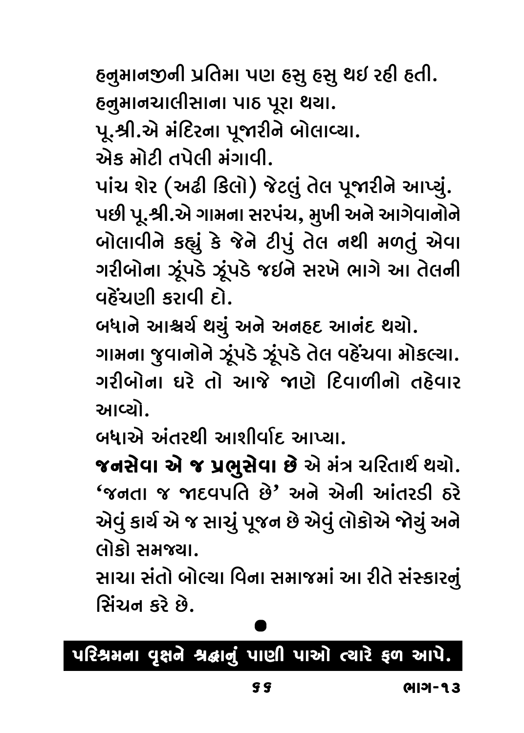હનુમાનજીની પ્રતિમા પણ હસુ હસુ થઈ રહી હતી.<br>હનુમાનચાલીસાના પાઠ પુરા થચા.

પૂ.શ્રી.એ મંદિરના પૂજારીને બોલાવ્યા.

એક મોટી તપેલી મંગાવી.

પાંચ શેર (અઢી કિલો) જેટલું તેલ પૂજારીને આપ્યું. પછી પૂ.શ્રી.એ ગામના સરપંચ, મુખી અને આગેવાનોને બોલાવીને કહ્યું કે જેને ટીપું તેલ નથી મળતું એવા ગરીબોના ઝુંપડે ઝુંપડે જઈને સરખે ભાગે આ તેલની <u>વહેંચાગી કરાવી દો.</u>

\_˜@>{o— xO∑Û\_— pOÛ@. <sup>µ</sup>AÛ…@ #ÛŒ}™ Z}⁄√ #…@ #…˜pO #Û…√pO Z}Û@.

ગામના જુવાનોને ઝૂંપડે ઝૂંપડે તેલ વહેંચવા મોકલ્ચા.<br>ગરીબોના ઘરે તો આજે જાણે દિવાળીનો તઠેવાર ∑—µ∑™∑™∑™∑™∑™©™©™™™™©™≥

્ર<br>બધાએ અંતરથી આશીર્વાદ આપ્યા.<br>જનસેવા એ જ પ્રભસેવા છે એ મંગ

્ર<br>'જનતા જ જાદવપતિ છે' અને એની આંતરડી ઠરે<br>એવં કાર્ય એ જ સારાં પૂજન છે એવં લોકોએ જોયું અને એવું કાર્ચ એ જ સાચું પૂજન છે એવું લોકોએ જોચું અને<br>લોકો સમજ્યા

સાચા સંતો બોલ્ચા વિના સમાજમાં આ રીતે સંસ્કારનું સિંચન કરે છે. wY√{… xO∑@ ©Â@.

## <u>.</u><br>पाए<br>इड  $\epsilon$   $\sim$   $\frac{6}{9}$   $\epsilon$   $\sim$   $\frac{6}{9}$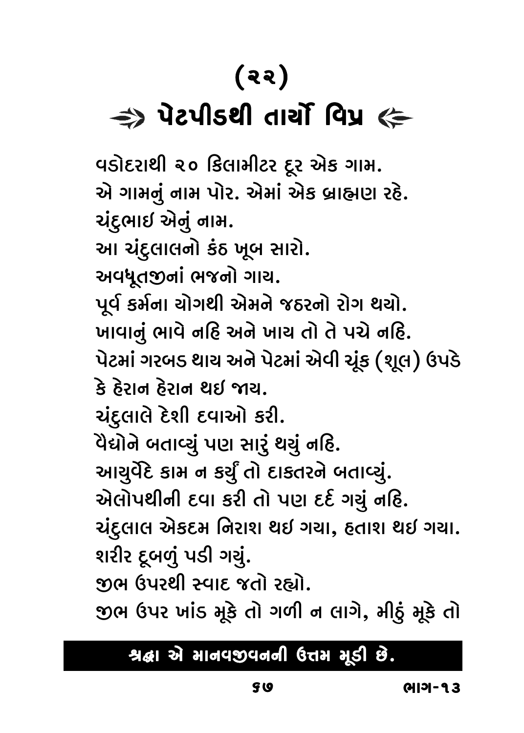## $\sqrt{2}$  $\frac{1}{2}$

વડોદરાથી ૨૦ કિલામીટર દૂર એક ગામ.<br>એ ગામનું નામ પોર. એમાં એક બ્રાહ્મણ રહે. ચંદ્ભાઈ એનું નામ. આ ચંદુલાલનો કંઠ ખૂબ સારો. -<br>અવધૂતજીનાં ભજનો ગાચ.<br>પૂર્વ કર્મના ગોગશી એમને જૂદર પૂર્વ કર્મના ચોગથી એમને જઠરનો રોગ થયો.<br>ખાવાનું ભાવે નહિ અને ખાચ તો તે પચે નહિ. પેટમાં ગરબડ થાય અને પેટમાં એવી ચૂંક (શૂલ) ઉપડે  $\hat{B}$  ਨੇ?lਗ ਨੇ?lਗ थ $\hat{B}$  ਅચ. ચંદ્લાલે દેશી દવાઓ કરી. પેદ્યોને બતાવ્યું પણ સારૂં થયું નહિ. આચુર્વેદે કામ ન કર્યું તો દાકતરને બતાવ્યું. એલોપથીની દવા કરી તો પણ દર્દ ગચું નહિ. ચંદ્દલાલ એકદમ નિરાશ થઈ ગયા, હતાશ થઈ ગયા. શટીર દૂબળું પડી ગયું. જીભ ઉપરથી સ્વાદ જતો રહ્યો.  $\tilde{\mathcal{L}}$  and  $\tilde{\mathcal{L}}$  and  $\tilde{\mathcal{L}}$  $\sum_{i=1}^{n}$   $\sum_{j=1}^{n}$   $\sum_{j=1}^{n}$   $\sum_{j=1}^{n}$ 

# શ્રદ્ધા એ માનવજીવનની ઉત્તમ મૂડી છે.<br>ઉ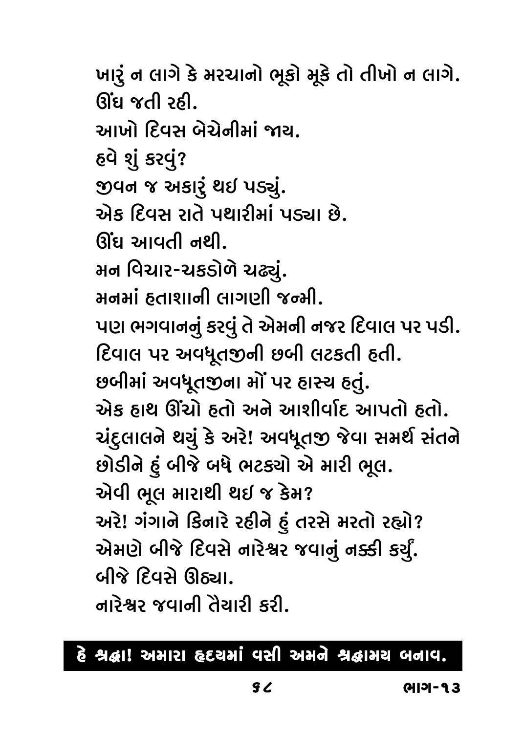ખારું ન લાગે કે મરચાનો ભૂકો મૂકે તો તીખો ન લાગે.<br>ઊંઘ જતી ગ્ર્દી આખો દિવસ બેચેનીમાં જાચ. હવે શું કરવું? જીવન જ અકારૂં થઈ પડ્યું. એક દિવસ રાતે પથારીમાં પડ્યા છે. @ંધ આવતી <sup>બ</sup>થી મન વિચાર-ચકડોળે ચઢ્યું. મનમાં હ્વાશાની લાગણી જન્મી. પણ ભગવાનનું કરવું તે એમની નજર દિવાલ પર પડી. fo I"\_Û……⁄√ xO∑\_⁄√ E@ #@fi…— …QÂ∑ wpO\_ÛË f∑ f¤O—. wpO\_ÛË f∑ #\_A\Eu…— ©Âµ— ËŸOxOE— ˜E—. છબીમાં અવધૂતજીના મોં પર હાસ્ચ હતું.<br>એક ઠાથ ઊંચો ઠતો અને આશીર્વાદ આપતો ઠતો. ્ટ્રેન્ટ્રેન્ટ્રેન્ટ્રેન્ટ્રેન્ટ્રેન્ટ્રેન્ટ્રેન્ટ્રેન્ટ્રેન્ટ્રેન્ટ્રેન્ટ્રેન્ટ્રેન્ટ્રેન્ટ્રેન્ટ્રેન્ટ્રેન્ટ<br>અંદુલાલને થયું કે અરે! અવધૂતજી જેવા સમર્થ સંતને<br>એડીને કં બીજે બધે ભટક્યો એ મારી ભલ છોડીને ઠું બીજે બધે ભટક્યો એ મારી ભૂલ.<br>એવી ભૂલ મારાથી થઇ જ કેમ? અરે! ગંગાને કિનારે રહીને હં તરસે મરતો રહ્યો? એમણે બીજે દિવસે નારેશ્વર જવાનું નક્કી કર્યું. <u>બીજે દિવસે ઊઠ્યા.</u> લારેશ્વર જવાની તૈયારી કરી.

# ે કે શ્રદ્ધા! આગે હૃદચમાં વસી અમને શ્રદ્ધામય બનાવ.<br>દિવસાહ હિન્દિ હતા હતુ

…Û∑@U∑ QÂ\_Û…— E≠}Û∑— xO∑—.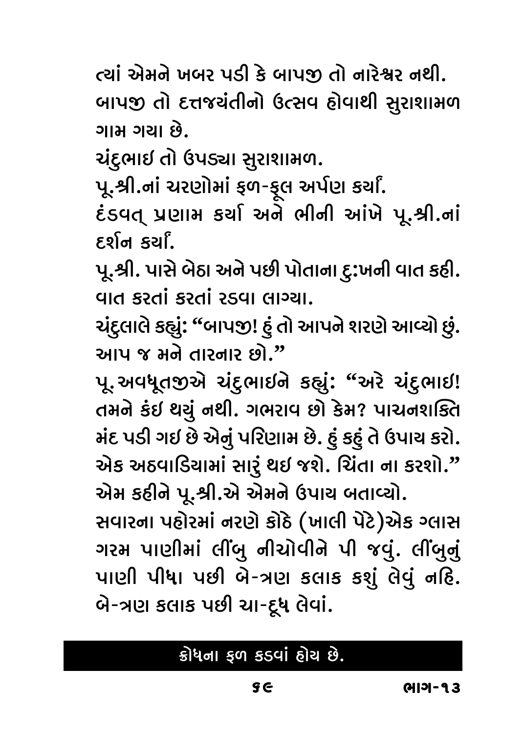ત્યાં એમને ખબર પડી કે બાપજી તો નારેશ્વર નથી.<br>બાપજી તો દત્તજચંતીનો ઉત્સવ હોવાથી સુરાશામળ  $\overline{O}$  DO  $\overline{O}$  DO  $\overline{O}$ 

ચંદુભાઈ તો ઉપડ્યા સુરાશામળ.

પૂ.શ્રી.નાં ચરણોમાં ફળ-ફલ અર્પણ કર્યાં.

્<br>દંડવત પ્રણામ કર્યા અને ભીની આંખે p√O¤O\_E≤ fVoÛfi xO}Û™ #…@ I—…— #Û√«@ f\.C—.…Û√

પૂ.શ્રી. પાસે બેઠા અને પછી પોતાના દુ:ખની વાત કહી. વાત કરતાં કરતાં રડવા લાગ્યા.

.<br>ચંદુલાલે કહ્યું: ''બાપજી! હું તો આપને શરણે આવ્યો છું.<br>આપ જ મને તારનાર છો <sup>?</sup>' <u>આપ જ મને તારનાર છો.</u>"

પૂ.અવધૂતજીએ ચંદુભાઈને કહ્યું: ''અરે ચંદુભાઈ!<br>તમને કંઈ થચું નથી. ગભરાવ છો કેમ? પાચનશક્તિ મંદ પડી ગઈ છે એનું પરિણામ છે. હું કહું તે ઉપાચ કરો. ્<br>એક અઠવાડિયામાં સારું થઇ જશે. ચિંતા ના કરશો.''<br>એમ કઠીને પૂ.થી એ એમને ઉપણ બતાવ્યો

એમ કહીને પૂ.શ્રી.એ એમને ઉપાચ બતાવ્યો.<br>સવારના પહોરમાં નરણે કોઠે (ખાલી પેટે)એક ગ્લાસ ગરમ પાણીમાં લીંબુ નીચોવીને પી જવું. લીંબુનું "∑fi fÛo—fiÛ√ Ë—>µ⁄ …—{Û@\_—…@ f— QÂ\_⁄√. Ë—>µ⁄…⁄√ fÛo— f—AÛ f©Â— µ@-Lo xOËÛxO xOB⁄√ Ë@\_⁄√ …w˜. બે-ત્રણ કલાક પછી ચા-દૂધ લેવાં.

## $\overline{\mathbf{S}}$ ધિના ફળ કડવાં હોય છે.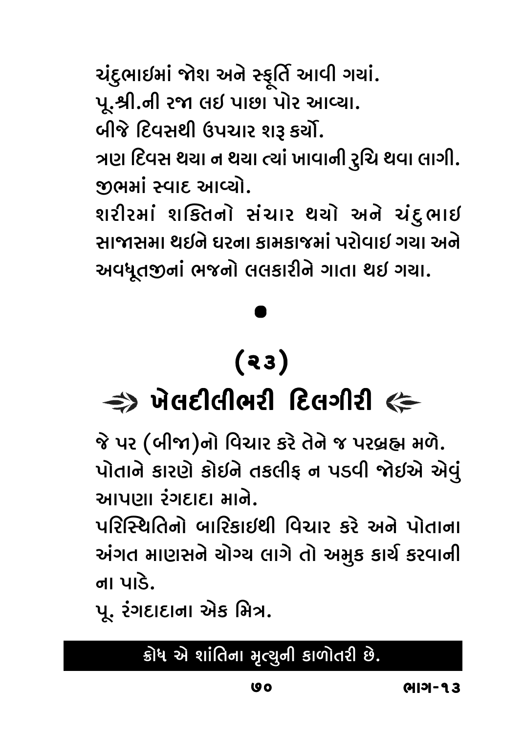્ર<br>પ.શ્રી.ની રજા લઈ પાછા પોર આવ્યા. બીજે દિવસથી ઉપચાર શરૂ કર્યો. ત્રણ દિવસ થયા ન થયા ત્યાં ખાવાની રૂચિ થવા લાગી.  $\mathfrak{g}$ ભમાં સ્વાદ આવ્યો.

શરીરમાં શક્તિનો સંચાર થયો અને ચંદુભાઈ <u>સાજાસમા થઈને ઘરના કામકાજમાં પરોવાઈ ગયા અને</u> YÛYfiÛ Z\$…@ n∑…Û xOÛfixOÛQÂfiÛ√ f∑Û@\_Û\$ "}Û #…@ #\_A\Eu…Û√ IQÂ…Û@ ËËxOÛ∑—…@ "ÛEÛ Z\$ "}Û.

## $(33)$  $\Rightarrow$  ખેલદીલીભરી દિલગીરી  $\Leftarrow$

જે પર (બીજા)નો વિચાર કરે તેને જ પરબ્રહ્મ મળે. પોતાને કારણે કોઈને તકલીફ ન પડવી જોઈએ એવું આપણા રંગદાદા માને.

પરિસ્થિતિનો બારિકાઈથી વિચાર કરે અને પોતાના  $\mathbb P$ שוטכא  $\mathbb S$ פוא אומכ עצי עטן ומכונכ ווי בוכחות דיוכיר  $^{6}$  finds  $^{6}$ 

પૂ. રંગદાદાના એક મિત્ર.  $\alpha$   $\sim$   $\alpha$   $\sim$   $\alpha$   $\sim$ 

કોધ એ શાંતિના મૃત્યુની કાળોતરી છે.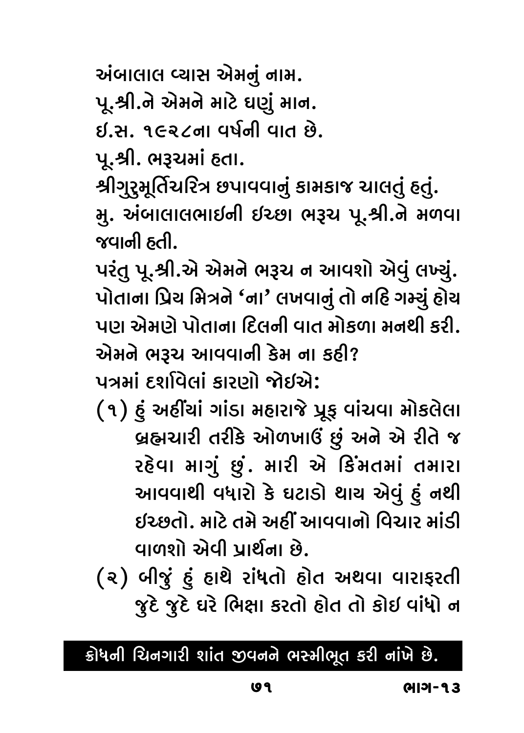અંબાલાલ વ્યાસ એમનું નામ.<br>પૂ.શ્રી.ને એમને માટે ઘણું માન.

 $f(\mathcal{H})$  નવ્રતા વર્ષની વાત છે.

પૂ.શ્રી. ભરૂચમાં હતા.

શ્રીગુરૂમૂર્તિચરિત્ર છપાવવાનું કામકાજ ચાલતું હતું.

મુ. અંબાલાલભાઈની ઈચ્છા ભરૂચ પૂ.શ્રી.ને મળવા જવાની **હતી** 

પરંતુ પૂ.શ્રી.એ એમને ભરૂચ ન આવશો એવું લખ્યું. f∑√E⁄ f\.C—.#@ #@fi…@ IT{ … #Û\_BÛ@ #@\_⁄√ ˈ}⁄√. fÛ@EÛ…Û wfV} wfiL…@ **'**…Û**'** Ë«\_Û…⁄√ EÛ@ …w˜ "~}⁄√ ˜Û@} એમને ભરૂચ આવવાની કેમ ના કહી? પત્રમાં દર્શાવેલાં કારણો જોઈએ:

- (૧) ઠું અઠીંચાં ગાંડા મહારાજે પ્રૂફ વાંચવા મોકલેલા બ્રહ્મચારી તરીકે ઓળખાઉં છું અને એ રીતે જ રહેવા માગું છું. મારી એ કિંમતમાં તમારા \_\_<br>આવવાથી વધારો કે ઘટાડો થાચ એવું હું નથી<br>ઘટછુતો .માટે તમે અહીં આવવાનો વિચાર માંડી વાળશો એવી પ્રાર્થના છે.
- ્રિયો છે છે છે છે આ આ આ આ આવેલી (૨) બીજું હું હાથે રાંધતો હોત અથવા વારાફરતી<br>જો જો કહે કહે જો જો હોત તે હોત તે કોઈ લાંધો ન જુદે જુદે ઘરે ભિક્ષા કરતો હોત તો કોઈ વાં<mark>ધો</mark> ન

## ક્રોધની ચિનગારી શાંત જીવનને ભસ્મીભૂત કરી નાંખે છે.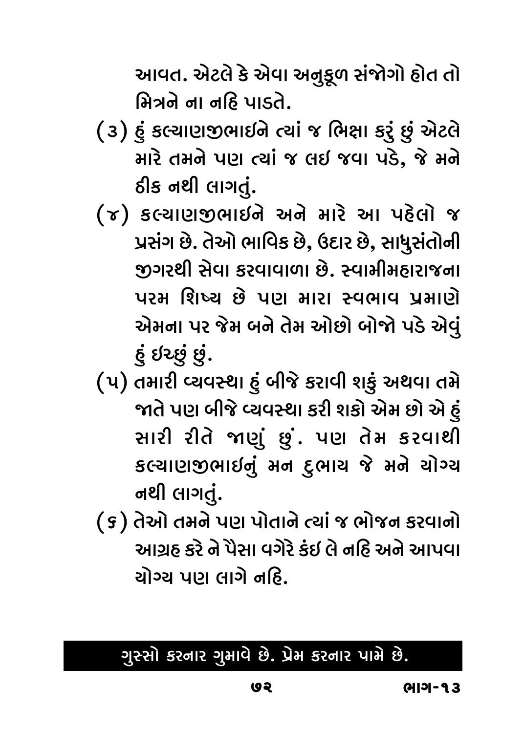આવત. એટલે કે એવા અનુકૂળ સંજોગો હોત તો મિત્રણ લા વાણ ખુબલી

- (૩) હું કલ્ચાણજીભાઈને ત્યાં જ ભિક્ષા કરૂં છું એટલે મારે તમને પણ ત્યાં જ લઈ જવા પડે, જે મને ઠીક નથી લાગતું.
- (૪) કલ્યાણજીભાઈને અને મારે આ પહેલો જ પ્રસંગ છે. તેઓ ભાવિક છે, ઉદાર છે, સાધુસંતોની જીગરથી સેવા કરવાવાળા છે. સ્વામીમહારાજના પરમ શિષ્ચ છે પણ મારા સ્વભાવ પ્રમાણે એમના પર જેમ બને તેમ ઓછો બોજો પડે એવું હું ઇચ્છું છું.
- (૫) તમારી વ્યવસ્થા હું બીજે કરાવી શકું અથવા તમે જાતે પણ બીજે વ્યવસ્થા કરી શકો એમ છો એ હું સારી રીતે જાણું છું. પણ તેમ કરવાથી કલ્યાણજીભાઈનું મન દુભાચ જે મને ચોગ્ચ નથી લાગતું.
- ( ૬ ) તેઓ તમને પણ પોતાને ત્યાં જ ભોજન કરવાનો આગ્રહ કરે ને પૈસા વગેરે કંઈ લે નહિ અને આપવા ચોગ્ચ પણ લાગે ન્નઠિ.

## ગુસ્સો કરનાર ગુમાવે છે. પ્રેમ કરનાર પામે છે.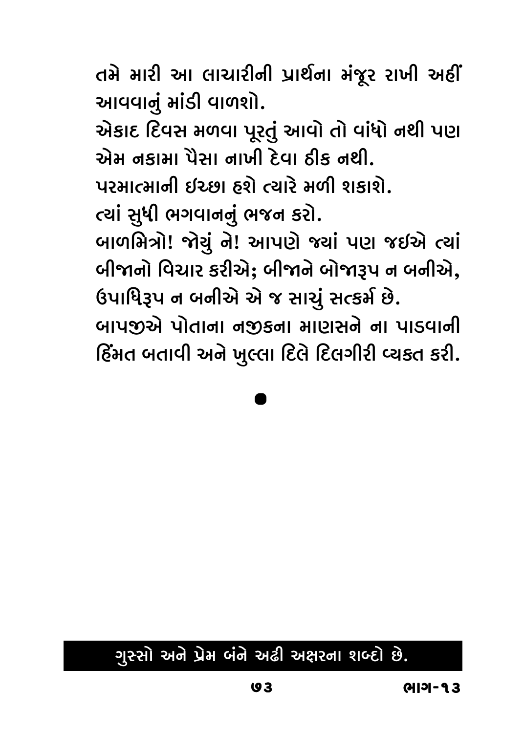તમે મારી આ લાચારીની પ્રાર્થના મંજૂર રાખી અહીં<br>આવવાનું માંડી વાળશો.

્……ુ<br>એકાદ દિવસ મળવા પૂરતું આવો તો વાંધો નથી પણ<br>એમ નકામા પેમા નાખી દેવા ઠીક નથી

પરમાત્માની ઈચ્છા ઠશે ત્યારે મળી શકાશે.

.<br>ત્યાં સુધી ભગવાનનું ભજન કરો.<br>બાળસિત્રો! જોચં તે! આપણે જ્યાં પણ ૭

બાળમિત્રો! જોચું ને! આપણે જ્યાં પણ જઈએ ત્યાં<br>બીજાનો વિચાર કરીએ; બીજાને બોજારૂપ ન બનીએ, µ—…Û@ w\_{Û∑ xO∑—#@; µ—…@ µÛ@Tf … µ…—#@, &fÛwATf … µ…—#@ #@ QÂ YÛ{⁄√ Y'xOfi™ ©Â@.

 $\tilde{B}$ મ હોય છે. આ માટેલા દિવે દિલગીરી દગસ્ત દર્ગ  $\frac{1}{2}$ 

.

## $\ddot{\bullet}$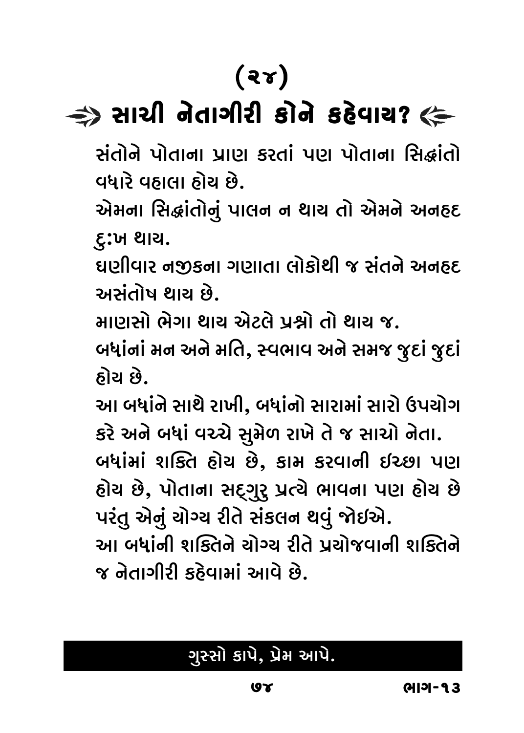# (24)

સંતોને પોતાના પ્રાણ કરતાં પણ પોતાના સિદ્ધાંતો ્લિયારે વહાલા હોચ છે.<br>વધારે વહાલા હોચ છે.<br>વધારે વહાલા હોચ છે.

#@fi…Û wYWÛ√EÛ@…⁄√ fÛË… … ZÛ} EÛ@ #@fi…@ #…˜pO

દુ:ખ થાય.<br>ઘણીવાર નજીકના ગણાતા લોકોથી જ સંતને અનહદ અસંતોષ થાચ છે.

માણસો ભેગા થાચ એટલે પશ્ચો તો થાચ જ.

્રાજ્યમાં આ બીબી કરવા આ આપવા છે.<br>બધાંનાં મન અને મતિ, સ્વભાવ અને સમજ જુદાં જુદાં<br>હોચ છે

~~~~~<br>આ બર્ધાને સાથે રાખી, બર્ધાનો સારામાં સારો ઉપયોગ<br>કરે અને બધાં ઘરૂરો સમેળ રાખે તે જ સારોો નેતા કરે અને બધાં વચ્ચે સુમેળ રાખે તે જ સાચો નેતા.

બધાંમાં શક્તિ હોચ છે, કામ કરવાની ઈચ્છા પણ<br>હોચ છે, પોતાના સદ્ગુરૂ પ્રત્યે ભાવના પણ હોચ છે પરંતુ એનું ચોગ્ય રીતે સંકલન થવું જોઈએ.

——<br>આ બધાંની શક્તિને ચોગ્ચ રીતે પ્રચોજવાની શક્તિને<br>જ નેતાગીરી કઠેવામાં આવે છે QÂ …@EÛ"—∑— xO˜@\_ÛfiÛ√ #Û\_@ ©Â@.

## ગુસ્સો કાપે, પ્રેમ આપે.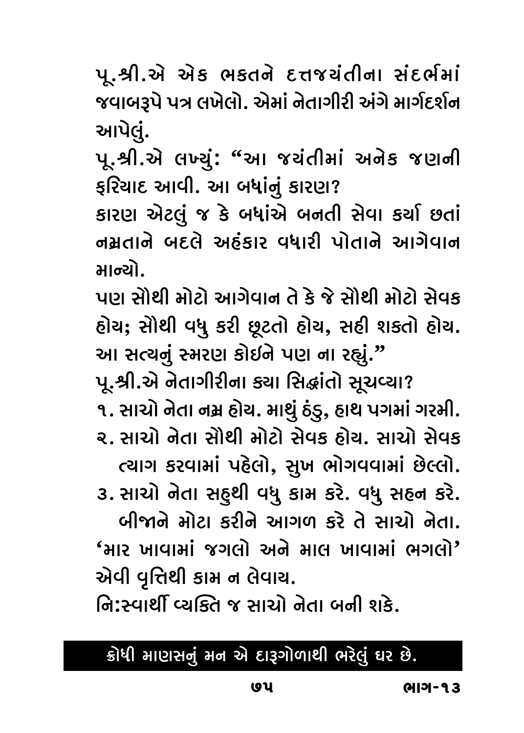પૂ.શ્રી.એ એક ભકતને દત્તજચંતીના સંદર્ભમાં<br>જવાબ૩પે પત્ર લખેલો. એમાં નેતાગીરી અંગે માર્ગદર્શન QÂ∑ E Ê Ê Ê ÎNTERNAMENTA FRANCIS E Û DE Û DE Û DE

્…<sub>...</sup>...<br>પૂ.શ્રી.એ લખ્યું: "આ જચંતીમાં અનેક જણની<br>કઝિયદ આવી આ બધાંનું કાગગ?</sub> ફરિચાદ આવી. આ બધાંનું કારણ?

કારણ એટલું જ કે બધાંએ બનતી સેવા કર્યા છતાં નમ્રતાને બદલે અહંકાર વધારી પોતાને આગેવાન<br>માન્ચો

પણ સૌથી મોટો આગેવાન તે કે જે સૌથી મોટો સેવક ્<br>કોચ; સોથી વધુ કરી છૂટતો હોચ, સહી શકતો હોચ.<br>આ સત્યનું સ્મરણ કોઈને પણ ના રહાં <sup>??</sup>

આ સત્યનું સ્મરણ કોઈને પણ ના રહ્યું.''<br>પૂ.શ્રી.એ નેતાગીરીના કચા સિદ્ધાંતો સુચવ્યા?

9. સાચો નેતા નમ્ર હોચ. માથું ઠંડુ, હાથ પગમાં ગરમી. ર. સાચો નેતા સોેથી મોટો સેવક ઠોચ. સાચો સેવક ત્યાગ કરવામાં પહેલો, સુખ ભોગવવામાં છેલ્લો. ે. સાચો નેતા સહુથી વધુ કામ કરે. વધુ સહન કરે.<br>બીજાને મોટા કરીને આગળ કરે તે સાગો નેતા ∙<br>કો આવામાં જગલો અને માલ ખાવામાં ભગલો.<br>'માર ખાવામાં જગલો અને માલ ખાવામાં ભગલો એવી વૃત્તિથી કામ ન લેવાચ.<br>નિઃસ્વાર્થી વ્યક્તિ જ સાર્યો નેતા બની શકે

w…:Õ

# آلاءُ) કોધી માણસનું મન એ દારૂગોળાથી ભરેલું ઘર છે.<br>હવા હિ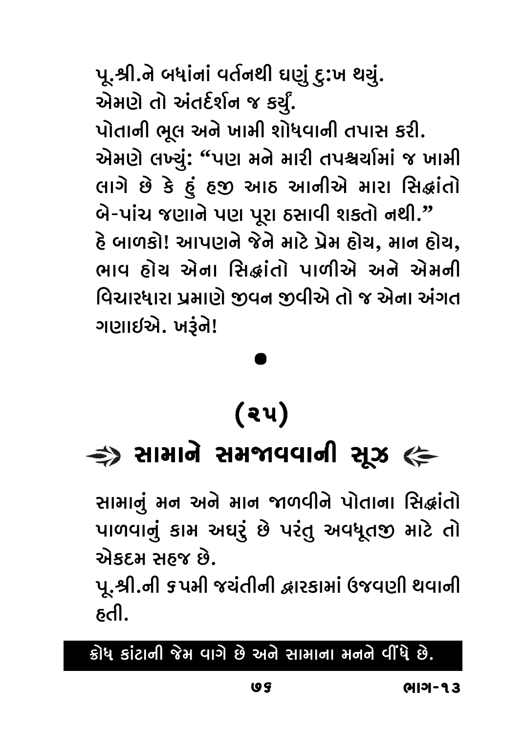પૂ.શ્રી.ને બધાંનાં વર્તનથી ઘણું દુ:ખ થયું.<br>એમણે તો અંતર્દર્શન જ કર્યં. #@fio@ EÛ@ #√Ep™OB™… QÂ xO}⁄q. fÛ@EÛ…— I\Ë #…@ «Ûfi— BÛ@A\_Û…— EfÛY xO∑—. એમણે લખ્યું: ''પણ મને મારી તપશ્ચર્યામાં જ ખામી<br>લાગે છે કે હું **હજી આઠ આનીએ મારા સિ**દ્ધાંતો ્ર<br>બે-પાંચ જણાને પણ પૂરા ઠસાવી શકતો નથી.''<br>કે બાળકો! આપણને જેને માટે પેમ કોચ, માન કોચ હે બાળકો! આપણને જેને માટે પ્રેમ હોચ, માન હોચ,<br>ભાવ હોચ એના સિદ્ધાંતો પાળીએ અને એમની ા આ પણ બીટી આ બીટી છે.<br>વિચારધારા પ્રમાણે જીવન જીવીએ તો જ એના અંગત<br>ગણાઈએ માર્ચને! "oÛ\$#@. «T√…@!

## (૨૫)

 $\sum_{n=1}^{\infty}$  $\mathbb{R}$ 

YÛfiÛ…⁄√ fi… #…@ fiÛ… ¥\_—…@ fÛ@EÛ…Û wYWÛ√EÛ@ fÛ¥\_Û…⁄√ xOÛfi #n∑⁄√ ©Â@ f∑√E⁄ #\_A\Eu fiÛŸ@O EÛ@

#@xOpOfi Y˜QÂ ©Â@.  $\epsilon$  $\overline{a}$ 

## કોધ કાંટાની જેમ વાગે છે અને સામાના મનને વીંધે છે.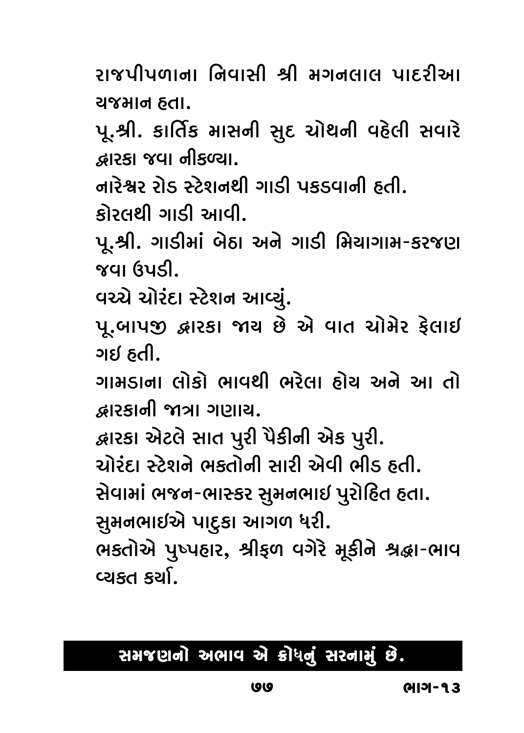રાજપીપળાના નિવાસી શ્રી મગનલાલ પાદરીઆ <u>ଥ</u>ିଙ୍କଧାର 6dL

પૂ.શ્રી. કાર્તિક માસની સુદ ચોથની વહેલી સવારે . હ્રારકા જવા નીકળ્યા

લારેશ્વર રોડ સ્ટેશનથી ગાડી પકડવાની હતી.

કોરલથી ગાડી આવી.

પૂ.શ્રી. ગાડીમાં બેઠા અને ગાડી મિયાગામ-કરજણ જવા ઉપડી.

વચ્ચે ચોરંદા સ્ટેશન આવ્યું.

ي<br>أو ادامه اعداد الله ال  $f\in\mathbb{R}^N$ 

ગામડાના લોકો ભાવથી ભરેલા ઠોચ અને આ તો હારકાની જાત્રા ગણાય.

દ્વારકા એટલે સાત પુરી પૈકીની એક પુરી.

ચોરંદા સ્ટેશને ભકતોની સારી એવી ભીડ હતી.

સેવામાં ભજન-ભાસ્કર સુમનભાઈ પુરોહિત હતા.

સુમનભાઈએ પાદુકા આગળ ધરી.<br>સુમનભાઈએ પાદુકા આગળ ધરી.<br>ભક્તોએ પ્રાપ્તાદાર ૃશ્ચીકૂળ વગેરે મૂકીને શ્વતા-ા

ભકતોએ પુષ્પહાર, શ્રીફળ વગેરે મૂકીને શ્રદ્ધા-ભાવ<br>વ્યકત કર્યા. [}®E xO}Û™.

# YfiQÂo…Û@ #IÛ\_ #@ ∏OÛ@ YfiQÂo…Û@ #IÛ\_ A…⁄√ Y∑…Ûfi⁄√ ©Â@.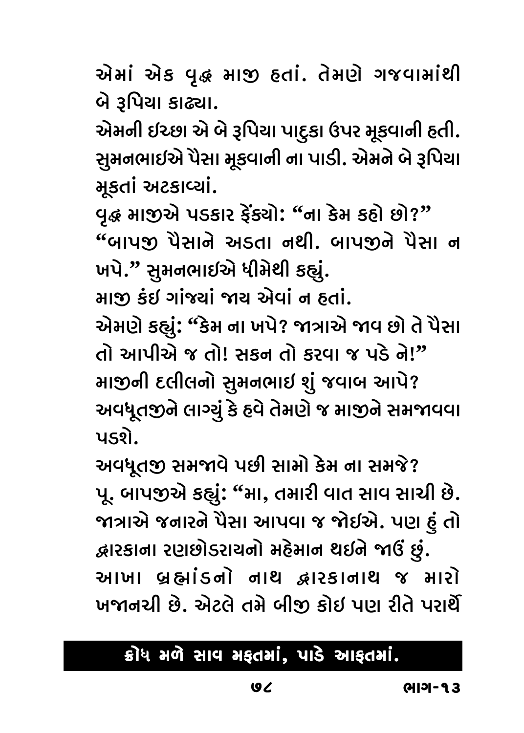એમાં એક વૃદ્ધ માજી હતાં. તેમણે ગજવામાંથી<br>બે ૩પિયા કાઢ્યા.

એમની ઈચ્છા એ બે રૂપિયા પાદુકા ઉપર મૂકવાની હતી. સુમનભાઈએ પેસા મૂકવાની ના પાડી. એમને બે રૂપિયા મુકતાં અટકાવ્યાં.

્<br>વૃ*દ્ધ* માજીએ પડકાર ફેંક્યો: ''ના કેમ કહો છો?''<br>''બાપજ પેંઞાને અડતા નથી. બાપજને પેંગ **"બાપજી પૈસાને અડતા નથી. બાપજીને પૈસા ન** ખપે.'' સુમનભાઈએ ધીમેથી કહ્યું.<br>માજ઼ કંઈ ગાંજચાં જાચ એવાં ન ઠતાં.

fiÛu x√O\$ "Û√ƒ}Û√ } #@\_Û√ … ˜EÛ√. #@fio@ xO·⁄√: **"**x@Ofi …Û «f@? LÛ#@ \_ ©ÂÛ@ E@ f≠YÛ તો આપીએ જ તો! સકન તો કરવા જ પડે ને!''<br>માજીની દલીલનો સુમનભાઈ શું જવાબ આપે? fiÛu…— pOË—Ë…Û@ Y⁄fi…IÛ\$ B⁄√ QÂ\_Ûµ #Ûf@? #\_A\Eu…@ ËÛa}⁄√ x@O ˜\_@ E@fio@ QÂ fiÛu…@ Yfi\_\_Û

અવધૂતજી સમજાવે પછી સામો કેમ ના સમજે?<br>આ બાપજાએ કહ્યું: ''સાં, તમારી વાત સાવ સાર પૂ. બાપજીએ કહ્યું: ''મા, તમારી વાત સાવ સાચી છે.<br>જાત્રાએ જનારને પૈસા આપવા જ જોઈએ. પણ હં તો

@ રાટકાના રણછોડરાયનો મહેમાન થઈને જાઉં છું. <u>આખા બ્રહ્માંડનો નાથ લ્રારકાનાથ જ મારો</u> ખજાનચી છે. એટલે તમે બીજી કોઈ પણ રીતે પરાર્થે «…{— ©Â@. #@ŸOË@ Efi@ µ—u xOÛ@\$ fo ∑—E@ f∑ÛZ@™

# ે કોંધ મળે સાવ મફતમાં, પાડે આફતમાં.<br>જૂ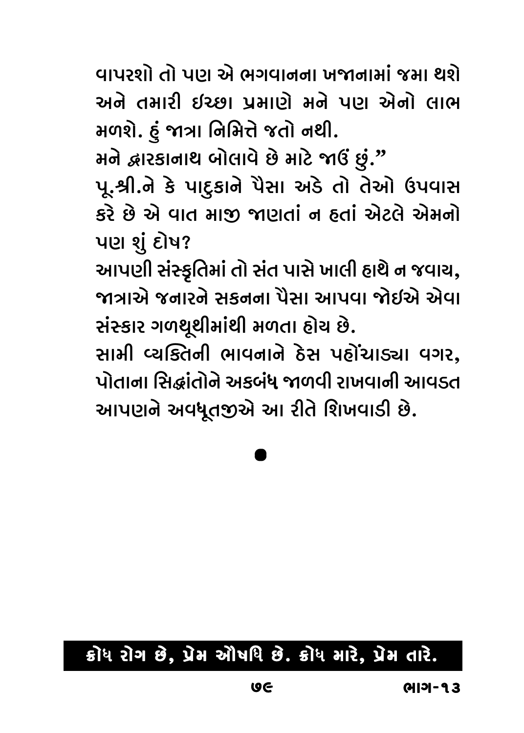વાપરશો તો પણ એ ભગવાનના ખજાનામાં જમા થશે અને તમારી ઇચ્છા પમાણે મને પણ એનો લાભ મળશે. હું જાત્રા નિમિત્તે જતો નથી.

મને દ્વારકાનાથ બોલાવે છે માટે જાઉં છું."

પૂ.શ્રી.ને કે પાદુકાને પૈસા અડે તો તેઓ ઉપવાસ કરે છે એ વાત માજી જાણતાં ન હતાં એટલે એમનો પણ શું દોષ?

આપણી સંસ્કૃતિમાં તો સંત પાસે ખાલી હાથે ન જવાય, જાત્રાએ જનારને સકનના પૈસા આપવા જોઇએ એવા સંસ્કાર ગળથૂથીમાંથી મળતા હોચ છે.

સામી વ્યક્તિની ભાવનાને ઠેસ પહોંચાડ્યા વગર, પોતાના સિદ્ધાંતોને અકબંધ જાળવી રાખવાની આવડત આપણને અવધૂતજીએ આ રીતે શિખવાડી છે.

## <u>કોધ રોગ છે, પ્રેમ એોષધિ છે. કોધ મારે, પ્રેમ તારે.</u>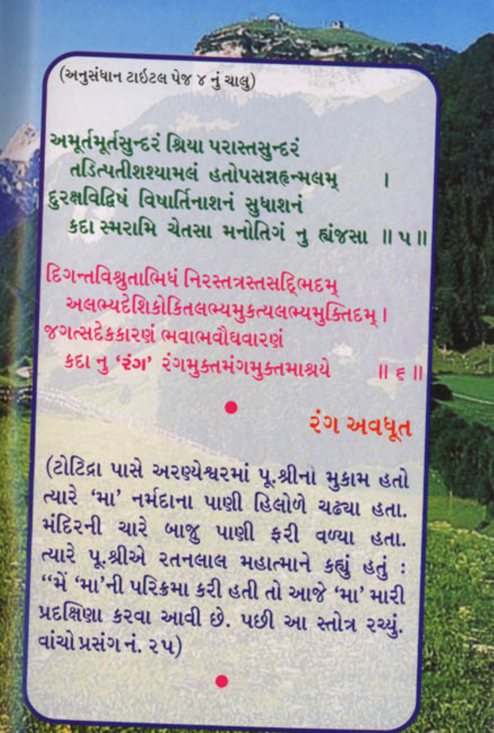(અનુસંધાન ટાઇટલ પેજ ૪ નું ચાલુ)

અમૂર્તમૂર્તસુન્દરં શ્રિયા પરાસ્તસુન્દરં તડિત્પતીશશ્યામલં હતોપસન્નહન્મલમુ દુરક્ષવિદિષં વિષાર્તિનાશનં સુધાશનં કદા સ્મરામિ ચેતસા મનોતિગં નુ હાંજસા

દિગન્તવિશ્રુતાભિધં નિરસ્તત્રસ્તસદ્દિભદમ્ અલભ્યદેશિકોકિતલભ્યમુકત્યલભ્યમુક્તિદમ્ । જગત્સદેકકારણં ભવાભવૌઘવારણં કદા નુ 'રંગ' રંગમુક્તમંગમુક્તમાશ્રયે  $II \in II$ 

## રંગ અવધૂત

(ટોટિલ પાસે અરણ્યેશ્વરમાં પૂ.શ્રીનાં મુકામ હતો ત્યારે 'મા' નર્મદાના પાણી હિલોળે ચઢ્યા હતા. મંદિરની ચારે બાજુ પાણી ફરી વળ્યા હતા. ત્યારે પૂ.શ્રીએ રતનલાલ મહાત્માને કહ્યું હતું: "મેં 'મા'ની પરિક્રમા કરી હતી તો આજે 'મા' મારી પ્રદક્ષિણા કરવા આવી છે. પછી આ સ્તોત્ર રચ્યું. વાંચો પ્રસંગ નં. ૨૫)